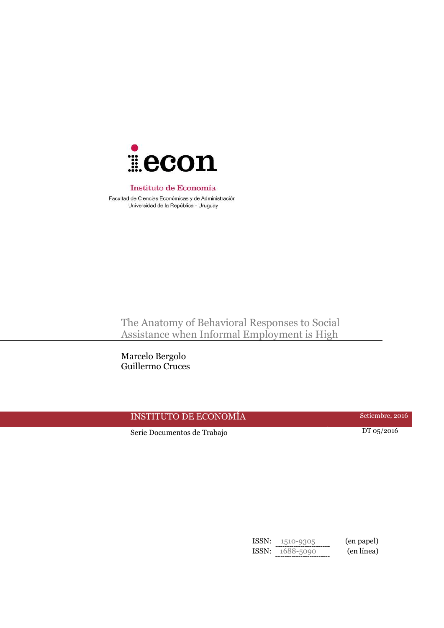

#### Instituto de Economía

Facultad de Ciencias Económicas y de Administración Universidad de la República - Uruguay

The Anatomy of Behavioral Responses to Social Assistance when Informal Employment is High

Marcelo Bergolo Guillermo Cruces

# INSTITUTO DE ECONOMÍA Setiembre, 2016

Serie Documentos de Trabajo DT 05/2016

ISSN: 1510-9305 (en papel) ISSN: 1688-5090 (en línea)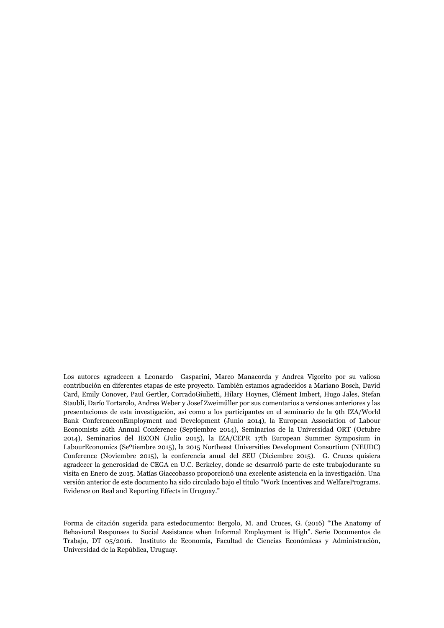Los autores agradecen a Leonardo Gasparini, Marco Manacorda y Andrea Vigorito por su valiosa contribución en diferentes etapas de este proyecto. También estamos agradecidos a Mariano Bosch, David Card, Emily Conover, Paul Gertler, CorradoGiulietti, Hilary Hoynes, Clément Imbert, Hugo Jales, Stefan Staubli, Darío Tortarolo, Andrea Weber y Josef Zweimüller por sus comentarios a versiones anteriores y las presentaciones de esta investigación, así como a los participantes en el seminario de la 9th IZA/World Bank ConferenceonEmployment and Development (Junio 2014), la European Association of Labour Economists 26th Annual Conference (Septiembre 2014), Seminarios de la Universidad ORT (Octubre 2014), Seminarios del IECON (Julio 2015), la IZA/CEPR 17th European Summer Symposium in LabourEconomics (Seºtiembre 2015), la 2015 Northeast Universities Development Consortium (NEUDC) Conference (Noviembre 2015), la conferencia anual del SEU (Diciembre 2015). G. Cruces quisiera agradecer la generosidad de CEGA en U.C. Berkeley, donde se desarroló parte de este trabajodurante su visita en Enero de 2015. Matías Giaccobasso proporcionó una excelente asistencia en la investigación. Una versión anterior de este documento ha sido circulado bajo el título "Work Incentives and WelfarePrograms. Evidence on Real and Reporting Effects in Uruguay."

Forma de citación sugerida para estedocumento: Bergolo, M. and Cruces, G. (2016) "The Anatomy of Behavioral Responses to Social Assistance when Informal Employment is High". Serie Documentos de Trabajo, DT 05/2016. Instituto de Economía, Facultad de Ciencias Económicas y Administración, Universidad de la República, Uruguay.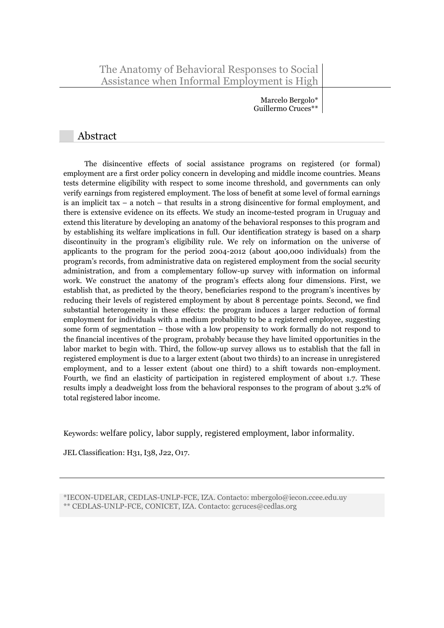Marcelo Bergolo\* Guillermo Cruces\*\*

## Abstract

The disincentive effects of social assistance programs on registered (or formal) employment are a first order policy concern in developing and middle income countries. Means tests determine eligibility with respect to some income threshold, and governments can only verify earnings from registered employment. The loss of benefit at some level of formal earnings is an implicit tax  $-$  a notch  $-$  that results in a strong disincentive for formal employment, and there is extensive evidence on its effects. We study an income-tested program in Uruguay and extend this literature by developing an anatomy of the behavioral responses to this program and by establishing its welfare implications in full. Our identification strategy is based on a sharp discontinuity in the program's eligibility rule. We rely on information on the universe of applicants to the program for the period 2004-2012 (about 400,000 individuals) from the program's records, from administrative data on registered employment from the social security administration, and from a complementary follow-up survey with information on informal work. We construct the anatomy of the program's effects along four dimensions. First, we establish that, as predicted by the theory, beneficiaries respond to the program's incentives by reducing their levels of registered employment by about 8 percentage points. Second, we find substantial heterogeneity in these effects: the program induces a larger reduction of formal employment for individuals with a medium probability to be a registered employee, suggesting some form of segmentation – those with a low propensity to work formally do not respond to the financial incentives of the program, probably because they have limited opportunities in the labor market to begin with. Third, the follow-up survey allows us to establish that the fall in registered employment is due to a larger extent (about two thirds) to an increase in unregistered employment, and to a lesser extent (about one third) to a shift towards non-employment. Fourth, we find an elasticity of participation in registered employment of about 1.7. These results imply a deadweight loss from the behavioral responses to the program of about 3.2% of total registered labor income.

Keywords: welfare policy, labor supply, registered employment, labor informality.

JEL Classification: H31, I38, J22, O17.

\*IECON-UDELAR, CEDLAS-UNLP-FCE, IZA. Contacto: mbergolo@iecon.ccee.edu.uy \*\* CEDLAS-UNLP-FCE, CONICET, IZA. Contacto: gcruces@cedlas.org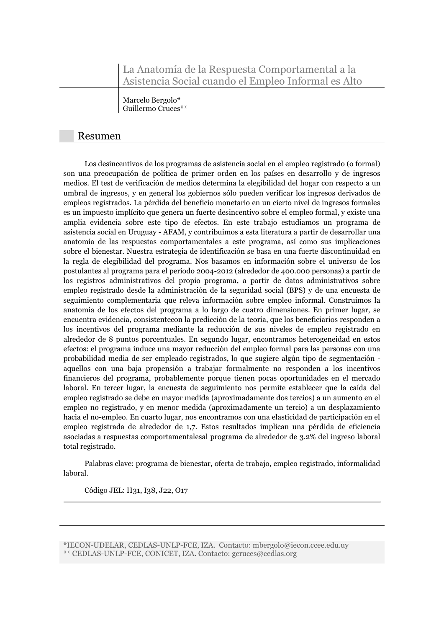La Anatomía de la Respuesta Comportamental a la Asistencia Social cuando el Empleo Informal es Alto

Marcelo Bergolo\* Guillermo Cruces\*\*

### Resumen

Los desincentivos de los programas de asistencia social en el empleo registrado (o formal) son una preocupación de política de primer orden en los países en desarrollo y de ingresos medios. El test de verificación de medios determina la elegibilidad del hogar con respecto a un umbral de ingresos, y en general los gobiernos sólo pueden verificar los ingresos derivados de empleos registrados. La pérdida del beneficio monetario en un cierto nivel de ingresos formales es un impuesto implícito que genera un fuerte desincentivo sobre el empleo formal, y existe una amplia evidencia sobre este tipo de efectos. En este trabajo estudiamos un programa de asistencia social en Uruguay - AFAM, y contribuimos a esta literatura a partir de desarrollar una anatomía de las respuestas comportamentales a este programa, así como sus implicaciones sobre el bienestar. Nuestra estrategia de identificación se basa en una fuerte discontinuidad en la regla de elegibilidad del programa. Nos basamos en información sobre el universo de los postulantes al programa para el período 2004-2012 (alrededor de 400.000 personas) a partir de los registros administrativos del propio programa, a partir de datos administrativos sobre empleo registrado desde la administración de la seguridad social (BPS) y de una encuesta de seguimiento complementaria que releva información sobre empleo informal. Construimos la anatomía de los efectos del programa a lo largo de cuatro dimensiones. En primer lugar, se encuentra evidencia, consistentecon la predicción de la teoría, que los beneficiarios responden a los incentivos del programa mediante la reducción de sus niveles de empleo registrado en alrededor de 8 puntos porcentuales. En segundo lugar, encontramos heterogeneidad en estos efectos: el programa induce una mayor reducción del empleo formal para las personas con una probabilidad media de ser empleado registrados, lo que sugiere algún tipo de segmentación aquellos con una baja propensión a trabajar formalmente no responden a los incentivos financieros del programa, probablemente porque tienen pocas oportunidades en el mercado laboral. En tercer lugar, la encuesta de seguimiento nos permite establecer que la caída del empleo registrado se debe en mayor medida (aproximadamente dos tercios) a un aumento en el empleo no registrado, y en menor medida (aproximadamente un tercio) a un desplazamiento hacia el no-empleo. En cuarto lugar, nos encontramos con una elasticidad de participación en el empleo registrada de alrededor de 1,7. Estos resultados implican una pérdida de eficiencia asociadas a respuestas comportamentalesal programa de alrededor de 3.2% del ingreso laboral total registrado.

Palabras clave: programa de bienestar, oferta de trabajo, empleo registrado, informalidad laboral.

Código JEL: H31, I38, J22, O17

\*IECON-UDELAR, CEDLAS-UNLP-FCE, IZA. Contacto: mbergolo@iecon.ccee.edu.uy \*\* CEDLAS-UNLP-FCE, CONICET, IZA. Contacto: gcruces@cedlas.org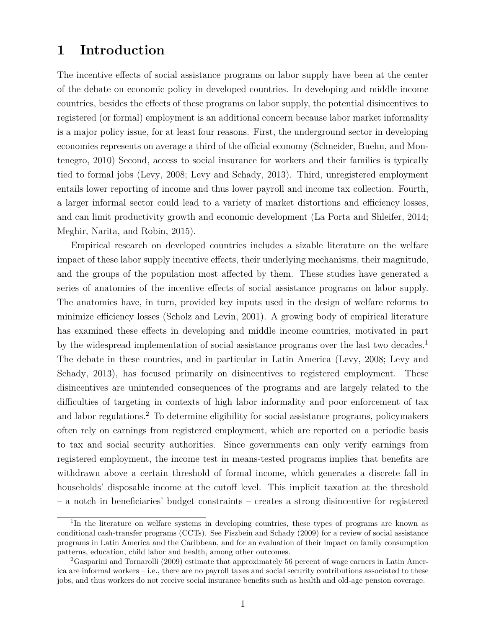# **1 Introduction**

The incentive effects of social assistance programs on labor supply have been at the center of the debate on economic policy in developed countries. In developing and middle income countries, besides the effects of these programs on labor supply, the potential disincentives to registered (or formal) employment is an additional concern because labor market informality is a major policy issue, for at least four reasons. First, the underground sector in developing economies represents on average a third of the official economy (Schneider, Buehn, and Montenegro, 2010) Second, access to social insurance for workers and their families is typically tied to formal jobs (Levy, 2008; Levy and Schady, 2013). Third, unregistered employment entails lower reporting of income and thus lower payroll and income tax collection. Fourth, a larger informal sector could lead to a variety of market distortions and efficiency losses, and can limit productivity growth and economic development (La Porta and Shleifer, 2014; Meghir, Narita, and Robin, 2015).

Empirical research on developed countries includes a sizable literature on the welfare impact of these labor supply incentive effects, their underlying mechanisms, their magnitude, and the groups of the population most affected by them. These studies have generated a series of anatomies of the incentive effects of social assistance programs on labor supply. The anatomies have, in turn, provided key inputs used in the design of welfare reforms to minimize efficiency losses (Scholz and Levin, 2001). A growing body of empirical literature has examined these effects in developing and middle income countries, motivated in part by the widespread implementation of social assistance programs over the last two decades.<sup>1</sup> The debate in these countries, and in particular in Latin America (Levy, 2008; Levy and Schady, 2013), has focused primarily on disincentives to registered employment. These disincentives are unintended consequences of the programs and are largely related to the difficulties of targeting in contexts of high labor informality and poor enforcement of tax and labor regulations.<sup>2</sup> To determine eligibility for social assistance programs, policymakers often rely on earnings from registered employment, which are reported on a periodic basis to tax and social security authorities. Since governments can only verify earnings from registered employment, the income test in means-tested programs implies that benefits are withdrawn above a certain threshold of formal income, which generates a discrete fall in households' disposable income at the cutoff level. This implicit taxation at the threshold – a notch in beneficiaries' budget constraints – creates a strong disincentive for registered

<sup>&</sup>lt;sup>1</sup>In the literature on welfare systems in developing countries, these types of programs are known as conditional cash-transfer programs (CCTs). See Fiszbein and Schady (2009) for a review of social assistance programs in Latin America and the Caribbean, and for an evaluation of their impact on family consumption patterns, education, child labor and health, among other outcomes.

<sup>2</sup>Gasparini and Tornarolli (2009) estimate that approximately 56 percent of wage earners in Latin America are informal workers – i.e., there are no payroll taxes and social security contributions associated to these jobs, and thus workers do not receive social insurance benefits such as health and old-age pension coverage.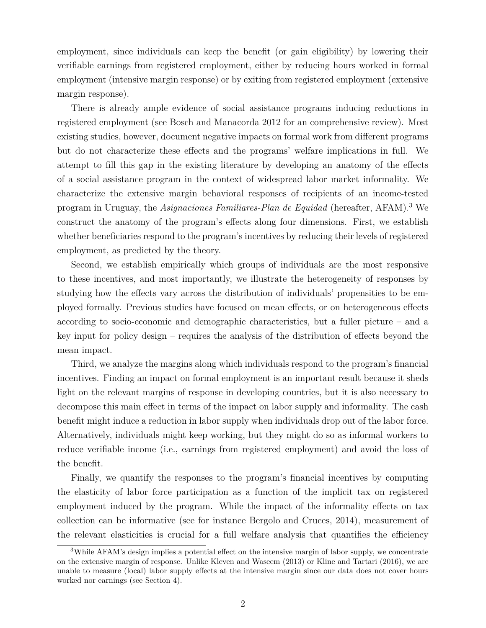employment, since individuals can keep the benefit (or gain eligibility) by lowering their verifiable earnings from registered employment, either by reducing hours worked in formal employment (intensive margin response) or by exiting from registered employment (extensive margin response).

There is already ample evidence of social assistance programs inducing reductions in registered employment (see Bosch and Manacorda 2012 for an comprehensive review). Most existing studies, however, document negative impacts on formal work from different programs but do not characterize these effects and the programs' welfare implications in full. We attempt to fill this gap in the existing literature by developing an anatomy of the effects of a social assistance program in the context of widespread labor market informality. We characterize the extensive margin behavioral responses of recipients of an income-tested program in Uruguay, the *Asignaciones Familiares-Plan de Equidad* (hereafter, AFAM).<sup>3</sup> We construct the anatomy of the program's effects along four dimensions. First, we establish whether beneficiaries respond to the program's incentives by reducing their levels of registered employment, as predicted by the theory.

Second, we establish empirically which groups of individuals are the most responsive to these incentives, and most importantly, we illustrate the heterogeneity of responses by studying how the effects vary across the distribution of individuals' propensities to be employed formally. Previous studies have focused on mean effects, or on heterogeneous effects according to socio-economic and demographic characteristics, but a fuller picture – and a key input for policy design – requires the analysis of the distribution of effects beyond the mean impact.

Third, we analyze the margins along which individuals respond to the program's financial incentives. Finding an impact on formal employment is an important result because it sheds light on the relevant margins of response in developing countries, but it is also necessary to decompose this main effect in terms of the impact on labor supply and informality. The cash benefit might induce a reduction in labor supply when individuals drop out of the labor force. Alternatively, individuals might keep working, but they might do so as informal workers to reduce verifiable income (i.e., earnings from registered employment) and avoid the loss of the benefit.

Finally, we quantify the responses to the program's financial incentives by computing the elasticity of labor force participation as a function of the implicit tax on registered employment induced by the program. While the impact of the informality effects on tax collection can be informative (see for instance Bergolo and Cruces, 2014), measurement of the relevant elasticities is crucial for a full welfare analysis that quantifies the efficiency

<sup>3</sup>While AFAM's design implies a potential effect on the intensive margin of labor supply, we concentrate on the extensive margin of response. Unlike Kleven and Waseem (2013) or Kline and Tartari (2016), we are unable to measure (local) labor supply effects at the intensive margin since our data does not cover hours worked nor earnings (see Section 4).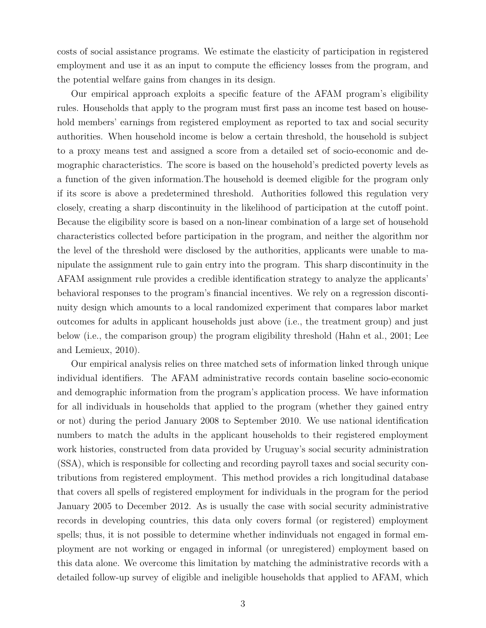costs of social assistance programs. We estimate the elasticity of participation in registered employment and use it as an input to compute the efficiency losses from the program, and the potential welfare gains from changes in its design.

Our empirical approach exploits a specific feature of the AFAM program's eligibility rules. Households that apply to the program must first pass an income test based on household members' earnings from registered employment as reported to tax and social security authorities. When household income is below a certain threshold, the household is subject to a proxy means test and assigned a score from a detailed set of socio-economic and demographic characteristics. The score is based on the household's predicted poverty levels as a function of the given information.The household is deemed eligible for the program only if its score is above a predetermined threshold. Authorities followed this regulation very closely, creating a sharp discontinuity in the likelihood of participation at the cutoff point. Because the eligibility score is based on a non-linear combination of a large set of household characteristics collected before participation in the program, and neither the algorithm nor the level of the threshold were disclosed by the authorities, applicants were unable to manipulate the assignment rule to gain entry into the program. This sharp discontinuity in the AFAM assignment rule provides a credible identification strategy to analyze the applicants' behavioral responses to the program's financial incentives. We rely on a regression discontinuity design which amounts to a local randomized experiment that compares labor market outcomes for adults in applicant households just above (i.e., the treatment group) and just below (i.e., the comparison group) the program eligibility threshold (Hahn et al., 2001; Lee and Lemieux, 2010).

Our empirical analysis relies on three matched sets of information linked through unique individual identifiers. The AFAM administrative records contain baseline socio-economic and demographic information from the program's application process. We have information for all individuals in households that applied to the program (whether they gained entry or not) during the period January 2008 to September 2010. We use national identification numbers to match the adults in the applicant households to their registered employment work histories, constructed from data provided by Uruguay's social security administration (SSA), which is responsible for collecting and recording payroll taxes and social security contributions from registered employment. This method provides a rich longitudinal database that covers all spells of registered employment for individuals in the program for the period January 2005 to December 2012. As is usually the case with social security administrative records in developing countries, this data only covers formal (or registered) employment spells; thus, it is not possible to determine whether indinviduals not engaged in formal employment are not working or engaged in informal (or unregistered) employment based on this data alone. We overcome this limitation by matching the administrative records with a detailed follow-up survey of eligible and ineligible households that applied to AFAM, which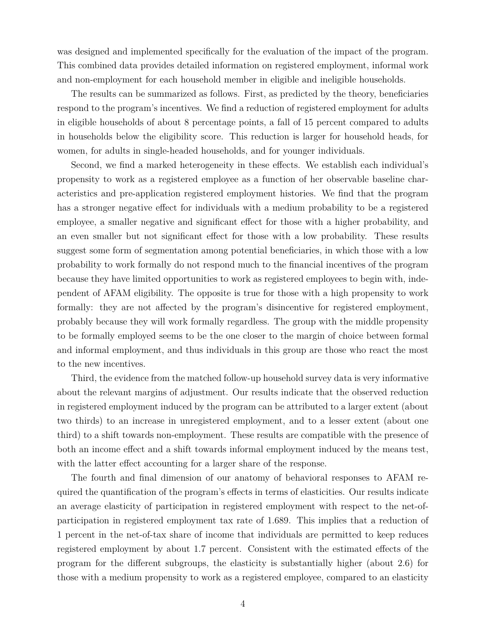was designed and implemented specifically for the evaluation of the impact of the program. This combined data provides detailed information on registered employment, informal work and non-employment for each household member in eligible and ineligible households.

The results can be summarized as follows. First, as predicted by the theory, beneficiaries respond to the program's incentives. We find a reduction of registered employment for adults in eligible households of about 8 percentage points, a fall of 15 percent compared to adults in households below the eligibility score. This reduction is larger for household heads, for women, for adults in single-headed households, and for younger individuals.

Second, we find a marked heterogeneity in these effects. We establish each individual's propensity to work as a registered employee as a function of her observable baseline characteristics and pre-application registered employment histories. We find that the program has a stronger negative effect for individuals with a medium probability to be a registered employee, a smaller negative and significant effect for those with a higher probability, and an even smaller but not significant effect for those with a low probability. These results suggest some form of segmentation among potential beneficiaries, in which those with a low probability to work formally do not respond much to the financial incentives of the program because they have limited opportunities to work as registered employees to begin with, independent of AFAM eligibility. The opposite is true for those with a high propensity to work formally: they are not affected by the program's disincentive for registered employment, probably because they will work formally regardless. The group with the middle propensity to be formally employed seems to be the one closer to the margin of choice between formal and informal employment, and thus individuals in this group are those who react the most to the new incentives.

Third, the evidence from the matched follow-up household survey data is very informative about the relevant margins of adjustment. Our results indicate that the observed reduction in registered employment induced by the program can be attributed to a larger extent (about two thirds) to an increase in unregistered employment, and to a lesser extent (about one third) to a shift towards non-employment. These results are compatible with the presence of both an income effect and a shift towards informal employment induced by the means test, with the latter effect accounting for a larger share of the response.

The fourth and final dimension of our anatomy of behavioral responses to AFAM required the quantification of the program's effects in terms of elasticities. Our results indicate an average elasticity of participation in registered employment with respect to the net-ofparticipation in registered employment tax rate of 1.689. This implies that a reduction of 1 percent in the net-of-tax share of income that individuals are permitted to keep reduces registered employment by about 1.7 percent. Consistent with the estimated effects of the program for the different subgroups, the elasticity is substantially higher (about 2.6) for those with a medium propensity to work as a registered employee, compared to an elasticity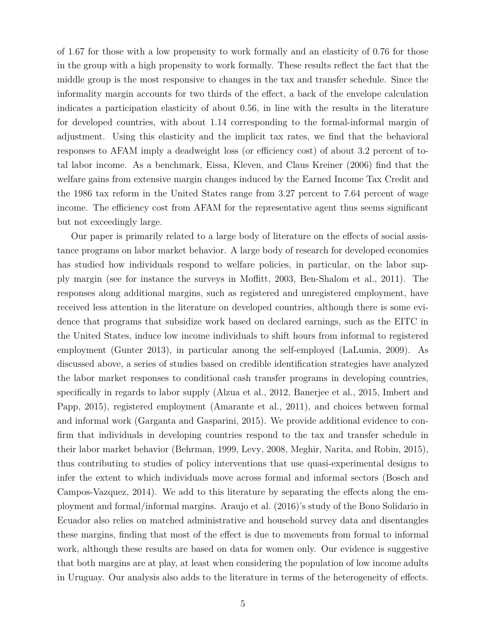of 1.67 for those with a low propensity to work formally and an elasticity of 0.76 for those in the group with a high propensity to work formally. These results reflect the fact that the middle group is the most responsive to changes in the tax and transfer schedule. Since the informality margin accounts for two thirds of the effect, a back of the envelope calculation indicates a participation elasticity of about 0.56, in line with the results in the literature for developed countries, with about 1.14 corresponding to the formal-informal margin of adjustment. Using this elasticity and the implicit tax rates, we find that the behavioral responses to AFAM imply a deadweight loss (or efficiency cost) of about 3.2 percent of total labor income. As a benchmark, Eissa, Kleven, and Claus Kreiner (2006) find that the welfare gains from extensive margin changes induced by the Earned Income Tax Credit and the 1986 tax reform in the United States range from 3.27 percent to 7.64 percent of wage income. The efficiency cost from AFAM for the representative agent thus seems significant but not exceedingly large.

Our paper is primarily related to a large body of literature on the effects of social assistance programs on labor market behavior. A large body of research for developed economies has studied how individuals respond to welfare policies, in particular, on the labor supply margin (see for instance the surveys in Moffitt, 2003, Ben-Shalom et al., 2011). The responses along additional margins, such as registered and unregistered employment, have received less attention in the literature on developed countries, although there is some evidence that programs that subsidize work based on declared earnings, such as the EITC in the United States, induce low income individuals to shift hours from informal to registered employment (Gunter 2013), in particular among the self-employed (LaLumia, 2009). As discussed above, a series of studies based on credible identification strategies have analyzed the labor market responses to conditional cash transfer programs in developing countries, specifically in regards to labor supply (Alzua et al., 2012, Banerjee et al., 2015, Imbert and Papp, 2015), registered employment (Amarante et al., 2011), and choices between formal and informal work (Garganta and Gasparini, 2015). We provide additional evidence to confirm that individuals in developing countries respond to the tax and transfer schedule in their labor market behavior (Behrman, 1999, Levy, 2008, Meghir, Narita, and Robin, 2015), thus contributing to studies of policy interventions that use quasi-experimental designs to infer the extent to which individuals move across formal and informal sectors (Bosch and Campos-Vazquez, 2014). We add to this literature by separating the effects along the employment and formal/informal margins. Araujo et al. (2016)'s study of the Bono Solidario in Ecuador also relies on matched administrative and household survey data and disentangles these margins, finding that most of the effect is due to movements from formal to informal work, although these results are based on data for women only. Our evidence is suggestive that both margins are at play, at least when considering the population of low income adults in Uruguay. Our analysis also adds to the literature in terms of the heterogeneity of effects.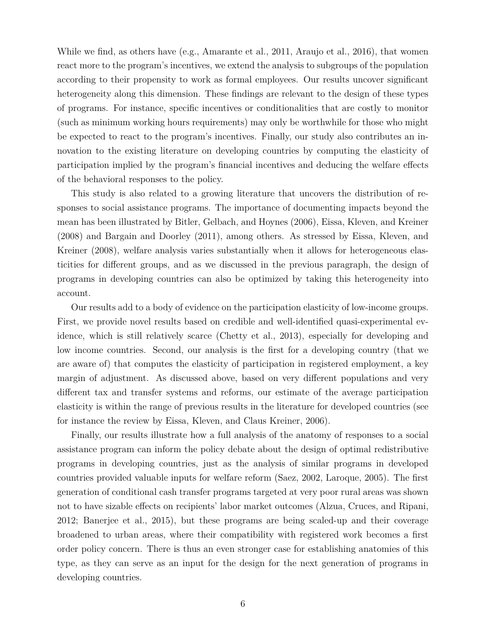While we find, as others have (e.g., Amarante et al., 2011, Araujo et al., 2016), that women react more to the program's incentives, we extend the analysis to subgroups of the population according to their propensity to work as formal employees. Our results uncover significant heterogeneity along this dimension. These findings are relevant to the design of these types of programs. For instance, specific incentives or conditionalities that are costly to monitor (such as minimum working hours requirements) may only be worthwhile for those who might be expected to react to the program's incentives. Finally, our study also contributes an innovation to the existing literature on developing countries by computing the elasticity of participation implied by the program's financial incentives and deducing the welfare effects of the behavioral responses to the policy.

This study is also related to a growing literature that uncovers the distribution of responses to social assistance programs. The importance of documenting impacts beyond the mean has been illustrated by Bitler, Gelbach, and Hoynes (2006), Eissa, Kleven, and Kreiner (2008) and Bargain and Doorley (2011), among others. As stressed by Eissa, Kleven, and Kreiner (2008), welfare analysis varies substantially when it allows for heterogeneous elasticities for different groups, and as we discussed in the previous paragraph, the design of programs in developing countries can also be optimized by taking this heterogeneity into account.

Our results add to a body of evidence on the participation elasticity of low-income groups. First, we provide novel results based on credible and well-identified quasi-experimental evidence, which is still relatively scarce (Chetty et al., 2013), especially for developing and low income countries. Second, our analysis is the first for a developing country (that we are aware of) that computes the elasticity of participation in registered employment, a key margin of adjustment. As discussed above, based on very different populations and very different tax and transfer systems and reforms, our estimate of the average participation elasticity is within the range of previous results in the literature for developed countries (see for instance the review by Eissa, Kleven, and Claus Kreiner, 2006).

Finally, our results illustrate how a full analysis of the anatomy of responses to a social assistance program can inform the policy debate about the design of optimal redistributive programs in developing countries, just as the analysis of similar programs in developed countries provided valuable inputs for welfare reform (Saez, 2002, Laroque, 2005). The first generation of conditional cash transfer programs targeted at very poor rural areas was shown not to have sizable effects on recipients' labor market outcomes (Alzua, Cruces, and Ripani, 2012; Banerjee et al., 2015), but these programs are being scaled-up and their coverage broadened to urban areas, where their compatibility with registered work becomes a first order policy concern. There is thus an even stronger case for establishing anatomies of this type, as they can serve as an input for the design for the next generation of programs in developing countries.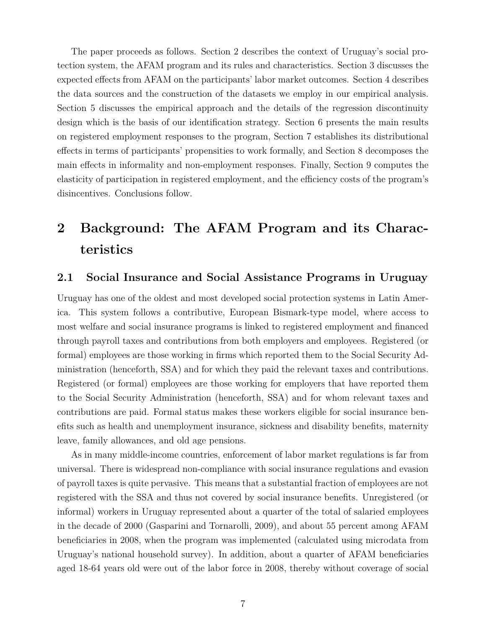The paper proceeds as follows. Section 2 describes the context of Uruguay's social protection system, the AFAM program and its rules and characteristics. Section 3 discusses the expected effects from AFAM on the participants' labor market outcomes. Section 4 describes the data sources and the construction of the datasets we employ in our empirical analysis. Section 5 discusses the empirical approach and the details of the regression discontinuity design which is the basis of our identification strategy. Section 6 presents the main results on registered employment responses to the program, Section 7 establishes its distributional effects in terms of participants' propensities to work formally, and Section 8 decomposes the main effects in informality and non-employment responses. Finally, Section 9 computes the elasticity of participation in registered employment, and the efficiency costs of the program's disincentives. Conclusions follow.

# **2 Background: The AFAM Program and its Characteristics**

#### **2.1 Social Insurance and Social Assistance Programs in Uruguay**

Uruguay has one of the oldest and most developed social protection systems in Latin America. This system follows a contributive, European Bismark-type model, where access to most welfare and social insurance programs is linked to registered employment and financed through payroll taxes and contributions from both employers and employees. Registered (or formal) employees are those working in firms which reported them to the Social Security Administration (henceforth, SSA) and for which they paid the relevant taxes and contributions. Registered (or formal) employees are those working for employers that have reported them to the Social Security Administration (henceforth, SSA) and for whom relevant taxes and contributions are paid. Formal status makes these workers eligible for social insurance benefits such as health and unemployment insurance, sickness and disability benefits, maternity leave, family allowances, and old age pensions.

As in many middle-income countries, enforcement of labor market regulations is far from universal. There is widespread non-compliance with social insurance regulations and evasion of payroll taxes is quite pervasive. This means that a substantial fraction of employees are not registered with the SSA and thus not covered by social insurance benefits. Unregistered (or informal) workers in Uruguay represented about a quarter of the total of salaried employees in the decade of 2000 (Gasparini and Tornarolli, 2009), and about 55 percent among AFAM beneficiaries in 2008, when the program was implemented (calculated using microdata from Uruguay's national household survey). In addition, about a quarter of AFAM beneficiaries aged 18-64 years old were out of the labor force in 2008, thereby without coverage of social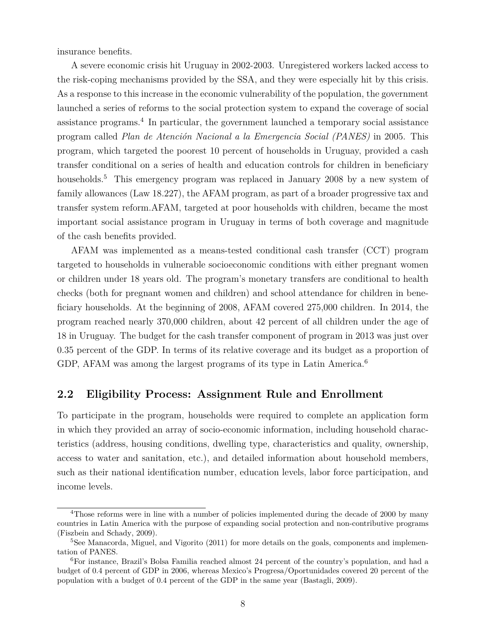insurance benefits.

A severe economic crisis hit Uruguay in 2002-2003. Unregistered workers lacked access to the risk-coping mechanisms provided by the SSA, and they were especially hit by this crisis. As a response to this increase in the economic vulnerability of the population, the government launched a series of reforms to the social protection system to expand the coverage of social assistance programs.<sup>4</sup> In particular, the government launched a temporary social assistance program called *Plan de Atención Nacional a la Emergencia Social (PANES)* in 2005. This program, which targeted the poorest 10 percent of households in Uruguay, provided a cash transfer conditional on a series of health and education controls for children in beneficiary households.<sup>5</sup> This emergency program was replaced in January 2008 by a new system of family allowances (Law 18.227), the AFAM program, as part of a broader progressive tax and transfer system reform.AFAM, targeted at poor households with children, became the most important social assistance program in Uruguay in terms of both coverage and magnitude of the cash benefits provided.

AFAM was implemented as a means-tested conditional cash transfer (CCT) program targeted to households in vulnerable socioeconomic conditions with either pregnant women or children under 18 years old. The program's monetary transfers are conditional to health checks (both for pregnant women and children) and school attendance for children in beneficiary households. At the beginning of 2008, AFAM covered 275,000 children. In 2014, the program reached nearly 370,000 children, about 42 percent of all children under the age of 18 in Uruguay. The budget for the cash transfer component of program in 2013 was just over 0.35 percent of the GDP. In terms of its relative coverage and its budget as a proportion of GDP, AFAM was among the largest programs of its type in Latin America.<sup>6</sup>

#### **2.2 Eligibility Process: Assignment Rule and Enrollment**

To participate in the program, households were required to complete an application form in which they provided an array of socio-economic information, including household characteristics (address, housing conditions, dwelling type, characteristics and quality, ownership, access to water and sanitation, etc.), and detailed information about household members, such as their national identification number, education levels, labor force participation, and income levels.

<sup>&</sup>lt;sup>4</sup>Those reforms were in line with a number of policies implemented during the decade of 2000 by many countries in Latin America with the purpose of expanding social protection and non-contributive programs (Fiszbein and Schady, 2009).

<sup>&</sup>lt;sup>5</sup>See Manacorda, Miguel, and Vigorito (2011) for more details on the goals, components and implementation of PANES.

<sup>6</sup>For instance, Brazil's Bolsa Familia reached almost 24 percent of the country's population, and had a budget of 0.4 percent of GDP in 2006, whereas Mexico's Progresa/Oportunidades covered 20 percent of the population with a budget of 0.4 percent of the GDP in the same year (Bastagli, 2009).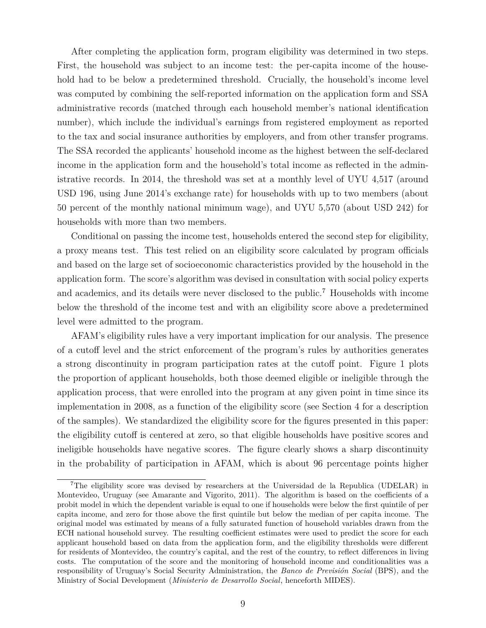After completing the application form, program eligibility was determined in two steps. First, the household was subject to an income test: the per-capita income of the household had to be below a predetermined threshold. Crucially, the household's income level was computed by combining the self-reported information on the application form and SSA administrative records (matched through each household member's national identification number), which include the individual's earnings from registered employment as reported to the tax and social insurance authorities by employers, and from other transfer programs. The SSA recorded the applicants' household income as the highest between the self-declared income in the application form and the household's total income as reflected in the administrative records. In 2014, the threshold was set at a monthly level of UYU 4,517 (around USD 196, using June 2014's exchange rate) for households with up to two members (about 50 percent of the monthly national minimum wage), and UYU 5,570 (about USD 242) for households with more than two members.

Conditional on passing the income test, households entered the second step for eligibility, a proxy means test. This test relied on an eligibility score calculated by program officials and based on the large set of socioeconomic characteristics provided by the household in the application form. The score's algorithm was devised in consultation with social policy experts and academics, and its details were never disclosed to the public.<sup>7</sup> Households with income below the threshold of the income test and with an eligibility score above a predetermined level were admitted to the program.

AFAM's eligibility rules have a very important implication for our analysis. The presence of a cutoff level and the strict enforcement of the program's rules by authorities generates a strong discontinuity in program participation rates at the cutoff point. Figure 1 plots the proportion of applicant households, both those deemed eligible or ineligible through the application process, that were enrolled into the program at any given point in time since its implementation in 2008, as a function of the eligibility score (see Section 4 for a description of the samples). We standardized the eligibility score for the figures presented in this paper: the eligibility cutoff is centered at zero, so that eligible households have positive scores and ineligible households have negative scores. The figure clearly shows a sharp discontinuity in the probability of participation in AFAM, which is about 96 percentage points higher

<sup>7</sup>The eligibility score was devised by researchers at the Universidad de la Republica (UDELAR) in Montevideo, Uruguay (see Amarante and Vigorito, 2011). The algorithm is based on the coefficients of a probit model in which the dependent variable is equal to one if households were below the first quintile of per capita income, and zero for those above the first quintile but below the median of per capita income. The original model was estimated by means of a fully saturated function of household variables drawn from the ECH national household survey. The resulting coefficient estimates were used to predict the score for each applicant household based on data from the application form, and the eligibility thresholds were different for residents of Montevideo, the country's capital, and the rest of the country, to reflect differences in living costs. The computation of the score and the monitoring of household income and conditionalities was a responsibility of Uruguay's Social Security Administration, the *Banco de Previsión Social* (BPS), and the Ministry of Social Development (*Ministerio de Desarrollo Social*, henceforth MIDES).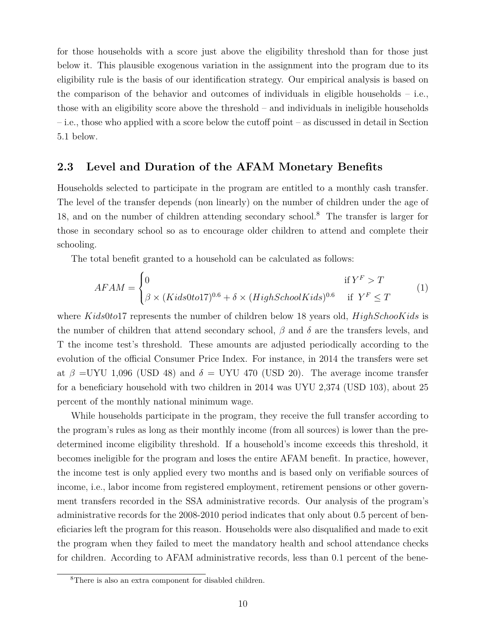for those households with a score just above the eligibility threshold than for those just below it. This plausible exogenous variation in the assignment into the program due to its eligibility rule is the basis of our identification strategy. Our empirical analysis is based on the comparison of the behavior and outcomes of individuals in eligible households – i.e., those with an eligibility score above the threshold – and individuals in ineligible households – i.e., those who applied with a score below the cutoff point – as discussed in detail in Section 5.1 below.

### **2.3 Level and Duration of the AFAM Monetary Benefits**

Households selected to participate in the program are entitled to a monthly cash transfer. The level of the transfer depends (non linearly) on the number of children under the age of 18, and on the number of children attending secondary school.<sup>8</sup> The transfer is larger for those in secondary school so as to encourage older children to attend and complete their schooling.

The total benefit granted to a household can be calculated as follows:

$$
AFAM = \begin{cases} 0 & \text{if } Y^F > T \\ \beta \times (Kids0to17)^{0.6} + \delta \times (High SchoolKids)^{0.6} & \text{if } Y^F \le T \end{cases}
$$
 (1)

where *Kids*0*to*17 represents the number of children below 18 years old, *HighSchooKids* is the number of children that attend secondary school,  $\beta$  and  $\delta$  are the transfers levels, and T the income test's threshold. These amounts are adjusted periodically according to the evolution of the official Consumer Price Index. For instance, in 2014 the transfers were set at  $\beta$  =UYU 1,096 (USD 48) and  $\delta$  = UYU 470 (USD 20). The average income transfer for a beneficiary household with two children in 2014 was UYU 2,374 (USD 103), about 25 percent of the monthly national minimum wage.

While households participate in the program, they receive the full transfer according to the program's rules as long as their monthly income (from all sources) is lower than the predetermined income eligibility threshold. If a household's income exceeds this threshold, it becomes ineligible for the program and loses the entire AFAM benefit. In practice, however, the income test is only applied every two months and is based only on verifiable sources of income, i.e., labor income from registered employment, retirement pensions or other government transfers recorded in the SSA administrative records. Our analysis of the program's administrative records for the 2008-2010 period indicates that only about 0.5 percent of beneficiaries left the program for this reason. Households were also disqualified and made to exit the program when they failed to meet the mandatory health and school attendance checks for children. According to AFAM administrative records, less than 0.1 percent of the bene-

<sup>8</sup>There is also an extra component for disabled children.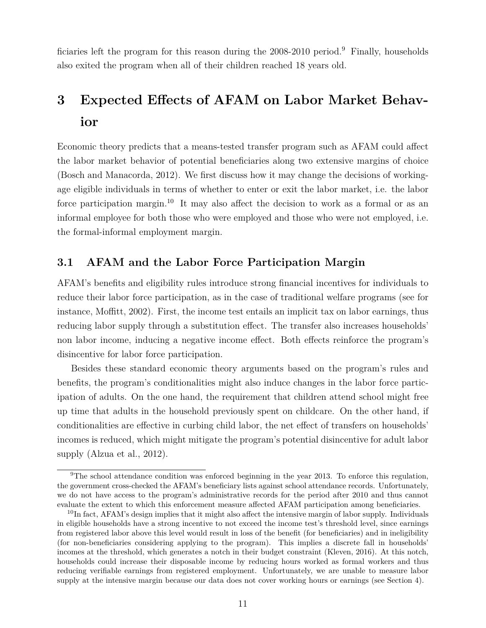ficiaries left the program for this reason during the 2008-2010 period.<sup>9</sup> Finally, households also exited the program when all of their children reached 18 years old.

# **3 Expected Effects of AFAM on Labor Market Behavior**

Economic theory predicts that a means-tested transfer program such as AFAM could affect the labor market behavior of potential beneficiaries along two extensive margins of choice (Bosch and Manacorda, 2012). We first discuss how it may change the decisions of workingage eligible individuals in terms of whether to enter or exit the labor market, i.e. the labor force participation margin.<sup>10</sup> It may also affect the decision to work as a formal or as an informal employee for both those who were employed and those who were not employed, i.e. the formal-informal employment margin.

## **3.1 AFAM and the Labor Force Participation Margin**

AFAM's benefits and eligibility rules introduce strong financial incentives for individuals to reduce their labor force participation, as in the case of traditional welfare programs (see for instance, Moffitt, 2002). First, the income test entails an implicit tax on labor earnings, thus reducing labor supply through a substitution effect. The transfer also increases households' non labor income, inducing a negative income effect. Both effects reinforce the program's disincentive for labor force participation.

Besides these standard economic theory arguments based on the program's rules and benefits, the program's conditionalities might also induce changes in the labor force participation of adults. On the one hand, the requirement that children attend school might free up time that adults in the household previously spent on childcare. On the other hand, if conditionalities are effective in curbing child labor, the net effect of transfers on households' incomes is reduced, which might mitigate the program's potential disincentive for adult labor supply (Alzua et al., 2012).

<sup>9</sup>The school attendance condition was enforced beginning in the year 2013. To enforce this regulation, the government cross-checked the AFAM's beneficiary lists against school attendance records. Unfortunately, we do not have access to the program's administrative records for the period after 2010 and thus cannot evaluate the extent to which this enforcement measure affected AFAM participation among beneficiaries.

<sup>&</sup>lt;sup>10</sup>In fact, AFAM's design implies that it might also affect the intensive margin of labor supply. Individuals in eligible households have a strong incentive to not exceed the income test's threshold level, since earnings from registered labor above this level would result in loss of the benefit (for beneficiaries) and in ineligibility (for non-beneficiaries considering applying to the program). This implies a discrete fall in households' incomes at the threshold, which generates a notch in their budget constraint (Kleven, 2016). At this notch, households could increase their disposable income by reducing hours worked as formal workers and thus reducing verifiable earnings from registered employment. Unfortunately, we are unable to measure labor supply at the intensive margin because our data does not cover working hours or earnings (see Section 4).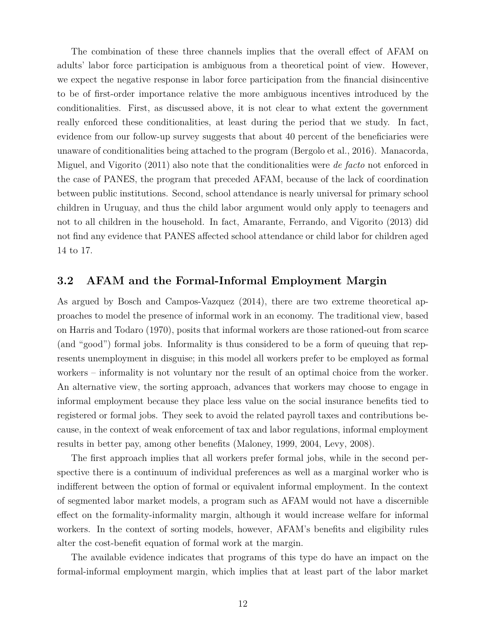The combination of these three channels implies that the overall effect of AFAM on adults' labor force participation is ambiguous from a theoretical point of view. However, we expect the negative response in labor force participation from the financial disincentive to be of first-order importance relative the more ambiguous incentives introduced by the conditionalities. First, as discussed above, it is not clear to what extent the government really enforced these conditionalities, at least during the period that we study. In fact, evidence from our follow-up survey suggests that about 40 percent of the beneficiaries were unaware of conditionalities being attached to the program (Bergolo et al., 2016). Manacorda, Miguel, and Vigorito (2011) also note that the conditionalities were *de facto* not enforced in the case of PANES, the program that preceded AFAM, because of the lack of coordination between public institutions. Second, school attendance is nearly universal for primary school children in Uruguay, and thus the child labor argument would only apply to teenagers and not to all children in the household. In fact, Amarante, Ferrando, and Vigorito (2013) did not find any evidence that PANES affected school attendance or child labor for children aged 14 to 17.

#### **3.2 AFAM and the Formal-Informal Employment Margin**

As argued by Bosch and Campos-Vazquez (2014), there are two extreme theoretical approaches to model the presence of informal work in an economy. The traditional view, based on Harris and Todaro (1970), posits that informal workers are those rationed-out from scarce (and "good") formal jobs. Informality is thus considered to be a form of queuing that represents unemployment in disguise; in this model all workers prefer to be employed as formal workers – informality is not voluntary nor the result of an optimal choice from the worker. An alternative view, the sorting approach, advances that workers may choose to engage in informal employment because they place less value on the social insurance benefits tied to registered or formal jobs. They seek to avoid the related payroll taxes and contributions because, in the context of weak enforcement of tax and labor regulations, informal employment results in better pay, among other benefits (Maloney, 1999, 2004, Levy, 2008).

The first approach implies that all workers prefer formal jobs, while in the second perspective there is a continuum of individual preferences as well as a marginal worker who is indifferent between the option of formal or equivalent informal employment. In the context of segmented labor market models, a program such as AFAM would not have a discernible effect on the formality-informality margin, although it would increase welfare for informal workers. In the context of sorting models, however, AFAM's benefits and eligibility rules alter the cost-benefit equation of formal work at the margin.

The available evidence indicates that programs of this type do have an impact on the formal-informal employment margin, which implies that at least part of the labor market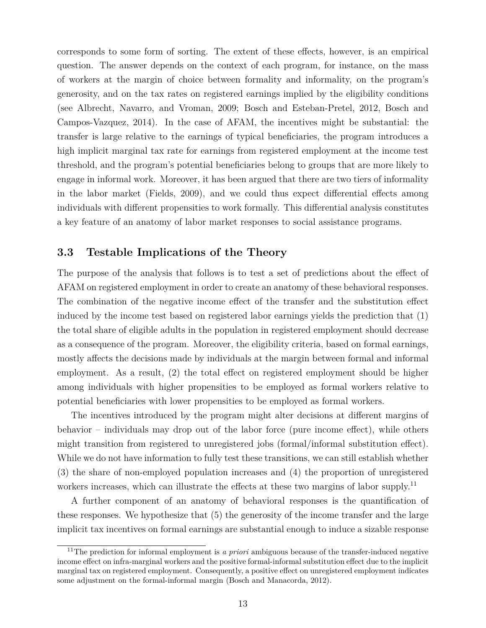corresponds to some form of sorting. The extent of these effects, however, is an empirical question. The answer depends on the context of each program, for instance, on the mass of workers at the margin of choice between formality and informality, on the program's generosity, and on the tax rates on registered earnings implied by the eligibility conditions (see Albrecht, Navarro, and Vroman, 2009; Bosch and Esteban-Pretel, 2012, Bosch and Campos-Vazquez, 2014). In the case of AFAM, the incentives might be substantial: the transfer is large relative to the earnings of typical beneficiaries, the program introduces a high implicit marginal tax rate for earnings from registered employment at the income test threshold, and the program's potential beneficiaries belong to groups that are more likely to engage in informal work. Moreover, it has been argued that there are two tiers of informality in the labor market (Fields, 2009), and we could thus expect differential effects among individuals with different propensities to work formally. This differential analysis constitutes a key feature of an anatomy of labor market responses to social assistance programs.

## **3.3 Testable Implications of the Theory**

The purpose of the analysis that follows is to test a set of predictions about the effect of AFAM on registered employment in order to create an anatomy of these behavioral responses. The combination of the negative income effect of the transfer and the substitution effect induced by the income test based on registered labor earnings yields the prediction that (1) the total share of eligible adults in the population in registered employment should decrease as a consequence of the program. Moreover, the eligibility criteria, based on formal earnings, mostly affects the decisions made by individuals at the margin between formal and informal employment. As a result, (2) the total effect on registered employment should be higher among individuals with higher propensities to be employed as formal workers relative to potential beneficiaries with lower propensities to be employed as formal workers.

The incentives introduced by the program might alter decisions at different margins of behavior – individuals may drop out of the labor force (pure income effect), while others might transition from registered to unregistered jobs (formal/informal substitution effect). While we do not have information to fully test these transitions, we can still establish whether (3) the share of non-employed population increases and (4) the proportion of unregistered workers increases, which can illustrate the effects at these two margins of labor supply.<sup>11</sup>

A further component of an anatomy of behavioral responses is the quantification of these responses. We hypothesize that (5) the generosity of the income transfer and the large implicit tax incentives on formal earnings are substantial enough to induce a sizable response

<sup>11</sup>The prediction for informal employment is *a priori* ambiguous because of the transfer-induced negative income effect on infra-marginal workers and the positive formal-informal substitution effect due to the implicit marginal tax on registered employment. Consequently, a positive effect on unregistered employment indicates some adjustment on the formal-informal margin (Bosch and Manacorda, 2012).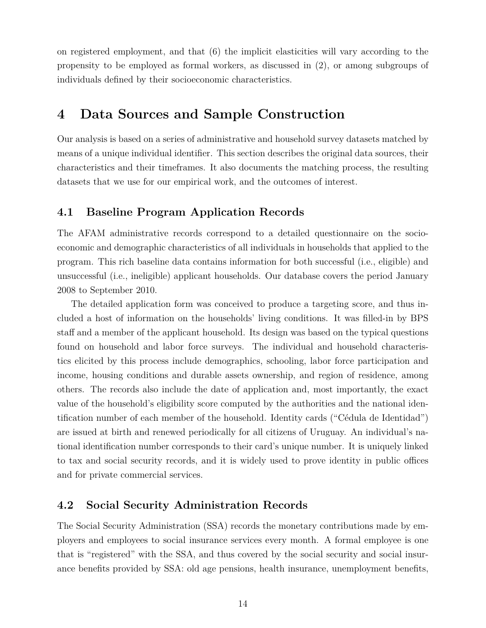on registered employment, and that (6) the implicit elasticities will vary according to the propensity to be employed as formal workers, as discussed in (2), or among subgroups of individuals defined by their socioeconomic characteristics.

# **4 Data Sources and Sample Construction**

Our analysis is based on a series of administrative and household survey datasets matched by means of a unique individual identifier. This section describes the original data sources, their characteristics and their timeframes. It also documents the matching process, the resulting datasets that we use for our empirical work, and the outcomes of interest.

## **4.1 Baseline Program Application Records**

The AFAM administrative records correspond to a detailed questionnaire on the socioeconomic and demographic characteristics of all individuals in households that applied to the program. This rich baseline data contains information for both successful (i.e., eligible) and unsuccessful (i.e., ineligible) applicant households. Our database covers the period January 2008 to September 2010.

The detailed application form was conceived to produce a targeting score, and thus included a host of information on the households' living conditions. It was filled-in by BPS staff and a member of the applicant household. Its design was based on the typical questions found on household and labor force surveys. The individual and household characteristics elicited by this process include demographics, schooling, labor force participation and income, housing conditions and durable assets ownership, and region of residence, among others. The records also include the date of application and, most importantly, the exact value of the household's eligibility score computed by the authorities and the national identification number of each member of the household. Identity cards ("Cédula de Identidad") are issued at birth and renewed periodically for all citizens of Uruguay. An individual's national identification number corresponds to their card's unique number. It is uniquely linked to tax and social security records, and it is widely used to prove identity in public offices and for private commercial services.

## **4.2 Social Security Administration Records**

The Social Security Administration (SSA) records the monetary contributions made by employers and employees to social insurance services every month. A formal employee is one that is "registered" with the SSA, and thus covered by the social security and social insurance benefits provided by SSA: old age pensions, health insurance, unemployment benefits,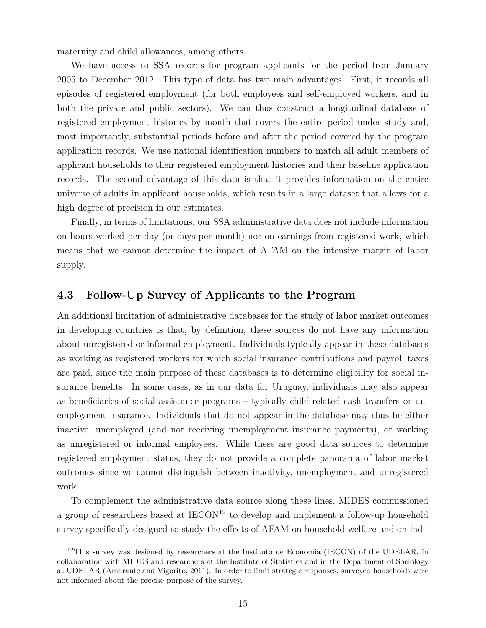maternity and child allowances, among others.

We have access to SSA records for program applicants for the period from January 2005 to December 2012. This type of data has two main advantages. First, it records all episodes of registered employment (for both employees and self-employed workers, and in both the private and public sectors). We can thus construct a longitudinal database of registered employment histories by month that covers the entire period under study and, most importantly, substantial periods before and after the period covered by the program application records. We use national identification numbers to match all adult members of applicant households to their registered employment histories and their baseline application records. The second advantage of this data is that it provides information on the entire universe of adults in applicant households, which results in a large dataset that allows for a high degree of precision in our estimates.

Finally, in terms of limitations, our SSA administrative data does not include information on hours worked per day (or days per month) nor on earnings from registered work, which means that we cannot determine the impact of AFAM on the intensive margin of labor supply.

#### **4.3 Follow-Up Survey of Applicants to the Program**

An additional limitation of administrative databases for the study of labor market outcomes in developing countries is that, by definition, these sources do not have any information about unregistered or informal employment. Individuals typically appear in these databases as working as registered workers for which social insurance contributions and payroll taxes are paid, since the main purpose of these databases is to determine eligibility for social insurance benefits. In some cases, as in our data for Uruguay, individuals may also appear as beneficiaries of social assistance programs – typically child-related cash transfers or unemployment insurance. Individuals that do not appear in the database may thus be either inactive, unemployed (and not receiving unemployment insurance payments), or working as unregistered or informal employees. While these are good data sources to determine registered employment status, they do not provide a complete panorama of labor market outcomes since we cannot distinguish between inactivity, unemployment and unregistered work.

To complement the administrative data source along these lines, MIDES commissioned a group of researchers based at  $IECON<sup>12</sup>$  to develop and implement a follow-up household survey specifically designed to study the effects of AFAM on household welfare and on indi-

<sup>&</sup>lt;sup>12</sup>This survey was designed by researchers at the Instituto de Economía (IECON) of the UDELAR, in collaboration with MIDES and researchers at the Institute of Statistics and in the Department of Sociology at UDELAR (Amarante and Vigorito, 2011). In order to limit strategic responses, surveyed households were not informed about the precise purpose of the survey.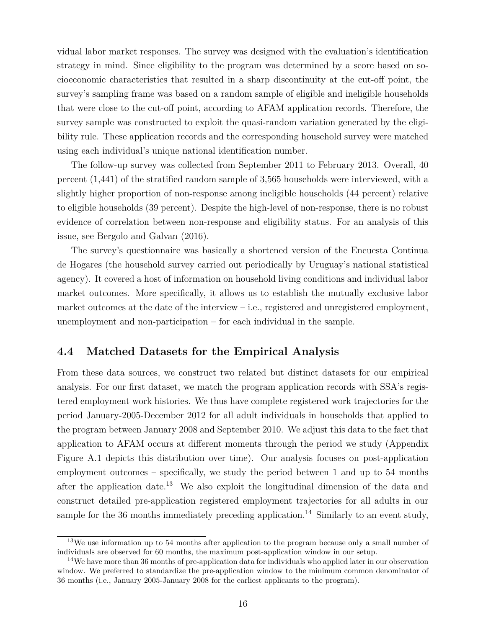vidual labor market responses. The survey was designed with the evaluation's identification strategy in mind. Since eligibility to the program was determined by a score based on socioeconomic characteristics that resulted in a sharp discontinuity at the cut-off point, the survey's sampling frame was based on a random sample of eligible and ineligible households that were close to the cut-off point, according to AFAM application records. Therefore, the survey sample was constructed to exploit the quasi-random variation generated by the eligibility rule. These application records and the corresponding household survey were matched using each individual's unique national identification number.

The follow-up survey was collected from September 2011 to February 2013. Overall, 40 percent (1,441) of the stratified random sample of 3,565 households were interviewed, with a slightly higher proportion of non-response among ineligible households (44 percent) relative to eligible households (39 percent). Despite the high-level of non-response, there is no robust evidence of correlation between non-response and eligibility status. For an analysis of this issue, see Bergolo and Galvan (2016).

The survey's questionnaire was basically a shortened version of the Encuesta Continua de Hogares (the household survey carried out periodically by Uruguay's national statistical agency). It covered a host of information on household living conditions and individual labor market outcomes. More specifically, it allows us to establish the mutually exclusive labor market outcomes at the date of the interview – i.e., registered and unregistered employment, unemployment and non-participation – for each individual in the sample.

#### **4.4 Matched Datasets for the Empirical Analysis**

From these data sources, we construct two related but distinct datasets for our empirical analysis. For our first dataset, we match the program application records with SSA's registered employment work histories. We thus have complete registered work trajectories for the period January-2005-December 2012 for all adult individuals in households that applied to the program between January 2008 and September 2010. We adjust this data to the fact that application to AFAM occurs at different moments through the period we study (Appendix Figure A.1 depicts this distribution over time). Our analysis focuses on post-application employment outcomes – specifically, we study the period between 1 and up to 54 months after the application date.<sup>13</sup> We also exploit the longitudinal dimension of the data and construct detailed pre-application registered employment trajectories for all adults in our sample for the 36 months immediately preceding application.<sup>14</sup> Similarly to an event study,

<sup>&</sup>lt;sup>13</sup>We use information up to 54 months after application to the program because only a small number of individuals are observed for 60 months, the maximum post-application window in our setup.

<sup>&</sup>lt;sup>14</sup>We have more than 36 months of pre-application data for individuals who applied later in our observation window. We preferred to standardize the pre-application window to the minimum common denominator of 36 months (i.e., January 2005-January 2008 for the earliest applicants to the program).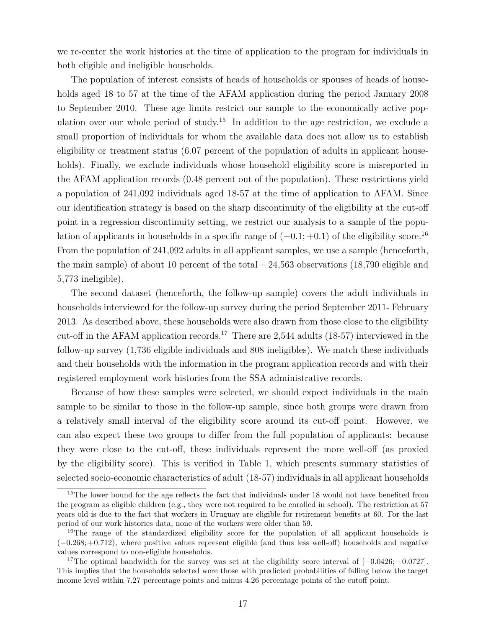we re-center the work histories at the time of application to the program for individuals in both eligible and ineligible households.

The population of interest consists of heads of households or spouses of heads of households aged 18 to 57 at the time of the AFAM application during the period January 2008 to September 2010. These age limits restrict our sample to the economically active population over our whole period of study.<sup>15</sup> In addition to the age restriction, we exclude a small proportion of individuals for whom the available data does not allow us to establish eligibility or treatment status (6.07 percent of the population of adults in applicant households). Finally, we exclude individuals whose household eligibility score is misreported in the AFAM application records (0.48 percent out of the population). These restrictions yield a population of 241,092 individuals aged 18-57 at the time of application to AFAM. Since our identification strategy is based on the sharp discontinuity of the eligibility at the cut-off point in a regression discontinuity setting, we restrict our analysis to a sample of the population of applicants in households in a specific range of  $(-0.1; +0.1)$  of the eligibility score.<sup>16</sup> From the population of 241,092 adults in all applicant samples, we use a sample (henceforth, the main sample) of about 10 percent of the total – 24,563 observations (18,790 eligible and 5,773 ineligible).

The second dataset (henceforth, the follow-up sample) covers the adult individuals in households interviewed for the follow-up survey during the period September 2011- February 2013. As described above, these households were also drawn from those close to the eligibility cut-off in the AFAM application records.<sup>17</sup> There are 2,544 adults (18-57) interviewed in the follow-up survey (1,736 eligible individuals and 808 ineligibles). We match these individuals and their households with the information in the program application records and with their registered employment work histories from the SSA administrative records.

Because of how these samples were selected, we should expect individuals in the main sample to be similar to those in the follow-up sample, since both groups were drawn from a relatively small interval of the eligibility score around its cut-off point. However, we can also expect these two groups to differ from the full population of applicants: because they were close to the cut-off, these individuals represent the more well-off (as proxied by the eligibility score). This is verified in Table 1, which presents summary statistics of selected socio-economic characteristics of adult (18-57) individuals in all applicant households

<sup>&</sup>lt;sup>15</sup>The lower bound for the age reflects the fact that individuals under 18 would not have benefited from the program as eligible children (e.g., they were not required to be enrolled in school). The restriction at 57 years old is due to the fact that workers in Uruguay are eligible for retirement benefits at 60. For the last period of our work histories data, none of the workers were older than 59.

<sup>&</sup>lt;sup>16</sup>The range of the standardized eligibility score for the population of all applicant households is (−0*.*268; +0*.*712), where positive values represent eligible (and thus less well-off) households and negative values correspond to non-eligible households.

<sup>17</sup>The optimal bandwidth for the survey was set at the eligibility score interval of [−0*.*0426; +0*.*0727]. This implies that the households selected were those with predicted probabilities of falling below the target income level within 7.27 percentage points and minus 4.26 percentage points of the cutoff point.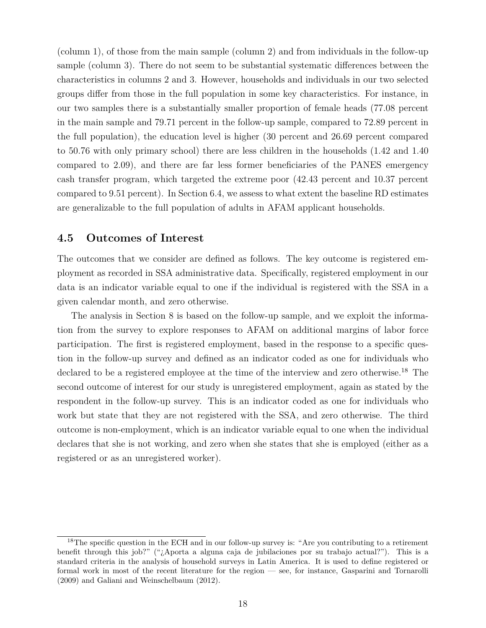(column 1), of those from the main sample (column 2) and from individuals in the follow-up sample (column 3). There do not seem to be substantial systematic differences between the characteristics in columns 2 and 3. However, households and individuals in our two selected groups differ from those in the full population in some key characteristics. For instance, in our two samples there is a substantially smaller proportion of female heads (77.08 percent in the main sample and 79.71 percent in the follow-up sample, compared to 72.89 percent in the full population), the education level is higher (30 percent and 26.69 percent compared to 50.76 with only primary school) there are less children in the households (1.42 and 1.40 compared to 2.09), and there are far less former beneficiaries of the PANES emergency cash transfer program, which targeted the extreme poor (42.43 percent and 10.37 percent compared to 9.51 percent). In Section 6.4, we assess to what extent the baseline RD estimates are generalizable to the full population of adults in AFAM applicant households.

#### **4.5 Outcomes of Interest**

The outcomes that we consider are defined as follows. The key outcome is registered employment as recorded in SSA administrative data. Specifically, registered employment in our data is an indicator variable equal to one if the individual is registered with the SSA in a given calendar month, and zero otherwise.

The analysis in Section 8 is based on the follow-up sample, and we exploit the information from the survey to explore responses to AFAM on additional margins of labor force participation. The first is registered employment, based in the response to a specific question in the follow-up survey and defined as an indicator coded as one for individuals who declared to be a registered employee at the time of the interview and zero otherwise.<sup>18</sup> The second outcome of interest for our study is unregistered employment, again as stated by the respondent in the follow-up survey. This is an indicator coded as one for individuals who work but state that they are not registered with the SSA, and zero otherwise. The third outcome is non-employment, which is an indicator variable equal to one when the individual declares that she is not working, and zero when she states that she is employed (either as a registered or as an unregistered worker).

<sup>&</sup>lt;sup>18</sup>The specific question in the ECH and in our follow-up survey is: "Are you contributing to a retirement benefit through this job?" ("¿Aporta a alguna caja de jubilaciones por su trabajo actual?"). This is a standard criteria in the analysis of household surveys in Latin America. It is used to define registered or formal work in most of the recent literature for the region — see, for instance, Gasparini and Tornarolli (2009) and Galiani and Weinschelbaum (2012).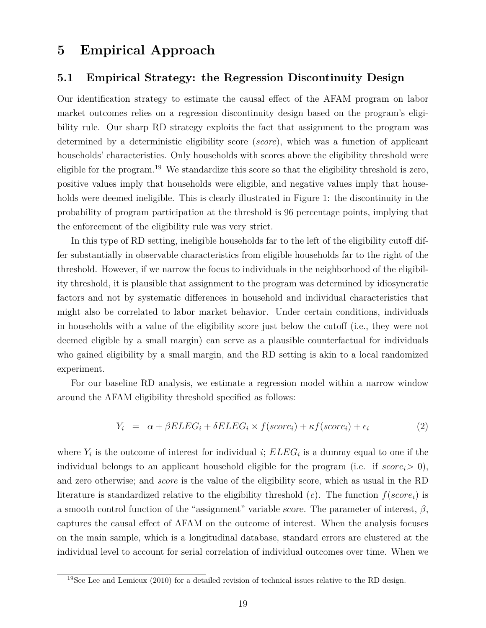# **5 Empirical Approach**

#### **5.1 Empirical Strategy: the Regression Discontinuity Design**

Our identification strategy to estimate the causal effect of the AFAM program on labor market outcomes relies on a regression discontinuity design based on the program's eligibility rule. Our sharp RD strategy exploits the fact that assignment to the program was determined by a deterministic eligibility score (*score*), which was a function of applicant households' characteristics. Only households with scores above the eligibility threshold were eligible for the program.<sup>19</sup> We standardize this score so that the eligibility threshold is zero, positive values imply that households were eligible, and negative values imply that households were deemed ineligible. This is clearly illustrated in Figure 1: the discontinuity in the probability of program participation at the threshold is 96 percentage points, implying that the enforcement of the eligibility rule was very strict.

In this type of RD setting, ineligible households far to the left of the eligibility cutoff differ substantially in observable characteristics from eligible households far to the right of the threshold. However, if we narrow the focus to individuals in the neighborhood of the eligibility threshold, it is plausible that assignment to the program was determined by idiosyncratic factors and not by systematic differences in household and individual characteristics that might also be correlated to labor market behavior. Under certain conditions, individuals in households with a value of the eligibility score just below the cutoff (i.e., they were not deemed eligible by a small margin) can serve as a plausible counterfactual for individuals who gained eligibility by a small margin, and the RD setting is akin to a local randomized experiment.

For our baseline RD analysis, we estimate a regression model within a narrow window around the AFAM eligibility threshold specified as follows:

$$
Y_i = \alpha + \beta ELEG_i + \delta ELEG_i \times f(score_i) + \kappa f(score_i) + \epsilon_i \tag{2}
$$

where  $Y_i$  is the outcome of interest for individual *i*;  $ELEG_i$  is a dummy equal to one if the individual belongs to an applicant household eligible for the program (i.e. if  $score_i > 0$ ), and zero otherwise; and *score* is the value of the eligibility score, which as usual in the RD literature is standardized relative to the eligibility threshold  $(c)$ . The function  $f(score_i)$  is a smooth control function of the "assignment" variable score. The parameter of interest, *β*, captures the causal effect of AFAM on the outcome of interest. When the analysis focuses on the main sample, which is a longitudinal database, standard errors are clustered at the individual level to account for serial correlation of individual outcomes over time. When we

<sup>&</sup>lt;sup>19</sup>See Lee and Lemieux (2010) for a detailed revision of technical issues relative to the RD design.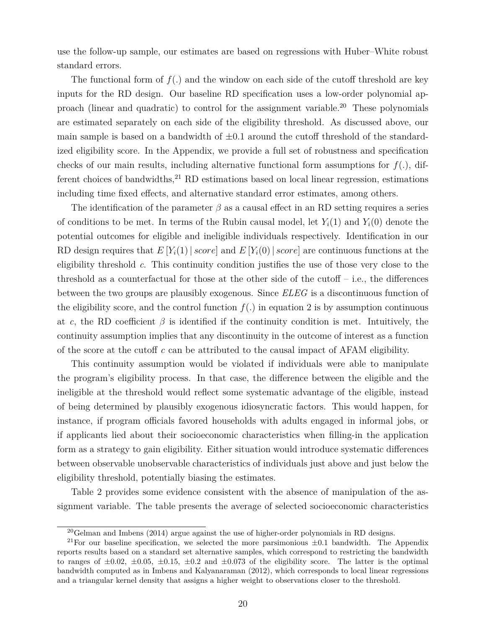use the follow-up sample, our estimates are based on regressions with Huber–White robust standard errors.

The functional form of *f*(*.*) and the window on each side of the cutoff threshold are key inputs for the RD design. Our baseline RD specification uses a low-order polynomial approach (linear and quadratic) to control for the assignment variable.<sup>20</sup> These polynomials are estimated separately on each side of the eligibility threshold. As discussed above, our main sample is based on a bandwidth of  $\pm 0.1$  around the cutoff threshold of the standardized eligibility score. In the Appendix, we provide a full set of robustness and specification checks of our main results, including alternative functional form assumptions for  $f(.)$ , different choices of bandwidths, $^{21}$  RD estimations based on local linear regression, estimations including time fixed effects, and alternative standard error estimates, among others.

The identification of the parameter  $\beta$  as a causal effect in an RD setting requires a series of conditions to be met. In terms of the Rubin causal model, let  $Y_i(1)$  and  $Y_i(0)$  denote the potential outcomes for eligible and ineligible individuals respectively. Identification in our RD design requires that  $E[Y_i(1) | score]$  and  $E[Y_i(0) | score]$  are continuous functions at the eligibility threshold *c*. This continuity condition justifies the use of those very close to the threshold as a counterfactual for those at the other side of the cutoff  $-$  i.e., the differences between the two groups are plausibly exogenous. Since *ELEG* is a discontinuous function of the eligibility score, and the control function  $f(.)$  in equation 2 is by assumption continuous at *c*, the RD coefficient  $\beta$  is identified if the continuity condition is met. Intuitively, the continuity assumption implies that any discontinuity in the outcome of interest as a function of the score at the cutoff *c* can be attributed to the causal impact of AFAM eligibility.

This continuity assumption would be violated if individuals were able to manipulate the program's eligibility process. In that case, the difference between the eligible and the ineligible at the threshold would reflect some systematic advantage of the eligible, instead of being determined by plausibly exogenous idiosyncratic factors. This would happen, for instance, if program officials favored households with adults engaged in informal jobs, or if applicants lied about their socioeconomic characteristics when filling-in the application form as a strategy to gain eligibility. Either situation would introduce systematic differences between observable unobservable characteristics of individuals just above and just below the eligibility threshold, potentially biasing the estimates.

Table 2 provides some evidence consistent with the absence of manipulation of the assignment variable. The table presents the average of selected socioeconomic characteristics

<sup>20</sup>Gelman and Imbens (2014) argue against the use of higher-order polynomials in RD designs.

<sup>&</sup>lt;sup>21</sup>For our baseline specification, we selected the more parsimonious  $\pm 0.1$  bandwidth. The Appendix reports results based on a standard set alternative samples, which correspond to restricting the bandwidth to ranges of  $\pm 0.02$ ,  $\pm 0.05$ ,  $\pm 0.15$ ,  $\pm 0.2$  and  $\pm 0.073$  of the eligibility score. The latter is the optimal bandwidth computed as in Imbens and Kalyanaraman (2012), which corresponds to local linear regressions and a triangular kernel density that assigns a higher weight to observations closer to the threshold.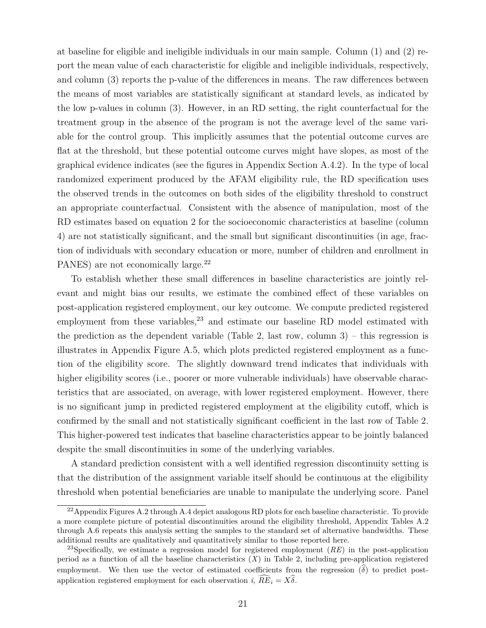at baseline for eligible and ineligible individuals in our main sample. Column (1) and (2) report the mean value of each characteristic for eligible and ineligible individuals, respectively, and column (3) reports the p-value of the differences in means. The raw differences between the means of most variables are statistically significant at standard levels, as indicated by the low p-values in column (3). However, in an RD setting, the right counterfactual for the treatment group in the absence of the program is not the average level of the same variable for the control group. This implicitly assumes that the potential outcome curves are flat at the threshold, but these potential outcome curves might have slopes, as most of the graphical evidence indicates (see the figures in Appendix Section A.4.2). In the type of local randomized experiment produced by the AFAM eligibility rule, the RD specification uses the observed trends in the outcomes on both sides of the eligibility threshold to construct an appropriate counterfactual. Consistent with the absence of manipulation, most of the RD estimates based on equation 2 for the socioeconomic characteristics at baseline (column 4) are not statistically significant, and the small but significant discontinuities (in age, fraction of individuals with secondary education or more, number of children and enrollment in PANES) are not economically large.<sup>22</sup>

To establish whether these small differences in baseline characteristics are jointly relevant and might bias our results, we estimate the combined effect of these variables on post-application registered employment, our key outcome. We compute predicted registered employment from these variables, $^{23}$  and estimate our baseline RD model estimated with the prediction as the dependent variable (Table 2, last row, column  $3$ ) – this regression is illustrates in Appendix Figure A.5, which plots predicted registered employment as a function of the eligibility score. The slightly downward trend indicates that individuals with higher eligibility scores (i.e., poorer or more vulnerable individuals) have observable characteristics that are associated, on average, with lower registered employment. However, there is no significant jump in predicted registered employment at the eligibility cutoff, which is confirmed by the small and not statistically significant coefficient in the last row of Table 2. This higher-powered test indicates that baseline characteristics appear to be jointly balanced despite the small discontinuities in some of the underlying variables.

A standard prediction consistent with a well identified regression discontinuity setting is that the distribution of the assignment variable itself should be continuous at the eligibility threshold when potential beneficiaries are unable to manipulate the underlying score. Panel

 $^{22}$ Appendix Figures A.2 through A.4 depict analogous RD plots for each baseline characteristic. To provide a more complete picture of potential discontinuities around the eligibility threshold, Appendix Tables A.2 through A.6 repeats this analysis setting the samples to the standard set of alternative bandwidths. These additional results are qualitatively and quantitatively similar to those reported here.

<sup>23</sup>Specifically, we estimate a regression model for registered employment (*RE*) in the post-application period as a function of all the baseline characteristics  $(X)$  in Table 2, including pre-application registered employment. We then use the vector of estimated coefficients from the regression  $(\delta)$  to predict postapplication registered employment for each observation *i,*  $\widehat{RE}_i = X\widehat{\delta}$ .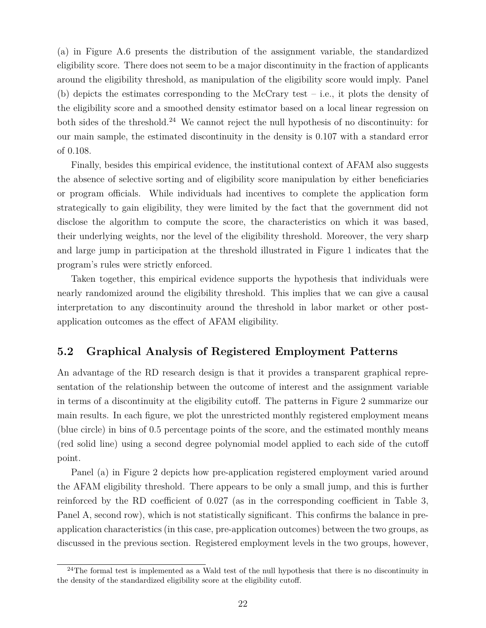(a) in Figure A.6 presents the distribution of the assignment variable, the standardized eligibility score. There does not seem to be a major discontinuity in the fraction of applicants around the eligibility threshold, as manipulation of the eligibility score would imply. Panel (b) depicts the estimates corresponding to the McCrary test – i.e., it plots the density of the eligibility score and a smoothed density estimator based on a local linear regression on both sides of the threshold.<sup>24</sup> We cannot reject the null hypothesis of no discontinuity: for our main sample, the estimated discontinuity in the density is 0.107 with a standard error of 0.108.

Finally, besides this empirical evidence, the institutional context of AFAM also suggests the absence of selective sorting and of eligibility score manipulation by either beneficiaries or program officials. While individuals had incentives to complete the application form strategically to gain eligibility, they were limited by the fact that the government did not disclose the algorithm to compute the score, the characteristics on which it was based, their underlying weights, nor the level of the eligibility threshold. Moreover, the very sharp and large jump in participation at the threshold illustrated in Figure 1 indicates that the program's rules were strictly enforced.

Taken together, this empirical evidence supports the hypothesis that individuals were nearly randomized around the eligibility threshold. This implies that we can give a causal interpretation to any discontinuity around the threshold in labor market or other postapplication outcomes as the effect of AFAM eligibility.

## **5.2 Graphical Analysis of Registered Employment Patterns**

An advantage of the RD research design is that it provides a transparent graphical representation of the relationship between the outcome of interest and the assignment variable in terms of a discontinuity at the eligibility cutoff. The patterns in Figure 2 summarize our main results. In each figure, we plot the unrestricted monthly registered employment means (blue circle) in bins of 0.5 percentage points of the score, and the estimated monthly means (red solid line) using a second degree polynomial model applied to each side of the cutoff point.

Panel (a) in Figure 2 depicts how pre-application registered employment varied around the AFAM eligibility threshold. There appears to be only a small jump, and this is further reinforced by the RD coefficient of 0.027 (as in the corresponding coefficient in Table 3, Panel A, second row), which is not statistically significant. This confirms the balance in preapplication characteristics (in this case, pre-application outcomes) between the two groups, as discussed in the previous section. Registered employment levels in the two groups, however,

 $24$ The formal test is implemented as a Wald test of the null hypothesis that there is no discontinuity in the density of the standardized eligibility score at the eligibility cutoff.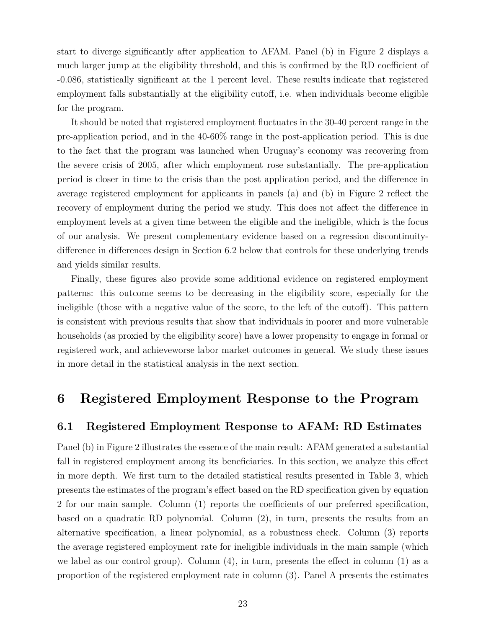start to diverge significantly after application to AFAM. Panel (b) in Figure 2 displays a much larger jump at the eligibility threshold, and this is confirmed by the RD coefficient of -0.086, statistically significant at the 1 percent level. These results indicate that registered employment falls substantially at the eligibility cutoff, i.e. when individuals become eligible for the program.

It should be noted that registered employment fluctuates in the 30-40 percent range in the pre-application period, and in the 40-60% range in the post-application period. This is due to the fact that the program was launched when Uruguay's economy was recovering from the severe crisis of 2005, after which employment rose substantially. The pre-application period is closer in time to the crisis than the post application period, and the difference in average registered employment for applicants in panels (a) and (b) in Figure 2 reflect the recovery of employment during the period we study. This does not affect the difference in employment levels at a given time between the eligible and the ineligible, which is the focus of our analysis. We present complementary evidence based on a regression discontinuitydifference in differences design in Section 6.2 below that controls for these underlying trends and yields similar results.

Finally, these figures also provide some additional evidence on registered employment patterns: this outcome seems to be decreasing in the eligibility score, especially for the ineligible (those with a negative value of the score, to the left of the cutoff). This pattern is consistent with previous results that show that individuals in poorer and more vulnerable households (as proxied by the eligibility score) have a lower propensity to engage in formal or registered work, and achieveworse labor market outcomes in general. We study these issues in more detail in the statistical analysis in the next section.

# **6 Registered Employment Response to the Program**

## **6.1 Registered Employment Response to AFAM: RD Estimates**

Panel (b) in Figure 2 illustrates the essence of the main result: AFAM generated a substantial fall in registered employment among its beneficiaries. In this section, we analyze this effect in more depth. We first turn to the detailed statistical results presented in Table 3, which presents the estimates of the program's effect based on the RD specification given by equation 2 for our main sample. Column (1) reports the coefficients of our preferred specification, based on a quadratic RD polynomial. Column (2), in turn, presents the results from an alternative specification, a linear polynomial, as a robustness check. Column (3) reports the average registered employment rate for ineligible individuals in the main sample (which we label as our control group). Column (4), in turn, presents the effect in column (1) as a proportion of the registered employment rate in column (3). Panel A presents the estimates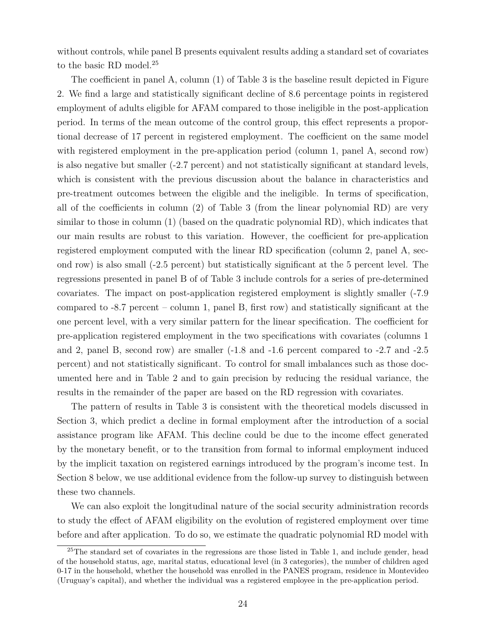without controls, while panel B presents equivalent results adding a standard set of covariates to the basic RD model.<sup>25</sup>

The coefficient in panel A, column (1) of Table 3 is the baseline result depicted in Figure 2. We find a large and statistically significant decline of 8.6 percentage points in registered employment of adults eligible for AFAM compared to those ineligible in the post-application period. In terms of the mean outcome of the control group, this effect represents a proportional decrease of 17 percent in registered employment. The coefficient on the same model with registered employment in the pre-application period (column 1, panel A, second row) is also negative but smaller (-2.7 percent) and not statistically significant at standard levels, which is consistent with the previous discussion about the balance in characteristics and pre-treatment outcomes between the eligible and the ineligible. In terms of specification, all of the coefficients in column (2) of Table 3 (from the linear polynomial RD) are very similar to those in column (1) (based on the quadratic polynomial RD), which indicates that our main results are robust to this variation. However, the coefficient for pre-application registered employment computed with the linear RD specification (column 2, panel A, second row) is also small (-2.5 percent) but statistically significant at the 5 percent level. The regressions presented in panel B of of Table 3 include controls for a series of pre-determined covariates. The impact on post-application registered employment is slightly smaller (-7.9 compared to -8.7 percent – column 1, panel B, first row) and statistically significant at the one percent level, with a very similar pattern for the linear specification. The coefficient for pre-application registered employment in the two specifications with covariates (columns 1 and 2, panel B, second row) are smaller (-1.8 and -1.6 percent compared to -2.7 and -2.5 percent) and not statistically significant. To control for small imbalances such as those documented here and in Table 2 and to gain precision by reducing the residual variance, the results in the remainder of the paper are based on the RD regression with covariates.

The pattern of results in Table 3 is consistent with the theoretical models discussed in Section 3, which predict a decline in formal employment after the introduction of a social assistance program like AFAM. This decline could be due to the income effect generated by the monetary benefit, or to the transition from formal to informal employment induced by the implicit taxation on registered earnings introduced by the program's income test. In Section 8 below, we use additional evidence from the follow-up survey to distinguish between these two channels.

We can also exploit the longitudinal nature of the social security administration records to study the effect of AFAM eligibility on the evolution of registered employment over time before and after application. To do so, we estimate the quadratic polynomial RD model with

<sup>&</sup>lt;sup>25</sup>The standard set of covariates in the regressions are those listed in Table 1, and include gender, head of the household status, age, marital status, educational level (in 3 categories), the number of children aged 0-17 in the household, whether the household was enrolled in the PANES program, residence in Montevideo (Uruguay's capital), and whether the individual was a registered employee in the pre-application period.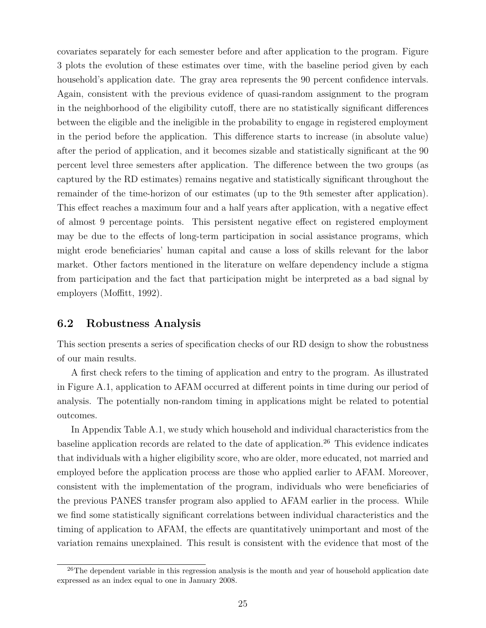covariates separately for each semester before and after application to the program. Figure 3 plots the evolution of these estimates over time, with the baseline period given by each household's application date. The gray area represents the 90 percent confidence intervals. Again, consistent with the previous evidence of quasi-random assignment to the program in the neighborhood of the eligibility cutoff, there are no statistically significant differences between the eligible and the ineligible in the probability to engage in registered employment in the period before the application. This difference starts to increase (in absolute value) after the period of application, and it becomes sizable and statistically significant at the 90 percent level three semesters after application. The difference between the two groups (as captured by the RD estimates) remains negative and statistically significant throughout the remainder of the time-horizon of our estimates (up to the 9th semester after application). This effect reaches a maximum four and a half years after application, with a negative effect of almost 9 percentage points. This persistent negative effect on registered employment may be due to the effects of long-term participation in social assistance programs, which might erode beneficiaries' human capital and cause a loss of skills relevant for the labor market. Other factors mentioned in the literature on welfare dependency include a stigma from participation and the fact that participation might be interpreted as a bad signal by employers (Moffitt, 1992).

## **6.2 Robustness Analysis**

This section presents a series of specification checks of our RD design to show the robustness of our main results.

A first check refers to the timing of application and entry to the program. As illustrated in Figure A.1, application to AFAM occurred at different points in time during our period of analysis. The potentially non-random timing in applications might be related to potential outcomes.

In Appendix Table A.1, we study which household and individual characteristics from the baseline application records are related to the date of application.<sup>26</sup> This evidence indicates that individuals with a higher eligibility score, who are older, more educated, not married and employed before the application process are those who applied earlier to AFAM. Moreover, consistent with the implementation of the program, individuals who were beneficiaries of the previous PANES transfer program also applied to AFAM earlier in the process. While we find some statistically significant correlations between individual characteristics and the timing of application to AFAM, the effects are quantitatively unimportant and most of the variation remains unexplained. This result is consistent with the evidence that most of the

 $26$ The dependent variable in this regression analysis is the month and year of household application date expressed as an index equal to one in January 2008.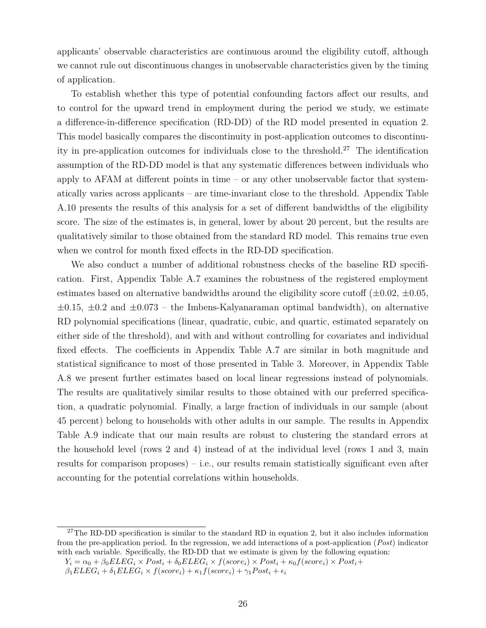applicants' observable characteristics are continuous around the eligibility cutoff, although we cannot rule out discontinuous changes in unobservable characteristics given by the timing of application.

To establish whether this type of potential confounding factors affect our results, and to control for the upward trend in employment during the period we study, we estimate a difference-in-difference specification (RD-DD) of the RD model presented in equation 2. This model basically compares the discontinuity in post-application outcomes to discontinuity in pre-application outcomes for individuals close to the threshold.<sup>27</sup> The identification assumption of the RD-DD model is that any systematic differences between individuals who apply to AFAM at different points in time – or any other unobservable factor that systematically varies across applicants – are time-invariant close to the threshold. Appendix Table A.10 presents the results of this analysis for a set of different bandwidths of the eligibility score. The size of the estimates is, in general, lower by about 20 percent, but the results are qualitatively similar to those obtained from the standard RD model. This remains true even when we control for month fixed effects in the RD-DD specification.

We also conduct a number of additional robustness checks of the baseline RD specification. First, Appendix Table A.7 examines the robustness of the registered employment estimates based on alternative bandwidths around the eligibility score cutoff  $(\pm 0.02, \pm 0.05,$ ±0*.*15, ±0*.*2 and ±0*.*073 – the Imbens-Kalyanaraman optimal bandwidth), on alternative RD polynomial specifications (linear, quadratic, cubic, and quartic, estimated separately on either side of the threshold), and with and without controlling for covariates and individual fixed effects. The coefficients in Appendix Table A.7 are similar in both magnitude and statistical significance to most of those presented in Table 3. Moreover, in Appendix Table A.8 we present further estimates based on local linear regressions instead of polynomials. The results are qualitatively similar results to those obtained with our preferred specification, a quadratic polynomial. Finally, a large fraction of individuals in our sample (about 45 percent) belong to households with other adults in our sample. The results in Appendix Table A.9 indicate that our main results are robust to clustering the standard errors at the household level (rows 2 and 4) instead of at the individual level (rows 1 and 3, main results for comparison proposes) – i.e., our results remain statistically significant even after accounting for the potential correlations within households.

<sup>&</sup>lt;sup>27</sup>The RD-DD specification is similar to the standard RD in equation 2, but it also includes information from the pre-application period. In the regression, we add interactions of a post-application (*Post*) indicator with each variable. Specifically, the RD-DD that we estimate is given by the following equation:

 $Y_i = \alpha_0 + \beta_0 E L E G_i \times Post_i + \delta_0 E L E G_i \times f(score_i) \times Post_i + \kappa_0 f(score_i) \times Post_i +$ 

 $\beta_1 E L E G_i + \delta_1 E L E G_i \times f(score_i) + \kappa_1 f(score_i) + \gamma_1 Post_i + \epsilon_i$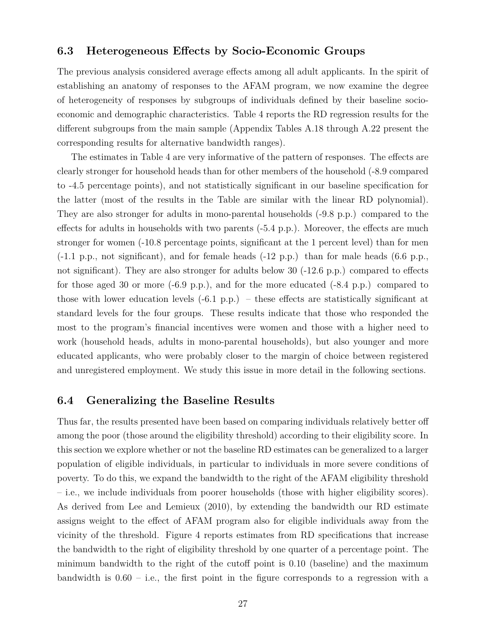#### **6.3 Heterogeneous Effects by Socio-Economic Groups**

The previous analysis considered average effects among all adult applicants. In the spirit of establishing an anatomy of responses to the AFAM program, we now examine the degree of heterogeneity of responses by subgroups of individuals defined by their baseline socioeconomic and demographic characteristics. Table 4 reports the RD regression results for the different subgroups from the main sample (Appendix Tables A.18 through A.22 present the corresponding results for alternative bandwidth ranges).

The estimates in Table 4 are very informative of the pattern of responses. The effects are clearly stronger for household heads than for other members of the household (-8.9 compared to -4.5 percentage points), and not statistically significant in our baseline specification for the latter (most of the results in the Table are similar with the linear RD polynomial). They are also stronger for adults in mono-parental households (-9.8 p.p.) compared to the effects for adults in households with two parents (-5.4 p.p.). Moreover, the effects are much stronger for women (-10.8 percentage points, significant at the 1 percent level) than for men (-1.1 p.p., not significant), and for female heads (-12 p.p.) than for male heads (6.6 p.p., not significant). They are also stronger for adults below 30 (-12.6 p.p.) compared to effects for those aged 30 or more  $(-6.9 \text{ p.p.})$ , and for the more educated  $(-8.4 \text{ p.p.})$  compared to those with lower education levels  $(-6.1 \text{ p.p.})$  – these effects are statistically significant at standard levels for the four groups. These results indicate that those who responded the most to the program's financial incentives were women and those with a higher need to work (household heads, adults in mono-parental households), but also younger and more educated applicants, who were probably closer to the margin of choice between registered and unregistered employment. We study this issue in more detail in the following sections.

#### **6.4 Generalizing the Baseline Results**

Thus far, the results presented have been based on comparing individuals relatively better off among the poor (those around the eligibility threshold) according to their eligibility score. In this section we explore whether or not the baseline RD estimates can be generalized to a larger population of eligible individuals, in particular to individuals in more severe conditions of poverty. To do this, we expand the bandwidth to the right of the AFAM eligibility threshold – i.e., we include individuals from poorer households (those with higher eligibility scores). As derived from Lee and Lemieux (2010), by extending the bandwidth our RD estimate assigns weight to the effect of AFAM program also for eligible individuals away from the vicinity of the threshold. Figure 4 reports estimates from RD specifications that increase the bandwidth to the right of eligibility threshold by one quarter of a percentage point. The minimum bandwidth to the right of the cutoff point is 0.10 (baseline) and the maximum bandwidth is  $0.60 - i.e.,$  the first point in the figure corresponds to a regression with a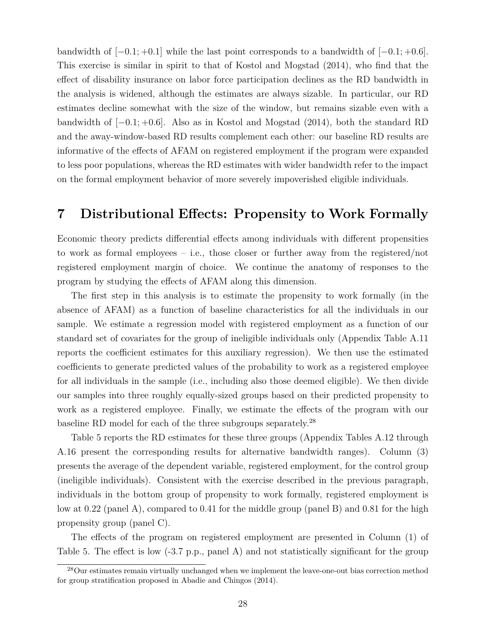bandwidth of [−0*.*1; +0*.*1] while the last point corresponds to a bandwidth of [−0*.*1; +0*.*6]. This exercise is similar in spirit to that of Kostol and Mogstad (2014), who find that the effect of disability insurance on labor force participation declines as the RD bandwidth in the analysis is widened, although the estimates are always sizable. In particular, our RD estimates decline somewhat with the size of the window, but remains sizable even with a bandwidth of [−0*.*1; +0*.*6]. Also as in Kostol and Mogstad (2014), both the standard RD and the away-window-based RD results complement each other: our baseline RD results are informative of the effects of AFAM on registered employment if the program were expanded to less poor populations, whereas the RD estimates with wider bandwidth refer to the impact on the formal employment behavior of more severely impoverished eligible individuals.

# **7 Distributional Effects: Propensity to Work Formally**

Economic theory predicts differential effects among individuals with different propensities to work as formal employees – i.e., those closer or further away from the registered/not registered employment margin of choice. We continue the anatomy of responses to the program by studying the effects of AFAM along this dimension.

The first step in this analysis is to estimate the propensity to work formally (in the absence of AFAM) as a function of baseline characteristics for all the individuals in our sample. We estimate a regression model with registered employment as a function of our standard set of covariates for the group of ineligible individuals only (Appendix Table A.11 reports the coefficient estimates for this auxiliary regression). We then use the estimated coefficients to generate predicted values of the probability to work as a registered employee for all individuals in the sample (i.e., including also those deemed eligible)*.* We then divide our samples into three roughly equally-sized groups based on their predicted propensity to work as a registered employee. Finally, we estimate the effects of the program with our baseline RD model for each of the three subgroups separately.<sup>28</sup>

Table 5 reports the RD estimates for these three groups (Appendix Tables A.12 through A.16 present the corresponding results for alternative bandwidth ranges). Column (3) presents the average of the dependent variable, registered employment, for the control group (ineligible individuals). Consistent with the exercise described in the previous paragraph, individuals in the bottom group of propensity to work formally, registered employment is low at 0.22 (panel A), compared to 0.41 for the middle group (panel B) and 0.81 for the high propensity group (panel C).

The effects of the program on registered employment are presented in Column (1) of Table 5. The effect is low (-3.7 p.p., panel A) and not statistically significant for the group

<sup>&</sup>lt;sup>28</sup>Our estimates remain virtually unchanged when we implement the leave-one-out bias correction method for group stratification proposed in Abadie and Chingos (2014).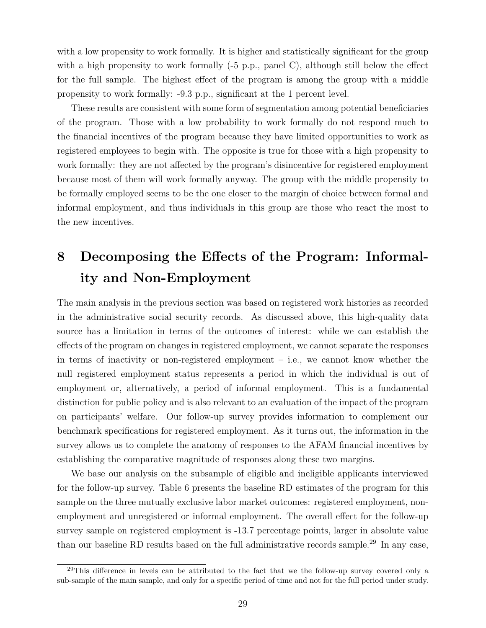with a low propensity to work formally. It is higher and statistically significant for the group with a high propensity to work formally  $(-5 \text{ p.p., panel C})$ , although still below the effect for the full sample. The highest effect of the program is among the group with a middle propensity to work formally: -9.3 p.p., significant at the 1 percent level.

These results are consistent with some form of segmentation among potential beneficiaries of the program. Those with a low probability to work formally do not respond much to the financial incentives of the program because they have limited opportunities to work as registered employees to begin with. The opposite is true for those with a high propensity to work formally: they are not affected by the program's disincentive for registered employment because most of them will work formally anyway. The group with the middle propensity to be formally employed seems to be the one closer to the margin of choice between formal and informal employment, and thus individuals in this group are those who react the most to the new incentives.

# **8 Decomposing the Effects of the Program: Informality and Non-Employment**

The main analysis in the previous section was based on registered work histories as recorded in the administrative social security records. As discussed above, this high-quality data source has a limitation in terms of the outcomes of interest: while we can establish the effects of the program on changes in registered employment, we cannot separate the responses in terms of inactivity or non-registered employment  $-$  i.e., we cannot know whether the null registered employment status represents a period in which the individual is out of employment or, alternatively, a period of informal employment. This is a fundamental distinction for public policy and is also relevant to an evaluation of the impact of the program on participants' welfare. Our follow-up survey provides information to complement our benchmark specifications for registered employment. As it turns out, the information in the survey allows us to complete the anatomy of responses to the AFAM financial incentives by establishing the comparative magnitude of responses along these two margins.

We base our analysis on the subsample of eligible and ineligible applicants interviewed for the follow-up survey. Table 6 presents the baseline RD estimates of the program for this sample on the three mutually exclusive labor market outcomes: registered employment, nonemployment and unregistered or informal employment. The overall effect for the follow-up survey sample on registered employment is -13.7 percentage points, larger in absolute value than our baseline RD results based on the full administrative records sample.<sup>29</sup> In any case,

<sup>&</sup>lt;sup>29</sup>This difference in levels can be attributed to the fact that we the follow-up survey covered only a sub-sample of the main sample, and only for a specific period of time and not for the full period under study.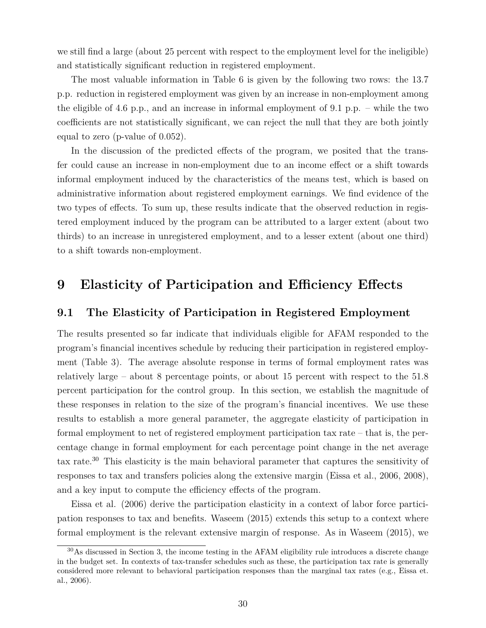we still find a large (about 25 percent with respect to the employment level for the ineligible) and statistically significant reduction in registered employment.

The most valuable information in Table 6 is given by the following two rows: the 13.7 p.p. reduction in registered employment was given by an increase in non-employment among the eligible of 4.6 p.p., and an increase in informal employment of 9.1 p.p. – while the two coefficients are not statistically significant, we can reject the null that they are both jointly equal to zero (p-value of 0.052).

In the discussion of the predicted effects of the program, we posited that the transfer could cause an increase in non-employment due to an income effect or a shift towards informal employment induced by the characteristics of the means test, which is based on administrative information about registered employment earnings. We find evidence of the two types of effects. To sum up, these results indicate that the observed reduction in registered employment induced by the program can be attributed to a larger extent (about two thirds) to an increase in unregistered employment, and to a lesser extent (about one third) to a shift towards non-employment.

# **9 Elasticity of Participation and Efficiency Effects**

#### **9.1 The Elasticity of Participation in Registered Employment**

The results presented so far indicate that individuals eligible for AFAM responded to the program's financial incentives schedule by reducing their participation in registered employment (Table 3). The average absolute response in terms of formal employment rates was relatively large – about 8 percentage points, or about 15 percent with respect to the 51.8 percent participation for the control group. In this section, we establish the magnitude of these responses in relation to the size of the program's financial incentives. We use these results to establish a more general parameter, the aggregate elasticity of participation in formal employment to net of registered employment participation tax rate – that is, the percentage change in formal employment for each percentage point change in the net average tax rate.<sup>30</sup> This elasticity is the main behavioral parameter that captures the sensitivity of responses to tax and transfers policies along the extensive margin (Eissa et al., 2006, 2008), and a key input to compute the efficiency effects of the program.

Eissa et al. (2006) derive the participation elasticity in a context of labor force participation responses to tax and benefits. Waseem (2015) extends this setup to a context where formal employment is the relevant extensive margin of response. As in Waseem (2015), we

<sup>30</sup>As discussed in Section 3, the income testing in the AFAM eligibility rule introduces a discrete change in the budget set. In contexts of tax-transfer schedules such as these, the participation tax rate is generally considered more relevant to behavioral participation responses than the marginal tax rates (e.g., Eissa et. al., 2006).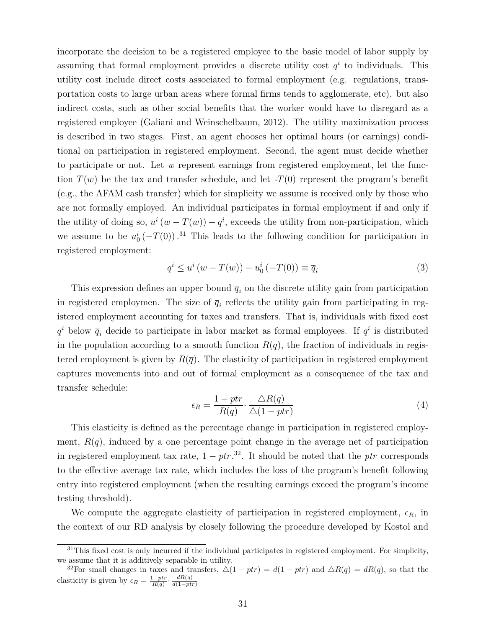incorporate the decision to be a registered employee to the basic model of labor supply by assuming that formal employment provides a discrete utility cost  $q<sup>i</sup>$  to individuals. This utility cost include direct costs associated to formal employment (e.g. regulations, transportation costs to large urban areas where formal firms tends to agglomerate, etc). but also indirect costs, such as other social benefits that the worker would have to disregard as a registered employee (Galiani and Weinschelbaum, 2012). The utility maximization process is described in two stages. First, an agent chooses her optimal hours (or earnings) conditional on participation in registered employment. Second, the agent must decide whether to participate or not. Let *w* represent earnings from registered employment, let the function  $T(w)$  be the tax and transfer schedule, and let  $-T(0)$  represent the program's benefit (e.g., the AFAM cash transfer) which for simplicity we assume is received only by those who are not formally employed. An individual participates in formal employment if and only if the utility of doing so,  $u^i(w - T(w)) - q^i$ , exceeds the utility from non-participation, which we assume to be  $u_0^i(-T(0))$ .<sup>31</sup> This leads to the following condition for participation in registered employment:

$$
q^{i} \le u^{i} \left( w - T(w) \right) - u_{0}^{i} \left( -T(0) \right) \equiv \overline{q}_{i}
$$
\n
$$
(3)
$$

This expression defines an upper bound  $\bar{q}_i$  on the discrete utility gain from participation in registered employmen. The size of  $\overline{q}_i$  reflects the utility gain from participating in registered employment accounting for taxes and transfers. That is, individuals with fixed cost  $q^i$  below  $\overline{q}_i$  decide to participate in labor market as formal employees. If  $q^i$  is distributed in the population according to a smooth function  $R(q)$ , the fraction of individuals in registered employment is given by  $R(\bar{q})$ . The elasticity of participation in registered employment captures movements into and out of formal employment as a consequence of the tax and transfer schedule:

$$
\epsilon_R = \frac{1 - ptr}{R(q)} \cdot \frac{\triangle R(q)}{\triangle (1 - ptr)}\tag{4}
$$

This elasticity is defined as the percentage change in participation in registered employment,  $R(q)$ , induced by a one percentage point change in the average net of participation in registered employment tax rate,  $1 - ptr.^{32}$ . It should be noted that the *ptr* corresponds to the effective average tax rate, which includes the loss of the program's benefit following entry into registered employment (when the resulting earnings exceed the program's income testing threshold).

We compute the aggregate elasticity of participation in registered employment,  $\epsilon_R$ , in the context of our RD analysis by closely following the procedure developed by Kostol and

<sup>&</sup>lt;sup>31</sup>This fixed cost is only incurred if the individual participates in registered employment. For simplicity, we assume that it is additively separable in utility.

<sup>&</sup>lt;sup>32</sup>For small changes in taxes and transfers,  $\Delta(1 - ptr) = d(1 - ptr)$  and  $\Delta R(q) = dR(q)$ , so that the elasticity is given by  $\epsilon_R = \frac{1 - ptr}{R(q)} \cdot \frac{dR(q)}{d(1 - ptr)}$ *d*(1−*ptr*)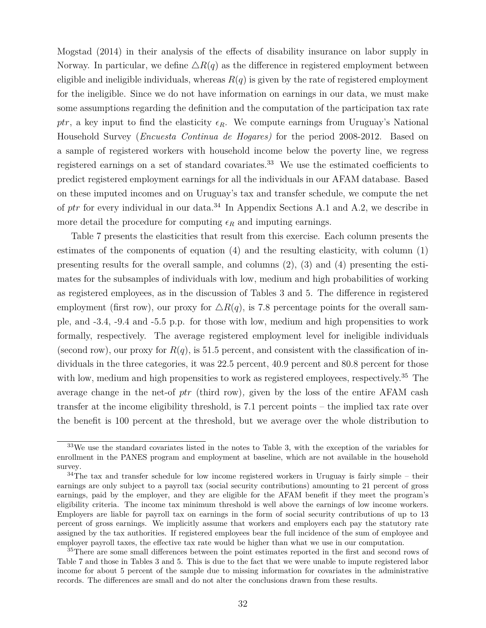Mogstad (2014) in their analysis of the effects of disability insurance on labor supply in Norway. In particular, we define  $\Delta R(q)$  as the difference in registered employment between eligible and ineligible individuals, whereas  $R(q)$  is given by the rate of registered employment for the ineligible. Since we do not have information on earnings in our data, we must make some assumptions regarding the definition and the computation of the participation tax rate ptr, a key input to find the elasticity  $\epsilon_R$ . We compute earnings from Uruguay's National Household Survey (*Encuesta Continua de Hogares)* for the period 2008-2012. Based on a sample of registered workers with household income below the poverty line, we regress registered earnings on a set of standard covariates.<sup>33</sup> We use the estimated coefficients to predict registered employment earnings for all the individuals in our AFAM database. Based on these imputed incomes and on Uruguay's tax and transfer schedule, we compute the net of *ptr* for every individual in our data.<sup>34</sup> In Appendix Sections A.1 and A.2, we describe in more detail the procedure for computing  $\epsilon_R$  and imputing earnings.

Table 7 presents the elasticities that result from this exercise. Each column presents the estimates of the components of equation (4) and the resulting elasticity, with column (1) presenting results for the overall sample, and columns  $(2)$ ,  $(3)$  and  $(4)$  presenting the estimates for the subsamples of individuals with low, medium and high probabilities of working as registered employees, as in the discussion of Tables 3 and 5. The difference in registered employment (first row), our proxy for  $\Delta R(q)$ , is 7.8 percentage points for the overall sample, and -3.4, -9.4 and -5.5 p.p. for those with low, medium and high propensities to work formally, respectively. The average registered employment level for ineligible individuals (second row), our proxy for  $R(q)$ , is 51.5 percent, and consistent with the classification of individuals in the three categories, it was 22.5 percent, 40.9 percent and 80.8 percent for those with low, medium and high propensities to work as registered employees, respectively.<sup>35</sup> The average change in the net-of *ptr* (third row)*,* given by the loss of the entire AFAM cash transfer at the income eligibility threshold, is 7.1 percent points – the implied tax rate over the benefit is 100 percent at the threshold, but we average over the whole distribution to

<sup>33</sup>We use the standard covariates listed in the notes to Table 3, with the exception of the variables for enrollment in the PANES program and employment at baseline, which are not available in the household survey.

<sup>&</sup>lt;sup>34</sup>The tax and transfer schedule for low income registered workers in Uruguay is fairly simple – their earnings are only subject to a payroll tax (social security contributions) amounting to 21 percent of gross earnings, paid by the employer, and they are eligible for the AFAM benefit if they meet the program's eligibility criteria. The income tax minimum threshold is well above the earnings of low income workers. Employers are liable for payroll tax on earnings in the form of social security contributions of up to 13 percent of gross earnings. We implicitly assume that workers and employers each pay the statutory rate assigned by the tax authorities. If registered employees bear the full incidence of the sum of employee and employer payroll taxes, the effective tax rate would be higher than what we use in our computation.

<sup>35</sup>There are some small differences between the point estimates reported in the first and second rows of Table 7 and those in Tables 3 and 5. This is due to the fact that we were unable to impute registered labor income for about 5 percent of the sample due to missing information for covariates in the administrative records. The differences are small and do not alter the conclusions drawn from these results.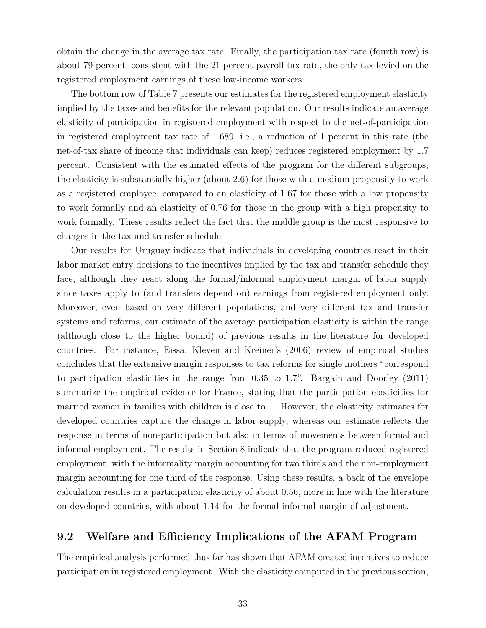obtain the change in the average tax rate. Finally, the participation tax rate (fourth row) is about 79 percent, consistent with the 21 percent payroll tax rate, the only tax levied on the registered employment earnings of these low-income workers.

The bottom row of Table 7 presents our estimates for the registered employment elasticity implied by the taxes and benefits for the relevant population. Our results indicate an average elasticity of participation in registered employment with respect to the net-of-participation in registered employment tax rate of 1.689, i.e., a reduction of 1 percent in this rate (the net-of-tax share of income that individuals can keep) reduces registered employment by 1.7 percent. Consistent with the estimated effects of the program for the different subgroups, the elasticity is substantially higher (about 2.6) for those with a medium propensity to work as a registered employee, compared to an elasticity of 1.67 for those with a low propensity to work formally and an elasticity of 0.76 for those in the group with a high propensity to work formally. These results reflect the fact that the middle group is the most responsive to changes in the tax and transfer schedule.

Our results for Uruguay indicate that individuals in developing countries react in their labor market entry decisions to the incentives implied by the tax and transfer schedule they face, although they react along the formal/informal employment margin of labor supply since taxes apply to (and transfers depend on) earnings from registered employment only. Moreover, even based on very different populations, and very different tax and transfer systems and reforms, our estimate of the average participation elasticity is within the range (although close to the higher bound) of previous results in the literature for developed countries. For instance, Eissa, Kleven and Kreiner's (2006) review of empirical studies concludes that the extensive margin responses to tax reforms for single mothers "correspond to participation elasticities in the range from 0.35 to 1.7". Bargain and Doorley (2011) summarize the empirical evidence for France, stating that the participation elasticities for married women in families with children is close to 1. However, the elasticity estimates for developed countries capture the change in labor supply, whereas our estimate reflects the response in terms of non-participation but also in terms of movements between formal and informal employment. The results in Section 8 indicate that the program reduced registered employment, with the informality margin accounting for two thirds and the non-employment margin accounting for one third of the response. Using these results, a back of the envelope calculation results in a participation elasticity of about 0.56, more in line with the literature on developed countries, with about 1.14 for the formal-informal margin of adjustment.

#### **9.2 Welfare and Efficiency Implications of the AFAM Program**

The empirical analysis performed thus far has shown that AFAM created incentives to reduce participation in registered employment. With the elasticity computed in the previous section,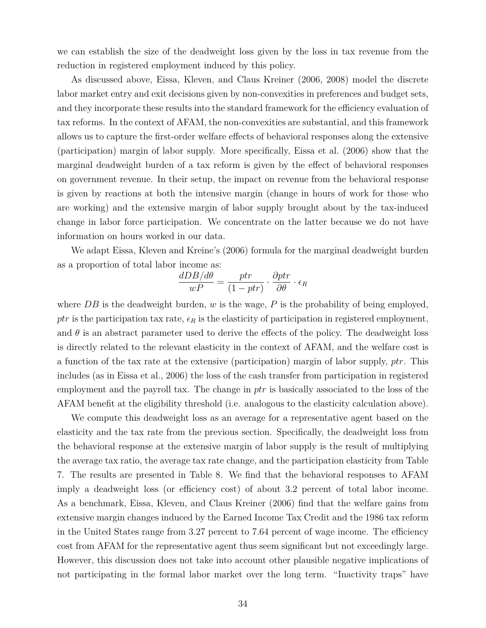we can establish the size of the deadweight loss given by the loss in tax revenue from the reduction in registered employment induced by this policy.

As discussed above, Eissa, Kleven, and Claus Kreiner (2006, 2008) model the discrete labor market entry and exit decisions given by non-convexities in preferences and budget sets, and they incorporate these results into the standard framework for the efficiency evaluation of tax reforms. In the context of AFAM, the non-convexities are substantial, and this framework allows us to capture the first-order welfare effects of behavioral responses along the extensive (participation) margin of labor supply. More specifically, Eissa et al. (2006) show that the marginal deadweight burden of a tax reform is given by the effect of behavioral responses on government revenue. In their setup, the impact on revenue from the behavioral response is given by reactions at both the intensive margin (change in hours of work for those who are working) and the extensive margin of labor supply brought about by the tax-induced change in labor force participation. We concentrate on the latter because we do not have information on hours worked in our data.

We adapt Eissa, Kleven and Kreine's (2006) formula for the marginal deadweight burden as a proportion of total labor income as:

$$
\frac{dDB/d\theta}{wP} = \frac{ptr}{(1 - ptr)} \cdot \frac{\partialptr}{\partial\theta} \cdot \epsilon_R
$$

where *DB* is the deadweight burden, *w* is the wage, *P* is the probability of being employed, ptr is the participation tax rate,  $\epsilon_R$  is the elasticity of participation in registered employment, and  $\theta$  is an abstract parameter used to derive the effects of the policy. The deadweight loss is directly related to the relevant elasticity in the context of AFAM, and the welfare cost is a function of the tax rate at the extensive (participation) margin of labor supply, *ptr*. This includes (as in Eissa et al., 2006) the loss of the cash transfer from participation in registered employment and the payroll tax. The change in *ptr* is basically associated to the loss of the AFAM benefit at the eligibility threshold (i.e. analogous to the elasticity calculation above).

We compute this deadweight loss as an average for a representative agent based on the elasticity and the tax rate from the previous section. Specifically, the deadweight loss from the behavioral response at the extensive margin of labor supply is the result of multiplying the average tax ratio, the average tax rate change, and the participation elasticity from Table 7. The results are presented in Table 8. We find that the behavioral responses to AFAM imply a deadweight loss (or efficiency cost) of about 3.2 percent of total labor income. As a benchmark, Eissa, Kleven, and Claus Kreiner (2006) find that the welfare gains from extensive margin changes induced by the Earned Income Tax Credit and the 1986 tax reform in the United States range from 3.27 percent to 7.64 percent of wage income. The efficiency cost from AFAM for the representative agent thus seem significant but not exceedingly large. However, this discussion does not take into account other plausible negative implications of not participating in the formal labor market over the long term. "Inactivity traps" have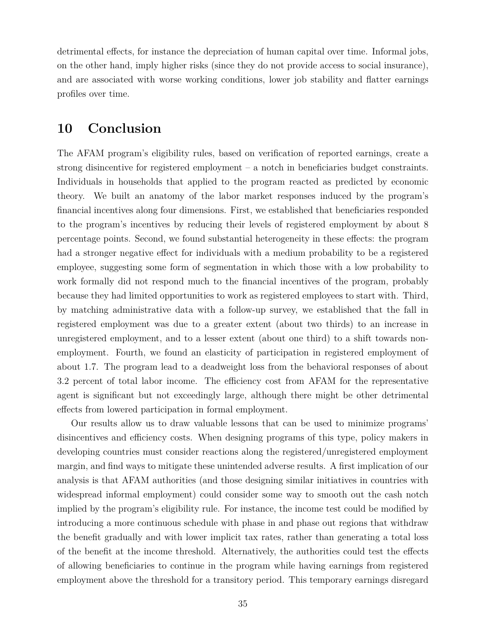detrimental effects, for instance the depreciation of human capital over time. Informal jobs, on the other hand, imply higher risks (since they do not provide access to social insurance), and are associated with worse working conditions, lower job stability and flatter earnings profiles over time.

## **10 Conclusion**

The AFAM program's eligibility rules, based on verification of reported earnings, create a strong disincentive for registered employment – a notch in beneficiaries budget constraints. Individuals in households that applied to the program reacted as predicted by economic theory. We built an anatomy of the labor market responses induced by the program's financial incentives along four dimensions. First, we established that beneficiaries responded to the program's incentives by reducing their levels of registered employment by about 8 percentage points. Second, we found substantial heterogeneity in these effects: the program had a stronger negative effect for individuals with a medium probability to be a registered employee, suggesting some form of segmentation in which those with a low probability to work formally did not respond much to the financial incentives of the program, probably because they had limited opportunities to work as registered employees to start with. Third, by matching administrative data with a follow-up survey, we established that the fall in registered employment was due to a greater extent (about two thirds) to an increase in unregistered employment, and to a lesser extent (about one third) to a shift towards nonemployment. Fourth, we found an elasticity of participation in registered employment of about 1.7. The program lead to a deadweight loss from the behavioral responses of about 3.2 percent of total labor income. The efficiency cost from AFAM for the representative agent is significant but not exceedingly large, although there might be other detrimental effects from lowered participation in formal employment.

Our results allow us to draw valuable lessons that can be used to minimize programs' disincentives and efficiency costs. When designing programs of this type, policy makers in developing countries must consider reactions along the registered/unregistered employment margin, and find ways to mitigate these unintended adverse results. A first implication of our analysis is that AFAM authorities (and those designing similar initiatives in countries with widespread informal employment) could consider some way to smooth out the cash notch implied by the program's eligibility rule. For instance, the income test could be modified by introducing a more continuous schedule with phase in and phase out regions that withdraw the benefit gradually and with lower implicit tax rates, rather than generating a total loss of the benefit at the income threshold. Alternatively, the authorities could test the effects of allowing beneficiaries to continue in the program while having earnings from registered employment above the threshold for a transitory period. This temporary earnings disregard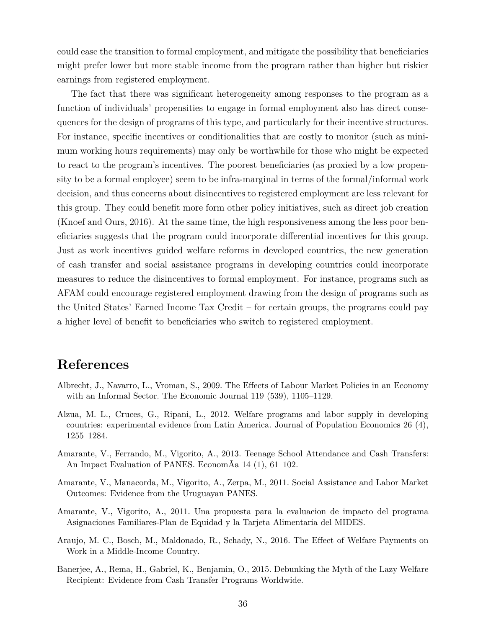could ease the transition to formal employment, and mitigate the possibility that beneficiaries might prefer lower but more stable income from the program rather than higher but riskier earnings from registered employment.

The fact that there was significant heterogeneity among responses to the program as a function of individuals' propensities to engage in formal employment also has direct consequences for the design of programs of this type, and particularly for their incentive structures. For instance, specific incentives or conditionalities that are costly to monitor (such as minimum working hours requirements) may only be worthwhile for those who might be expected to react to the program's incentives. The poorest beneficiaries (as proxied by a low propensity to be a formal employee) seem to be infra-marginal in terms of the formal/informal work decision, and thus concerns about disincentives to registered employment are less relevant for this group. They could benefit more form other policy initiatives, such as direct job creation (Knoef and Ours, 2016). At the same time, the high responsiveness among the less poor beneficiaries suggests that the program could incorporate differential incentives for this group. Just as work incentives guided welfare reforms in developed countries, the new generation of cash transfer and social assistance programs in developing countries could incorporate measures to reduce the disincentives to formal employment. For instance, programs such as AFAM could encourage registered employment drawing from the design of programs such as the United States' Earned Income Tax Credit – for certain groups, the programs could pay a higher level of benefit to beneficiaries who switch to registered employment.

### **References**

- Albrecht, J., Navarro, L., Vroman, S., 2009. The Effects of Labour Market Policies in an Economy with an Informal Sector. The Economic Journal 119 (539), 1105–1129.
- Alzua, M. L., Cruces, G., Ripani, L., 2012. Welfare programs and labor supply in developing countries: experimental evidence from Latin America. Journal of Population Economics 26 (4), 1255–1284.
- Amarante, V., Ferrando, M., Vigorito, A., 2013. Teenage School Attendance and Cash Transfers: An Impact Evaluation of PANES. EconomÃa 14 (1), 61–102.
- Amarante, V., Manacorda, M., Vigorito, A., Zerpa, M., 2011. Social Assistance and Labor Market Outcomes: Evidence from the Uruguayan PANES.
- Amarante, V., Vigorito, A., 2011. Una propuesta para la evaluacion de impacto del programa Asignaciones Familiares-Plan de Equidad y la Tarjeta Alimentaria del MIDES.
- Araujo, M. C., Bosch, M., Maldonado, R., Schady, N., 2016. The Effect of Welfare Payments on Work in a Middle-Income Country.
- Banerjee, A., Rema, H., Gabriel, K., Benjamin, O., 2015. Debunking the Myth of the Lazy Welfare Recipient: Evidence from Cash Transfer Programs Worldwide.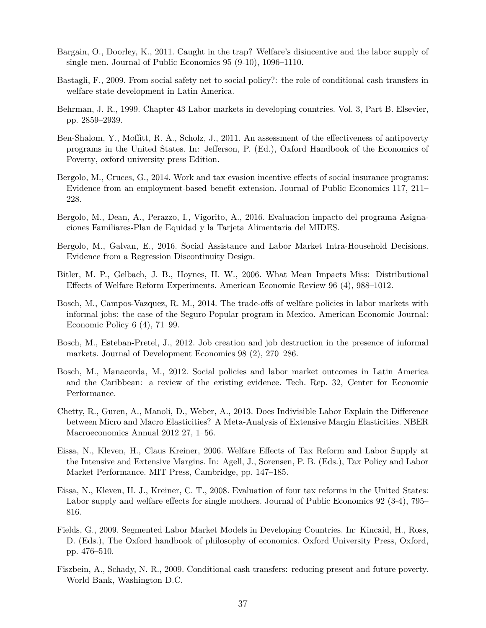- Bargain, O., Doorley, K., 2011. Caught in the trap? Welfare's disincentive and the labor supply of single men. Journal of Public Economics 95 (9-10), 1096–1110.
- Bastagli, F., 2009. From social safety net to social policy?: the role of conditional cash transfers in welfare state development in Latin America.
- Behrman, J. R., 1999. Chapter 43 Labor markets in developing countries. Vol. 3, Part B. Elsevier, pp. 2859–2939.
- Ben-Shalom, Y., Moffitt, R. A., Scholz, J., 2011. An assessment of the effectiveness of antipoverty programs in the United States. In: Jefferson, P. (Ed.), Oxford Handbook of the Economics of Poverty, oxford university press Edition.
- Bergolo, M., Cruces, G., 2014. Work and tax evasion incentive effects of social insurance programs: Evidence from an employment-based benefit extension. Journal of Public Economics 117, 211– 228.
- Bergolo, M., Dean, A., Perazzo, I., Vigorito, A., 2016. Evaluacion impacto del programa Asignaciones Familiares-Plan de Equidad y la Tarjeta Alimentaria del MIDES.
- Bergolo, M., Galvan, E., 2016. Social Assistance and Labor Market Intra-Household Decisions. Evidence from a Regression Discontinuity Design.
- Bitler, M. P., Gelbach, J. B., Hoynes, H. W., 2006. What Mean Impacts Miss: Distributional Effects of Welfare Reform Experiments. American Economic Review 96 (4), 988–1012.
- Bosch, M., Campos-Vazquez, R. M., 2014. The trade-offs of welfare policies in labor markets with informal jobs: the case of the Seguro Popular program in Mexico. American Economic Journal: Economic Policy 6 (4), 71–99.
- Bosch, M., Esteban-Pretel, J., 2012. Job creation and job destruction in the presence of informal markets. Journal of Development Economics 98 (2), 270–286.
- Bosch, M., Manacorda, M., 2012. Social policies and labor market outcomes in Latin America and the Caribbean: a review of the existing evidence. Tech. Rep. 32, Center for Economic Performance.
- Chetty, R., Guren, A., Manoli, D., Weber, A., 2013. Does Indivisible Labor Explain the Difference between Micro and Macro Elasticities? A Meta-Analysis of Extensive Margin Elasticities. NBER Macroeconomics Annual 2012 27, 1–56.
- Eissa, N., Kleven, H., Claus Kreiner, 2006. Welfare Effects of Tax Reform and Labor Supply at the Intensive and Extensive Margins. In: Agell, J., Sorensen, P. B. (Eds.), Tax Policy and Labor Market Performance. MIT Press, Cambridge, pp. 147–185.
- Eissa, N., Kleven, H. J., Kreiner, C. T., 2008. Evaluation of four tax reforms in the United States: Labor supply and welfare effects for single mothers. Journal of Public Economics 92 (3-4), 795– 816.
- Fields, G., 2009. Segmented Labor Market Models in Developing Countries. In: Kincaid, H., Ross, D. (Eds.), The Oxford handbook of philosophy of economics. Oxford University Press, Oxford, pp. 476–510.
- Fiszbein, A., Schady, N. R., 2009. Conditional cash transfers: reducing present and future poverty. World Bank, Washington D.C.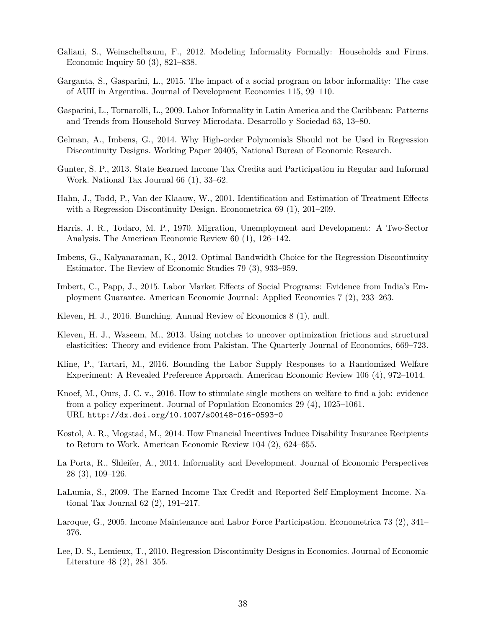- Galiani, S., Weinschelbaum, F., 2012. Modeling Informality Formally: Households and Firms. Economic Inquiry 50 (3), 821–838.
- Garganta, S., Gasparini, L., 2015. The impact of a social program on labor informality: The case of AUH in Argentina. Journal of Development Economics 115, 99–110.
- Gasparini, L., Tornarolli, L., 2009. Labor Informality in Latin America and the Caribbean: Patterns and Trends from Household Survey Microdata. Desarrollo y Sociedad 63, 13–80.
- Gelman, A., Imbens, G., 2014. Why High-order Polynomials Should not be Used in Regression Discontinuity Designs. Working Paper 20405, National Bureau of Economic Research.
- Gunter, S. P., 2013. State Eearned Income Tax Credits and Participation in Regular and Informal Work. National Tax Journal 66 (1), 33–62.
- Hahn, J., Todd, P., Van der Klaauw, W., 2001. Identification and Estimation of Treatment Effects with a Regression-Discontinuity Design. Econometrica 69 (1), 201–209.
- Harris, J. R., Todaro, M. P., 1970. Migration, Unemployment and Development: A Two-Sector Analysis. The American Economic Review 60 (1), 126–142.
- Imbens, G., Kalyanaraman, K., 2012. Optimal Bandwidth Choice for the Regression Discontinuity Estimator. The Review of Economic Studies 79 (3), 933–959.
- Imbert, C., Papp, J., 2015. Labor Market Effects of Social Programs: Evidence from India's Employment Guarantee. American Economic Journal: Applied Economics 7 (2), 233–263.
- Kleven, H. J., 2016. Bunching. Annual Review of Economics 8 (1), null.
- Kleven, H. J., Waseem, M., 2013. Using notches to uncover optimization frictions and structural elasticities: Theory and evidence from Pakistan. The Quarterly Journal of Economics, 669–723.
- Kline, P., Tartari, M., 2016. Bounding the Labor Supply Responses to a Randomized Welfare Experiment: A Revealed Preference Approach. American Economic Review 106 (4), 972–1014.
- Knoef, M., Ours, J. C. v., 2016. How to stimulate single mothers on welfare to find a job: evidence from a policy experiment. Journal of Population Economics 29 (4), 1025–1061. URL http://dx.doi.org/10.1007/s00148-016-0593-0
- Kostol, A. R., Mogstad, M., 2014. How Financial Incentives Induce Disability Insurance Recipients to Return to Work. American Economic Review 104 (2), 624–655.
- La Porta, R., Shleifer, A., 2014. Informality and Development. Journal of Economic Perspectives 28 (3), 109–126.
- LaLumia, S., 2009. The Earned Income Tax Credit and Reported Self-Employment Income. National Tax Journal 62 (2), 191–217.
- Laroque, G., 2005. Income Maintenance and Labor Force Participation. Econometrica 73 (2), 341– 376.
- Lee, D. S., Lemieux, T., 2010. Regression Discontinuity Designs in Economics. Journal of Economic Literature 48 (2), 281–355.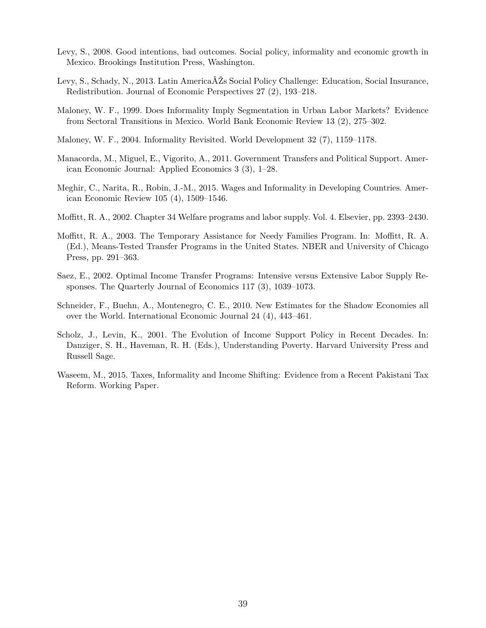- Levy, S., 2008. Good intentions, bad outcomes. Social policy, informality and economic growth in Mexico. Brookings Institution Press, Washington.
- Levy, S., Schady, N., 2013. Latin AmericaÂŽs Social Policy Challenge: Education, Social Insurance, Redistribution. Journal of Economic Perspectives 27 (2), 193–218.
- Maloney, W. F., 1999. Does Informality Imply Segmentation in Urban Labor Markets? Evidence from Sectoral Transitions in Mexico. World Bank Economic Review 13 (2), 275–302.
- Maloney, W. F., 2004. Informality Revisited. World Development 32 (7), 1159–1178.
- Manacorda, M., Miguel, E., Vigorito, A., 2011. Government Transfers and Political Support. American Economic Journal: Applied Economics 3 (3), 1–28.
- Meghir, C., Narita, R., Robin, J.-M., 2015. Wages and Informality in Developing Countries. American Economic Review 105 (4), 1509–1546.
- Moffitt, R. A., 2002. Chapter 34 Welfare programs and labor supply. Vol. 4. Elsevier, pp. 2393–2430.
- Moffitt, R. A., 2003. The Temporary Assistance for Needy Families Program. In: Moffitt, R. A. (Ed.), Means-Tested Transfer Programs in the United States. NBER and University of Chicago Press, pp. 291–363.
- Saez, E., 2002. Optimal Income Transfer Programs: Intensive versus Extensive Labor Supply Responses. The Quarterly Journal of Economics 117 (3), 1039–1073.
- Schneider, F., Buehn, A., Montenegro, C. E., 2010. New Estimates for the Shadow Economies all over the World. International Economic Journal 24 (4), 443–461.
- Scholz, J., Levin, K., 2001. The Evolution of Income Support Policy in Recent Decades. In: Danziger, S. H., Haveman, R. H. (Eds.), Understanding Poverty. Harvard University Press and Russell Sage.
- Waseem, M., 2015. Taxes, Informality and Income Shifting: Evidence from a Recent Pakistani Tax Reform. Working Paper.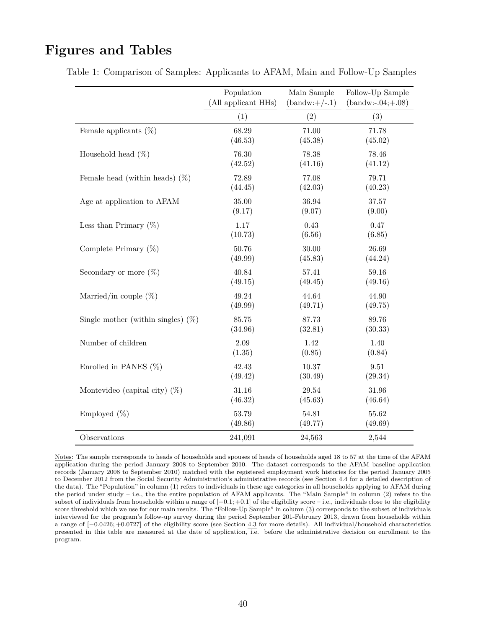## **Figures and Tables**

|                                       | Population          | Main Sample     | Follow-Up Sample     |
|---------------------------------------|---------------------|-----------------|----------------------|
|                                       | (All applicant HHs) | $(bandw:+/-.1)$ | $(band w:-.04;+.08)$ |
|                                       | (1)                 | (2)             | (3)                  |
| Female applicants $(\%)$              | 68.29               | 71.00           | 71.78                |
|                                       | (46.53)             | (45.38)         | (45.02)              |
| Household head $(\%)$                 | 76.30               | 78.38           | 78.46                |
|                                       | (42.52)             | (41.16)         | (41.12)              |
| Female head (within heads) $(\%)$     | 72.89               | 77.08           | 79.71                |
|                                       | (44.45)             | (42.03)         | (40.23)              |
| Age at application to AFAM            | 35.00               | 36.94           | 37.57                |
|                                       | (9.17)              | (9.07)          | (9.00)               |
| Less than Primary $(\%)$              | 1.17                | 0.43            | 0.47                 |
|                                       | (10.73)             | (6.56)          | (6.85)               |
| Complete Primary $(\%)$               | 50.76               | 30.00           | 26.69                |
|                                       | (49.99)             | (45.83)         | (44.24)              |
| Secondary or more $(\%)$              | 40.84               | 57.41           | 59.16                |
|                                       | (49.15)             | (49.45)         | (49.16)              |
| Married/in couple $(\%)$              | 49.24               | 44.64           | 44.90                |
|                                       | (49.99)             | (49.71)         | (49.75)              |
| Single mother (within singles) $(\%)$ | 85.75               | 87.73           | 89.76                |
|                                       | (34.96)             | (32.81)         | (30.33)              |
| Number of children                    | 2.09                | 1.42            | 1.40                 |
|                                       | (1.35)              | (0.85)          | (0.84)               |
| Enrolled in PANES $(\%)$              | 42.43               | 10.37           | 9.51                 |
|                                       | (49.42)             | (30.49)         | (29.34)              |
| Montevideo (capital city) $(\%)$      | 31.16               | 29.54           | 31.96                |
|                                       | (46.32)             | (45.63)         | (46.64)              |
| Employed $(\%)$                       | 53.79               | 54.81           | 55.62                |
|                                       | (49.86)             | (49.77)         | (49.69)              |
| Observations                          | 241,091             | 24,563          | 2,544                |

Table 1: Comparison of Samples: Applicants to AFAM, Main and Follow-Up Samples

Notes: The sample corresponds to heads of households and spouses of heads of households aged 18 to 57 at the time of the AFAM application during the period January 2008 to September 2010. The dataset corresponds to the AFAM baseline application records (January 2008 to September 2010) matched with the registered employment work histories for the period January 2005 to December 2012 from the Social Security Administration's administrative records (see Section 4.4 for a detailed description of the data). The "Population" in column (1) refers to individuals in these age categories in all households applying to AFAM during the period under study – i.e., the the entire population of AFAM applicants. The "Main Sample" in column (2) refers to the subset of individuals from households within a range of [−0*.*1; +0*.*1] of the eligibility score – i.e., individuals close to the eligibility score threshold which we use for our main results. The "Follow-Up Sample" in column (3) corresponds to the subset of individuals interviewed for the program's follow-up survey during the period September 201-February 2013, drawn from households within a range of [−0*.*0426; +0*.*0727] of the eligibility score (see Section 4.3 for more details). All individual/household characteristics presented in this table are measured at the date of application, i.e. before the administrative decision on enrollment to the program.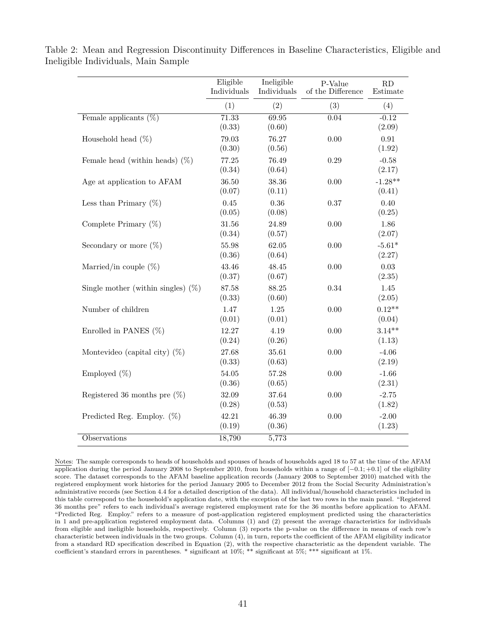|                                       | Eligible<br>Individuals | Ineligible<br>Individuals | P-Value<br>of the Difference | RD<br>Estimate      |
|---------------------------------------|-------------------------|---------------------------|------------------------------|---------------------|
|                                       | (1)                     | (2)                       | (3)                          | (4)                 |
| Female applicants $(\%)$              | 71.33<br>(0.33)         | 69.95<br>(0.60)           | 0.04                         | $-0.12$<br>(2.09)   |
| Household head $(\%)$                 | 79.03<br>(0.30)         | 76.27<br>(0.56)           | 0.00                         | 0.91<br>(1.92)      |
| Female head (within heads) $(\%)$     | 77.25<br>(0.34)         | 76.49<br>(0.64)           | 0.29                         | $-0.58$<br>(2.17)   |
| Age at application to AFAM            | 36.50<br>(0.07)         | 38.36<br>(0.11)           | 0.00                         | $-1.28**$<br>(0.41) |
| Less than Primary $(\%)$              | 0.45<br>(0.05)          | 0.36<br>(0.08)            | 0.37                         | 0.40<br>(0.25)      |
| Complete Primary $(\%)$               | 31.56<br>(0.34)         | 24.89<br>(0.57)           | 0.00                         | 1.86<br>(2.07)      |
| Secondary or more $(\%)$              | 55.98<br>(0.36)         | 62.05<br>(0.64)           | 0.00                         | $-5.61*$<br>(2.27)  |
| Married/in couple $(\%)$              | 43.46<br>(0.37)         | 48.45<br>(0.67)           | 0.00                         | 0.03<br>(2.35)      |
| Single mother (within singles) $(\%)$ | 87.58<br>(0.33)         | 88.25<br>(0.60)           | 0.34                         | 1.45<br>(2.05)      |
| Number of children                    | 1.47<br>(0.01)          | 1.25<br>(0.01)            | 0.00                         | $0.12**$<br>(0.04)  |
| Enrolled in PANES $(\%)$              | 12.27<br>(0.24)         | 4.19<br>(0.26)            | 0.00                         | $3.14**$<br>(1.13)  |
| Montevideo (capital city) $(\%)$      | 27.68<br>(0.33)         | 35.61<br>(0.63)           | 0.00                         | $-4.06$<br>(2.19)   |
| Employed $(\%)$                       | 54.05<br>(0.36)         | 57.28<br>(0.65)           | 0.00                         | $-1.66$<br>(2.31)   |
| Registered 36 months pre $(\%)$       | 32.09<br>(0.28)         | 37.64<br>(0.53)           | 0.00                         | $-2.75$<br>(1.82)   |
| Predicted Reg. Employ. $(\%)$         | 42.21<br>(0.19)         | 46.39<br>(0.36)           | 0.00                         | $-2.00$<br>(1.23)   |
| Observations                          | 18,790                  | 5,773                     |                              |                     |

Table 2: Mean and Regression Discontinuity Differences in Baseline Characteristics, Eligible and Ineligible Individuals, Main Sample

Notes: The sample corresponds to heads of households and spouses of heads of households aged 18 to 57 at the time of the AFAM application during the period January 2008 to September 2010, from households within a range of [−0*.*1; +0*.*1] of the eligibility score. The dataset corresponds to the AFAM baseline application records (January 2008 to September 2010) matched with the registered employment work histories for the period January 2005 to December 2012 from the Social Security Administration's administrative records (see Section 4.4 for a detailed description of the data). All individual/household characteristics included in this table correspond to the household's application date, with the exception of the last two rows in the main panel. "Registered 36 months pre" refers to each individual's average registered employment rate for the 36 months before application to AFAM. "Predicted Reg. Employ." refers to a measure of post-application registered employment predicted using the characteristics in 1 and pre-application registered employment data. Columns (1) and (2) present the average characteristics for individuals from eligible and ineligible households, respectively. Column (3) reports the p-value on the difference in means of each row's characteristic between individuals in the two groups. Column (4), in turn, reports the coefficient of the AFAM eligibility indicator from a standard RD specification described in Equation (2), with the respective characteristic as the dependent variable. The coefficient's standard errors in parentheses. \* significant at 10%; \*\* significant at 5%; \*\*\* significant at 1%.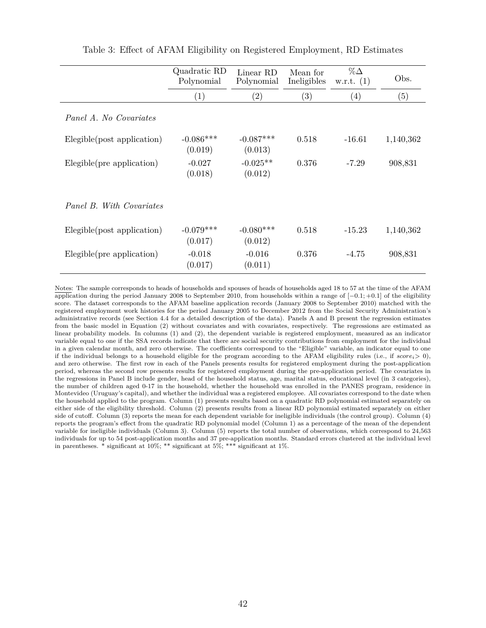|                            | Quadratic RD<br>Polynomial | Linear RD<br>Polynomial | Mean for<br>Ineligibles | $\%\Delta$<br>w.r.t. $(1)$ | Obs.      |
|----------------------------|----------------------------|-------------------------|-------------------------|----------------------------|-----------|
|                            | (1)                        | $\left( 2\right)$       | (3)                     | (4)                        | (5)       |
| Panel A. No Covariates     |                            |                         |                         |                            |           |
| Elegible(post application) | $-0.086***$<br>(0.019)     | $-0.087***$<br>(0.013)  | 0.518                   | $-16.61$                   | 1,140,362 |
| Elegible(pre application)  | $-0.027$<br>(0.018)        | $-0.025**$<br>(0.012)   | 0.376                   | $-7.29$                    | 908,831   |
| Panel B. With Covariates   |                            |                         |                         |                            |           |
| Elegible(post application) | $-0.079***$<br>(0.017)     | $-0.080***$<br>(0.012)  | 0.518                   | $-15.23$                   | 1,140,362 |
| Elegible(pre application)  | $-0.018$<br>(0.017)        | $-0.016$<br>(0.011)     | 0.376                   | $-4.75$                    | 908,831   |

Table 3: Effect of AFAM Eligibility on Registered Employment, RD Estimates

Notes: The sample corresponds to heads of households and spouses of heads of households aged 18 to 57 at the time of the AFAM application during the period January 2008 to September 2010, from households within a range of [−0*.*1; +0*.*1] of the eligibility score. The dataset corresponds to the AFAM baseline application records (January 2008 to September 2010) matched with the registered employment work histories for the period January 2005 to December 2012 from the Social Security Administration's administrative records (see Section 4.4 for a detailed description of the data). Panels A and B present the regression estimates from the basic model in Equation (2) without covariates and with covariates, respectively. The regressions are estimated as linear probability models. In columns (1) and (2), the dependent variable is registered employment, measured as an indicator variable equal to one if the SSA records indicate that there are social security contributions from employment for the individual in a given calendar month, and zero otherwise. The coefficients correspond to the "Eligible" variable, an indicator equal to one if the individual belongs to a household eligible for the program according to the AFAM eligibility rules (i.e., if  $score_i > 0$ ), and zero otherwise. The first row in each of the Panels presents results for registered employment during the post-application period, whereas the second row presents results for registered employment during the pre-application period. The covariates in the regressions in Panel B include gender, head of the household status, age, marital status, educational level (in 3 categories), the number of children aged 0-17 in the household, whether the household was enrolled in the PANES program, residence in Montevideo (Uruguay's capital), and whether the individual was a registered employee. All covariates correspond to the date when the household applied to the program. Column (1) presents results based on a quadratic RD polynomial estimated separately on either side of the eligibility threshold. Column (2) presents results from a linear RD polynomial estimated separately on either side of cutoff. Column (3) reports the mean for each dependent variable for ineligible individuals (the control group). Column (4) reports the program's effect from the quadratic RD polynomial model (Column 1) as a percentage of the mean of the dependent variable for ineligible individuals (Column 3). Column (5) reports the total number of observations, which correspond to 24,563 individuals for up to 54 post-application months and 37 pre-application months. Standard errors clustered at the individual level in parentheses. \* significant at 10%; \*\* significant at 5%; \*\*\* significant at 1%.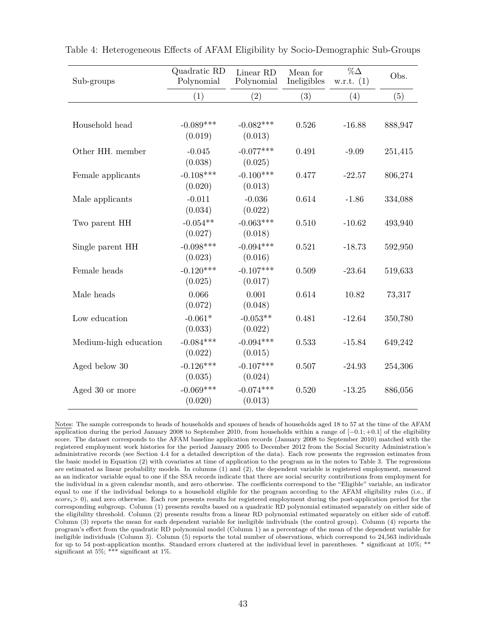| Sub-groups            | Quadratic RD<br>Polynomial | Linear RD<br>Polynomial | Mean for<br>Ineligibles | $\%\Delta$<br>w.r.t. $(1)$ | Obs.    |
|-----------------------|----------------------------|-------------------------|-------------------------|----------------------------|---------|
|                       | (1)                        | (2)                     | (3)                     | (4)                        | (5)     |
|                       |                            |                         |                         |                            |         |
| Household head        | $-0.089***$<br>(0.019)     | $-0.082***$<br>(0.013)  | 0.526                   | $-16.88$                   | 888,947 |
| Other HH. member      | $-0.045$<br>(0.038)        | $-0.077***$<br>(0.025)  | 0.491                   | $-9.09$                    | 251,415 |
| Female applicants     | $-0.108***$<br>(0.020)     | $-0.100***$<br>(0.013)  | 0.477                   | $-22.57$                   | 806,274 |
| Male applicants       | $-0.011$<br>(0.034)        | $-0.036$<br>(0.022)     | 0.614                   | $-1.86$                    | 334,088 |
| Two parent HH         | $-0.054**$<br>(0.027)      | $-0.063***$<br>(0.018)  | 0.510                   | $-10.62$                   | 493,940 |
| Single parent HH      | $-0.098***$<br>(0.023)     | $-0.094***$<br>(0.016)  | 0.521                   | $-18.73$                   | 592,950 |
| Female heads          | $-0.120***$<br>(0.025)     | $-0.107***$<br>(0.017)  | 0.509                   | $-23.64$                   | 519,633 |
| Male heads            | 0.066<br>(0.072)           | 0.001<br>(0.048)        | 0.614                   | 10.82                      | 73,317  |
| Low education         | $-0.061*$<br>(0.033)       | $-0.053**$<br>(0.022)   | 0.481                   | $-12.64$                   | 350,780 |
| Medium-high education | $-0.084***$<br>(0.022)     | $-0.094***$<br>(0.015)  | 0.533                   | $-15.84$                   | 649,242 |
| Aged below 30         | $-0.126***$<br>(0.035)     | $-0.107***$<br>(0.024)  | 0.507                   | $-24.93$                   | 254,306 |
| Aged 30 or more       | $-0.069***$<br>(0.020)     | $-0.074***$<br>(0.013)  | 0.520                   | $-13.25$                   | 886,056 |

Table 4: Heterogeneous Effects of AFAM Eligibility by Socio-Demographic Sub-Groups

Notes: The sample corresponds to heads of households and spouses of heads of households aged 18 to 57 at the time of the AFAM application during the period January 2008 to September 2010, from households within a range of [−0*.*1; +0*.*1] of the eligibility score. The dataset corresponds to the AFAM baseline application records (January 2008 to September 2010) matched with the registered employment work histories for the period January 2005 to December 2012 from the Social Security Administration's administrative records (see Section 4.4 for a detailed description of the data). Each row presents the regression estimates from the basic model in Equation (2) with covariates at time of application to the program as in the notes to Table 3. The regressions are estimated as linear probability models. In columns (1) and (2), the dependent variable is registered employment, measured as an indicator variable equal to one if the SSA records indicate that there are social security contributions from employment for the individual in a given calendar month, and zero otherwise. The coefficients correspond to the "Eligible" variable, an indicator equal to one if the individual belongs to a household eligible for the program according to the AFAM eligibility rules (i.e., if *scorei*> 0), and zero otherwise. Each row presents results for registered employment during the post-application period for the corresponding subgroup. Column (1) presents results based on a quadratic RD polynomial estimated separately on either side of the eligibility threshold. Column (2) presents results from a linear RD polynomial estimated separately on either side of cutoff. Column (3) reports the mean for each dependent variable for ineligible individuals (the control group). Column (4) reports the program's effect from the quadratic RD polynomial model (Column 1) as a percentage of the mean of the dependent variable for ineligible individuals (Column 3). Column (5) reports the total number of observations, which correspond to 24,563 individuals for up to 54 post-application months. Standard errors clustered at the individual level in parentheses. \* significant at 10%; \*\* significant at 5%; \*\*\* significant at 1%.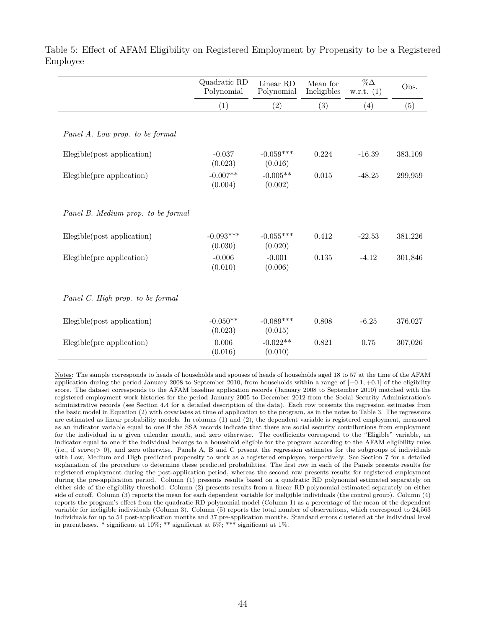|                                    | Quadratic RD<br>Polynomial | Linear RD<br>Polynomial | Mean for<br>Ineligibles | $\%\Delta$<br>w.r.t. $(1)$ | Obs.    |
|------------------------------------|----------------------------|-------------------------|-------------------------|----------------------------|---------|
|                                    | (1)                        | (2)                     | (3)                     | (4)                        | (5)     |
|                                    |                            |                         |                         |                            |         |
| Panel A. Low prop. to be formal    |                            |                         |                         |                            |         |
| Elegible(post application)         | $-0.037$                   | $-0.059***$             | 0.224                   | $-16.39$                   | 383,109 |
|                                    | (0.023)                    | (0.016)                 |                         |                            |         |
| Elegible(pre application)          | $-0.007**$                 | $-0.005**$              | 0.015                   | $-48.25$                   | 299,959 |
|                                    | (0.004)                    | (0.002)                 |                         |                            |         |
|                                    |                            |                         |                         |                            |         |
| Panel B. Medium prop. to be formal |                            |                         |                         |                            |         |
| Elegible(post application)         | $-0.093***$                | $-0.055***$             | 0.412                   | $-22.53$                   | 381,226 |
|                                    | (0.030)                    | (0.020)                 |                         |                            |         |
| Elegible(pre application)          | $-0.006$                   | $-0.001$                | 0.135                   | $-4.12$                    | 301,846 |
|                                    | (0.010)                    | (0.006)                 |                         |                            |         |
|                                    |                            |                         |                         |                            |         |
| Panel C. High prop. to be formal   |                            |                         |                         |                            |         |
| Elegible(post application)         | $-0.050**$                 | $-0.089***$             | 0.808                   | $-6.25$                    | 376,027 |
|                                    | (0.023)                    | (0.015)                 |                         |                            |         |
| Elegible(pre application)          | 0.006                      | $-0.022**$              | 0.821                   | 0.75                       | 307,026 |
|                                    | (0.016)                    | (0.010)                 |                         |                            |         |

Table 5: Effect of AFAM Eligibility on Registered Employment by Propensity to be a Registered Employee

Notes: The sample corresponds to heads of households and spouses of heads of households aged 18 to 57 at the time of the AFAM application during the period January 2008 to September 2010, from households within a range of [−0*.*1; +0*.*1] of the eligibility score. The dataset corresponds to the AFAM baseline application records (January 2008 to September 2010) matched with the registered employment work histories for the period January 2005 to December 2012 from the Social Security Administration's administrative records (see Section 4.4 for a detailed description of the data). Each row presents the regression estimates from the basic model in Equation (2) with covariates at time of application to the program, as in the notes to Table 3. The regressions are estimated as linear probability models. In columns (1) and (2), the dependent variable is registered employment, measured as an indicator variable equal to one if the SSA records indicate that there are social security contributions from employment for the individual in a given calendar month, and zero otherwise. The coefficients correspond to the "Eligible" variable, an indicator equal to one if the individual belongs to a household eligible for the program according to the AFAM eligibility rules (i.e., if *scorei*> 0), and zero otherwise. Panels A, B and C present the regression estimates for the subgroups of individuals with Low, Medium and High predicted propensity to work as a registered employee, respectively. See Section 7 for a detailed explanation of the procedure to determine these predicted probabilities. The first row in each of the Panels presents results for registered employment during the post-application period, whereas the second row presents results for registered employment during the pre-application period. Column (1) presents results based on a quadratic RD polynomial estimated separately on either side of the eligibility threshold. Column (2) presents results from a linear RD polynomial estimated separately on either side of cutoff. Column (3) reports the mean for each dependent variable for ineligible individuals (the control group). Column (4) reports the program's effect from the quadratic RD polynomial model (Column 1) as a percentage of the mean of the dependent variable for ineligible individuals (Column 3). Column (5) reports the total number of observations, which correspond to 24,563 individuals for up to 54 post-application months and 37 pre-application months. Standard errors clustered at the individual level in parentheses. \* significant at  $10\%$ ; \*\* significant at  $5\%$ ; \*\*\* significant at  $1\%$ .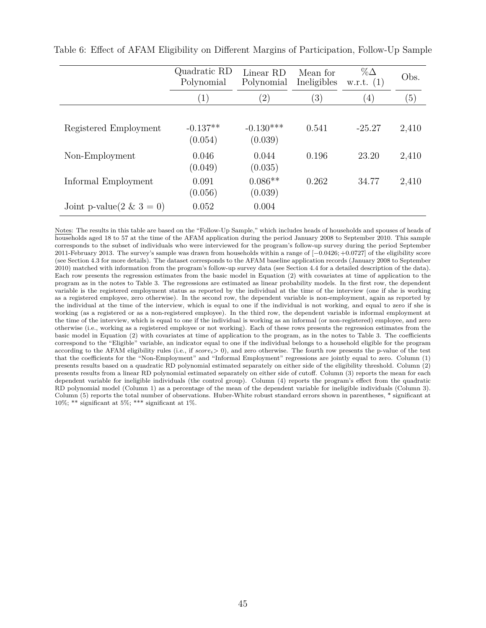|                          | Quadratic RD<br>Polynomial | Linear RD<br>Polynomial | Mean for<br>Ineligibles | $\%\Delta$<br>w.r.t. $(1)$ | Obs.  |
|--------------------------|----------------------------|-------------------------|-------------------------|----------------------------|-------|
|                          | $\left(1\right)$           | $\left( 2\right)$       | $^{\prime}3)$           | $\left(4\right)$           | (5)   |
| Registered Employment    | $-0.137**$<br>(0.054)      | $-0.130***$<br>(0.039)  | 0.541                   | $-25.27$                   | 2,410 |
| Non-Employment           | 0.046<br>(0.049)           | 0.044<br>(0.035)        | 0.196                   | 23.20                      | 2,410 |
| Informal Employment      | 0.091<br>(0.056)           | $0.086**$<br>(0.039)    | 0.262                   | 34.77                      | 2,410 |
| Joint p-value(2 & 3 = 0) | 0.052                      | 0.004                   |                         |                            |       |

Table 6: Effect of AFAM Eligibility on Different Margins of Participation, Follow-Up Sample

Notes: The results in this table are based on the "Follow-Up Sample," which includes heads of households and spouses of heads of households aged 18 to 57 at the time of the AFAM application during the period January 2008 to September 2010. This sample corresponds to the subset of individuals who were interviewed for the program's follow-up survey during the period September 2011-February 2013. The survey's sample was drawn from households within a range of [−0*.*0426; +0*.*0727] of the eligibility score (see Section 4.3 for more details). The dataset corresponds to the AFAM baseline application records (January 2008 to September 2010) matched with information from the program's follow-up survey data (see Section 4.4 for a detailed description of the data). Each row presents the regression estimates from the basic model in Equation (2) with covariates at time of application to the program as in the notes to Table 3. The regressions are estimated as linear probability models. In the first row, the dependent variable is the registered employment status as reported by the individual at the time of the interview (one if she is working as a registered employee, zero otherwise). In the second row, the dependent variable is non-employment, again as reported by the individual at the time of the interview, which is equal to one if the individual is not working, and equal to zero if she is working (as a registered or as a non-registered employee). In the third row, the dependent variable is informal employment at the time of the interview, which is equal to one if the individual is working as an informal (or non-registered) employee, and zero otherwise (i.e., working as a registered employee or not working). Each of these rows presents the regression estimates from the basic model in Equation (2) with covariates at time of application to the program, as in the notes to Table 3. The coefficients correspond to the "Eligible" variable, an indicator equal to one if the individual belongs to a household eligible for the program according to the AFAM eligibility rules (i.e., if *scorei*> 0), and zero otherwise. The fourth row presents the p-value of the test that the coefficients for the "Non-Employment" and "Informal Employment" regressions are jointly equal to zero. Column (1) presents results based on a quadratic RD polynomial estimated separately on either side of the eligibility threshold. Column (2) presents results from a linear RD polynomial estimated separately on either side of cutoff. Column (3) reports the mean for each dependent variable for ineligible individuals (the control group). Column (4) reports the program's effect from the quadratic RD polynomial model (Column 1) as a percentage of the mean of the dependent variable for ineligible individuals (Column 3). Column (5) reports the total number of observations. Huber-White robust standard errors shown in parentheses, \* significant at 10%; \*\* significant at 5%; \*\*\* significant at 1%.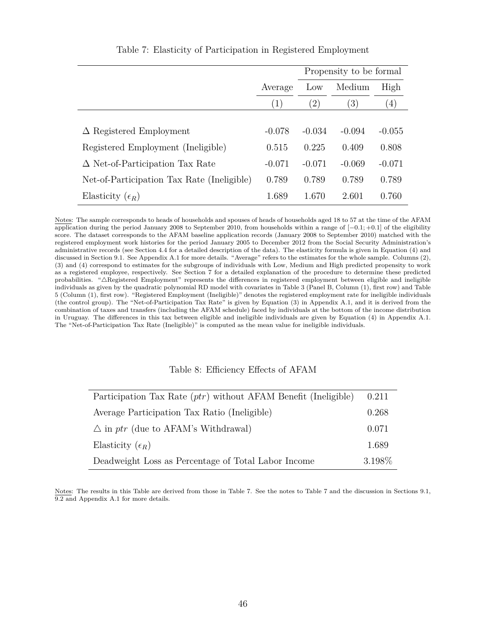|                                            |          | Propensity to be formal |                  |          |
|--------------------------------------------|----------|-------------------------|------------------|----------|
|                                            | Average  | Low                     | Medium           | High     |
|                                            | (1)      | (2)                     | $\left(3\right)$ | (4)      |
|                                            |          |                         |                  |          |
| $\Delta$ Registered Employment             | $-0.078$ | $-0.034$                | $-0.094$         | $-0.055$ |
| Registered Employment (Ineligible)         | 0.515    | 0.225                   | 0.409            | 0.808    |
| $\Delta$ Net-of-Participation Tax Rate     | $-0.071$ | $-0.071$                | $-0.069$         | $-0.071$ |
| Net-of-Participation Tax Rate (Ineligible) | 0.789    | 0.789                   | 0.789            | 0.789    |
| Elasticity $(\epsilon_R)$                  | 1.689    | 1.670                   | 2.601            | 0.760    |

Table 7: Elasticity of Participation in Registered Employment

Notes: The sample corresponds to heads of households and spouses of heads of households aged 18 to 57 at the time of the AFAM application during the period January 2008 to September 2010, from households within a range of [−0*.*1; +0*.*1] of the eligibility score. The dataset corresponds to the AFAM baseline application records (January 2008 to September 2010) matched with the registered employment work histories for the period January 2005 to December 2012 from the Social Security Administration's administrative records (see Section 4.4 for a detailed description of the data). The elasticity formula is given in Equation (4) and discussed in Section 9.1. See Appendix A.1 for more details. "Average" refers to the estimates for the whole sample. Columns (2), (3) and (4) correspond to estimates for the subgroups of individuals with Low, Medium and High predicted propensity to work as a registered employee, respectively. See Section 7 for a detailed explanation of the procedure to determine these predicted probabilities. "4Registered Employment" represents the differences in registered employment between eligible and ineligible individuals as given by the quadratic polynomial RD model with covariates in Table 3 (Panel B, Column (1), first row) and Table 5 (Column (1), first row). "Registered Employment (Ineligible)" denotes the registered employment rate for ineligible individuals (the control group). The "Net-of-Participation Tax Rate" is given by Equation (3) in Appendix A.1, and it is derived from the combination of taxes and transfers (including the AFAM schedule) faced by individuals at the bottom of the income distribution in Uruguay. The differences in this tax between eligible and ineligible individuals are given by Equation (4) in Appendix A.1. The "Net-of-Participation Tax Rate (Ineligible)" is computed as the mean value for ineligible individuals.

#### Table 8: Efficiency Effects of AFAM

| Participation Tax Rate $(ptr)$ without AFAM Benefit (Ineligible) | 0.211   |
|------------------------------------------------------------------|---------|
| Average Participation Tax Ratio (Ineligible)                     | 0.268   |
| $\triangle$ in ptr (due to AFAM's Withdrawal)                    | 0.071   |
| Elasticity $(\epsilon_R)$                                        | 1.689   |
| Deadweight Loss as Percentage of Total Labor Income              | 3.198\% |

Notes: The results in this Table are derived from those in Table 7. See the notes to Table 7 and the discussion in Sections 9.1, 9.2 and Appendix A.1 for more details.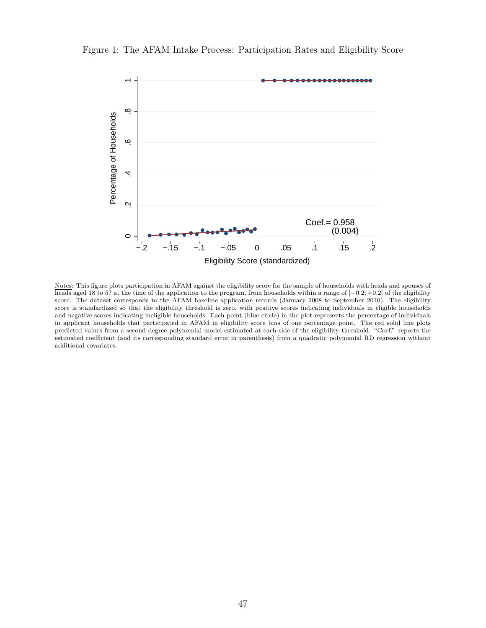

Figure 1: The AFAM Intake Process: Participation Rates and Eligibility Score

Notes: This figure plots participation in AFAM against the eligibility score for the sample of households with heads and spouses of heads aged 18 to 57 at the time of the application to the program, from households within a range of [−0*.*2; +0*.*2] of the eligibility score. The dataset corresponds to the AFAM baseline application records (January 2008 to September 2010). The eligibility score is standardized so that the eligibility threshold is zero, with positive scores indicating individuals in eligible households and negative scores indicating ineligible households. Each point (blue circle) in the plot represents the percentage of individuals in applicant households that participated in AFAM in eligibility score bins of one percentage point. The red solid line plots predicted values from a second degree polynomial model estimated at each side of the eligibility threshold. "Coef." reports the estimated coefficient (and its corresponding standard error in parenthesis) from a quadratic polynomial RD regression without additional covariates.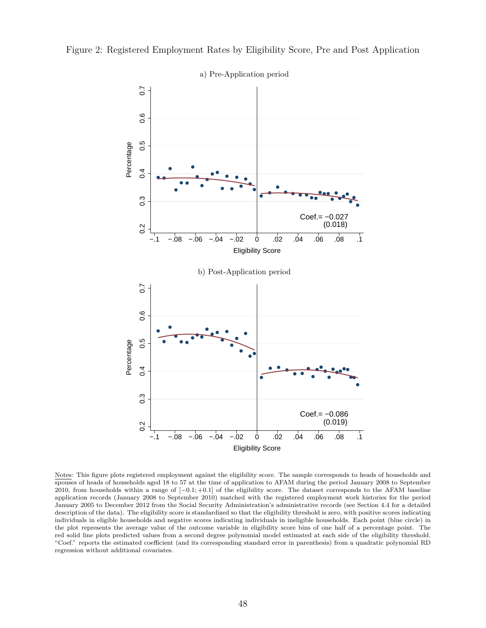

Figure 2: Registered Employment Rates by Eligibility Score, Pre and Post Application

Notes: This figure plots registered employment against the eligibility score. The sample corresponds to heads of households and spouses of heads of households aged 18 to 57 at the time of application to AFAM during the period January 2008 to September 2010, from households within a range of [−0*.*1; +0*.*1] of the eligibility score. The dataset corresponds to the AFAM baseline application records (January 2008 to September 2010) matched with the registered employment work histories for the period January 2005 to December 2012 from the Social Security Administration's administrative records (see Section 4.4 for a detailed description of the data). The eligibility score is standardized so that the eligibility threshold is zero, with positive scores indicating individuals in eligible households and negative scores indicating individuals in ineligible households. Each point (blue circle) in the plot represents the average value of the outcome variable in eligibility score bins of one half of a percentage point. The red solid line plots predicted values from a second degree polynomial model estimated at each side of the eligibility threshold. "Coef." reports the estimated coefficient (and its corresponding standard error in parenthesis) from a quadratic polynomial RD regression without additional covariates.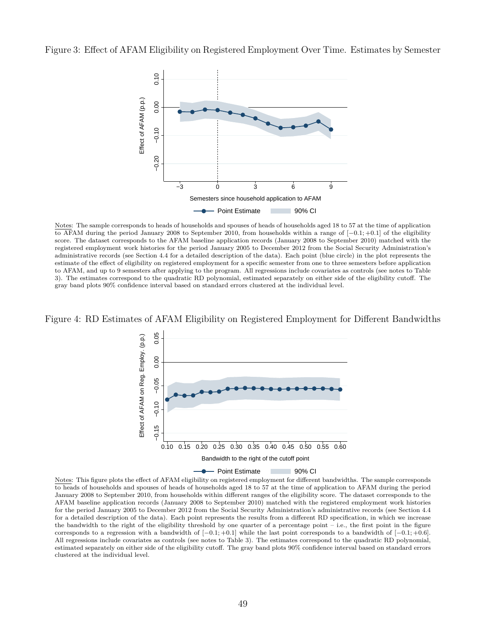Figure 3: Effect of AFAM Eligibility on Registered Employment Over Time. Estimates by Semester



Notes: The sample corresponds to heads of households and spouses of heads of households aged 18 to 57 at the time of application to AFAM during the period January 2008 to September 2010, from households within a range of [−0*.*1; +0*.*1] of the eligibility score. The dataset corresponds to the AFAM baseline application records (January 2008 to September 2010) matched with the registered employment work histories for the period January 2005 to December 2012 from the Social Security Administration's administrative records (see Section 4.4 for a detailed description of the data). Each point (blue circle) in the plot represents the estimate of the effect of eligibility on registered employment for a specific semester from one to three semesters before application to AFAM, and up to 9 semesters after applying to the program. All regressions include covariates as controls (see notes to Table 3). The estimates correspond to the quadratic RD polynomial, estimated separately on either side of the eligibility cutoff. The gray band plots 90% confidence interval based on standard errors clustered at the individual level.

Figure 4: RD Estimates of AFAM Eligibility on Registered Employment for Different Bandwidths



Notes: This figure plots the effect of AFAM eligibility on registered employment for different bandwidths. The sample corresponds to heads of households and spouses of heads of households aged 18 to 57 at the time of application to AFAM during the period January 2008 to September 2010, from households within different ranges of the eligibility score. The dataset corresponds to the AFAM baseline application records (January 2008 to September 2010) matched with the registered employment work histories for the period January 2005 to December 2012 from the Social Security Administration's administrative records (see Section 4.4 for a detailed description of the data). Each point represents the results from a different RD specification, in which we increase the bandwidth to the right of the eligibility threshold by one quarter of a percentage point – i.e., the first point in the figure corresponds to a regression with a bandwidth of [−0*.*1; +0*.*1] while the last point corresponds to a bandwidth of [−0*.*1; +0*.*6]. All regressions include covariates as controls (see notes to Table 3). The estimates correspond to the quadratic RD polynomial, estimated separately on either side of the eligibility cutoff. The gray band plots 90% confidence interval based on standard errors clustered at the individual level.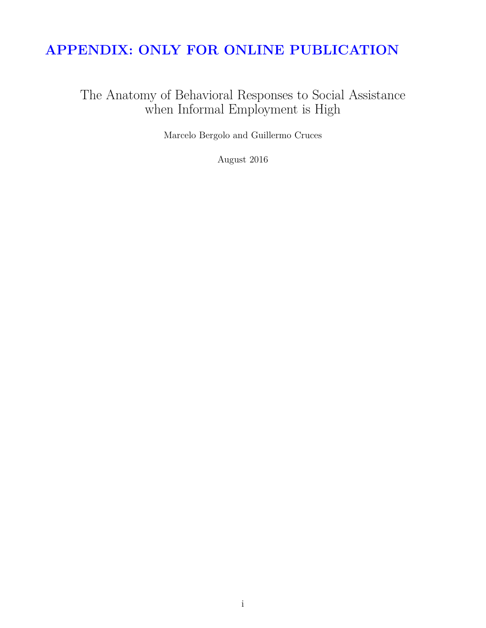# **APPENDIX: ONLY FOR ONLINE PUBLICATION**

The Anatomy of Behavioral Responses to Social Assistance when Informal Employment is High

Marcelo Bergolo and Guillermo Cruces

August 2016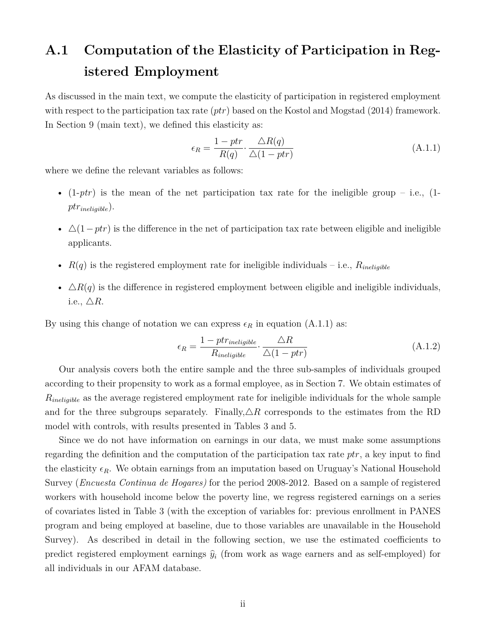# **A.1 Computation of the Elasticity of Participation in Registered Employment**

As discussed in the main text, we compute the elasticity of participation in registered employment with respect to the participation tax rate (*ptr*) based on the Kostol and Mogstad (2014) framework. In Section 9 (main text), we defined this elasticity as:

$$
\epsilon_R = \frac{1 - ptr}{R(q)} \cdot \frac{\triangle R(q)}{\triangle (1 - ptr)}\tag{A.1.1}
$$

where we define the relevant variables as follows:

- $(1-ptr)$  is the mean of the net participation tax rate for the ineligible group i.e.,  $(1-ptr)$ *ptrineligible*).
- $\Delta(1-ptr)$  is the difference in the net of participation tax rate between eligible and ineligible applicants.
- $R(q)$  is the registered employment rate for ineligible individuals i.e.,  $R_{\text{ineli}qible}$
- $\Delta R(q)$  is the difference in registered employment between eligible and ineligible individuals, i.e.,  $\triangle R$ .

By using this change of notation we can express  $\epsilon_R$  in equation (A.1.1) as:

$$
\epsilon_R = \frac{1 - ptr_{ineligible}}{R_{ineligible}} \cdot \frac{\Delta R}{\Delta (1 - ptr)} \tag{A.1.2}
$$

Our analysis covers both the entire sample and the three sub-samples of individuals grouped according to their propensity to work as a formal employee, as in Section 7. We obtain estimates of *Rineligible* as the average registered employment rate for ineligible individuals for the whole sample and for the three subgroups separately. Finally,  $\triangle R$  corresponds to the estimates from the RD model with controls, with results presented in Tables 3 and 5.

Since we do not have information on earnings in our data, we must make some assumptions regarding the definition and the computation of the participation tax rate *ptr*, a key input to find the elasticity  $\epsilon_R$ . We obtain earnings from an imputation based on Uruguay's National Household Survey (*Encuesta Continua de Hogares)* for the period 2008-2012. Based on a sample of registered workers with household income below the poverty line, we regress registered earnings on a series of covariates listed in Table 3 (with the exception of variables for: previous enrollment in PANES program and being employed at baseline, due to those variables are unavailable in the Household Survey). As described in detail in the following section, we use the estimated coefficients to predict registered employment earnings  $\hat{y}_i$  (from work as wage earners and as self-employed) for all individuals in our AFAM database.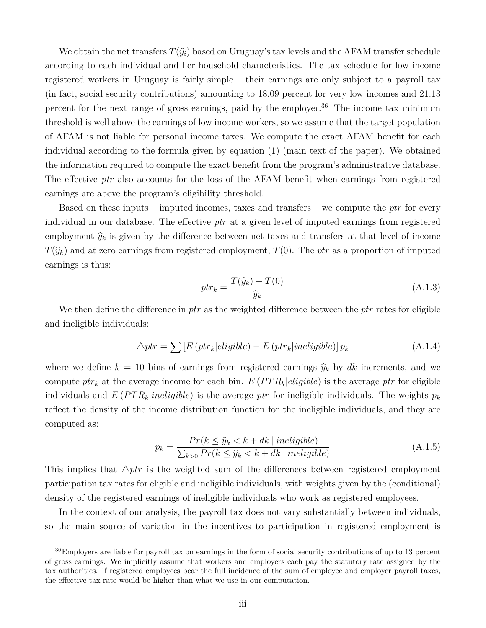We obtain the net transfers  $T(\hat{y}_i)$  based on Uruguay's tax levels and the AFAM transfer schedule according to each individual and her household characteristics. The tax schedule for low income registered workers in Uruguay is fairly simple – their earnings are only subject to a payroll tax (in fact, social security contributions) amounting to 18.09 percent for very low incomes and 21.13 percent for the next range of gross earnings, paid by the employer.<sup>36</sup> The income tax minimum threshold is well above the earnings of low income workers, so we assume that the target population of AFAM is not liable for personal income taxes. We compute the exact AFAM benefit for each individual according to the formula given by equation (1) (main text of the paper). We obtained the information required to compute the exact benefit from the program's administrative database. The effective *ptr* also accounts for the loss of the AFAM benefit when earnings from registered earnings are above the program's eligibility threshold.

Based on these inputs – imputed incomes, taxes and transfers – we compute the *ptr* for every individual in our database. The effective *ptr* at a given level of imputed earnings from registered employment  $\hat{y}_k$  is given by the difference between net taxes and transfers at that level of income  $T(\hat{y}_k)$  and at zero earnings from registered employment,  $T(0)$ . The *ptr* as a proportion of imputed earnings is thus:

$$
ptr_k = \frac{T(\hat{y}_k) - T(0)}{\hat{y}_k} \tag{A.1.3}
$$

We then define the difference in *ptr* as the weighted difference between the *ptr* rates for eligible and ineligible individuals:

$$
\triangle ptr = \sum \left[ E\left(ptr_k|eligible\right) - E\left(ptr_k|ineligible\right) \right] p_k \tag{A.1.4}
$$

where we define  $k = 10$  bins of earnings from registered earnings  $\hat{y}_k$  by dk increments, and we compute  $ptr_k$  at the average income for each bin.  $E(PTR_k| eligible)$  is the average ptr for eligible individuals and  $E(PTR_k|in eligible)$  is the average ptr for ineligible individuals. The weights  $p_k$ reflect the density of the income distribution function for the ineligible individuals, and they are computed as:

$$
p_k = \frac{Pr(k \le \hat{y}_k < k + dk \mid \text{ineligible})}{\sum_{k > 0} Pr(k \le \hat{y}_k < k + dk \mid \text{ineligible})} \tag{A.1.5}
$$

This implies that  $\triangle ptr$  is the weighted sum of the differences between registered employment participation tax rates for eligible and ineligible individuals, with weights given by the (conditional) density of the registered earnings of ineligible individuals who work as registered employees.

In the context of our analysis, the payroll tax does not vary substantially between individuals, so the main source of variation in the incentives to participation in registered employment is

<sup>36</sup>Employers are liable for payroll tax on earnings in the form of social security contributions of up to 13 percent of gross earnings. We implicitly assume that workers and employers each pay the statutory rate assigned by the tax authorities. If registered employees bear the full incidence of the sum of employee and employer payroll taxes, the effective tax rate would be higher than what we use in our computation.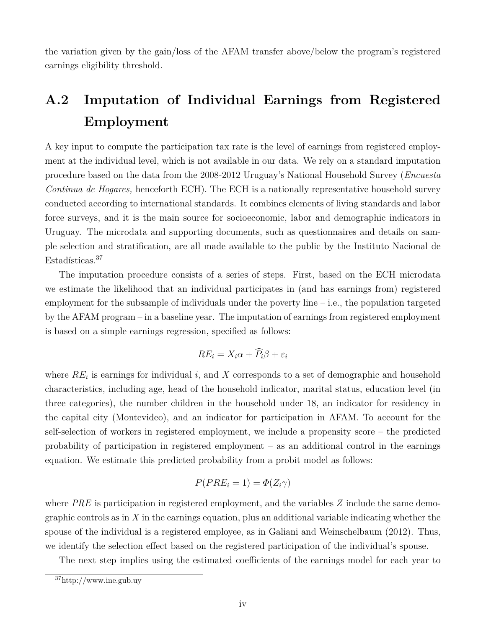the variation given by the gain/loss of the AFAM transfer above/below the program's registered earnings eligibility threshold.

# **A.2 Imputation of Individual Earnings from Registered Employment**

A key input to compute the participation tax rate is the level of earnings from registered employment at the individual level, which is not available in our data. We rely on a standard imputation procedure based on the data from the 2008-2012 Uruguay's National Household Survey (*Encuesta Continua de Hogares,* henceforth ECH). The ECH is a nationally representative household survey conducted according to international standards. It combines elements of living standards and labor force surveys, and it is the main source for socioeconomic, labor and demographic indicators in Uruguay. The microdata and supporting documents, such as questionnaires and details on sample selection and stratification, are all made available to the public by the Instituto Nacional de Estadísticas.<sup>37</sup>

The imputation procedure consists of a series of steps. First, based on the ECH microdata we estimate the likelihood that an individual participates in (and has earnings from) registered employment for the subsample of individuals under the poverty line  $-$  i.e., the population targeted by the AFAM program – in a baseline year. The imputation of earnings from registered employment is based on a simple earnings regression, specified as follows:

$$
RE_i = X_i \alpha + \widehat{P}_i \beta + \varepsilon_i
$$

where  $RE_i$  is earnings for individual *i*, and *X* corresponds to a set of demographic and household characteristics, including age, head of the household indicator, marital status, education level (in three categories), the number children in the household under 18, an indicator for residency in the capital city (Montevideo), and an indicator for participation in AFAM. To account for the self-selection of workers in registered employment, we include a propensity score – the predicted probability of participation in registered employment – as an additional control in the earnings equation. We estimate this predicted probability from a probit model as follows:

$$
P(PRE_i = 1) = \Phi(Z_i \gamma)
$$

where *PRE* is participation in registered employment, and the variables *Z* include the same demographic controls as in *X* in the earnings equation, plus an additional variable indicating whether the spouse of the individual is a registered employee, as in Galiani and Weinschelbaum (2012). Thus, we identify the selection effect based on the registered participation of the individual's spouse.

The next step implies using the estimated coefficients of the earnings model for each year to

<sup>37</sup>http://www.ine.gub.uy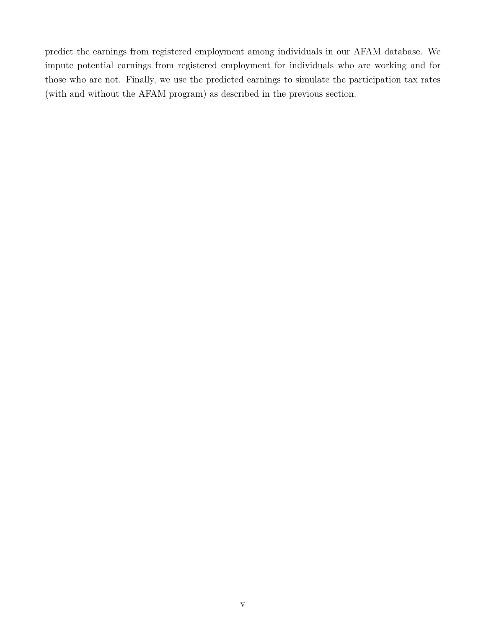predict the earnings from registered employment among individuals in our AFAM database. We impute potential earnings from registered employment for individuals who are working and for those who are not. Finally, we use the predicted earnings to simulate the participation tax rates (with and without the AFAM program) as described in the previous section.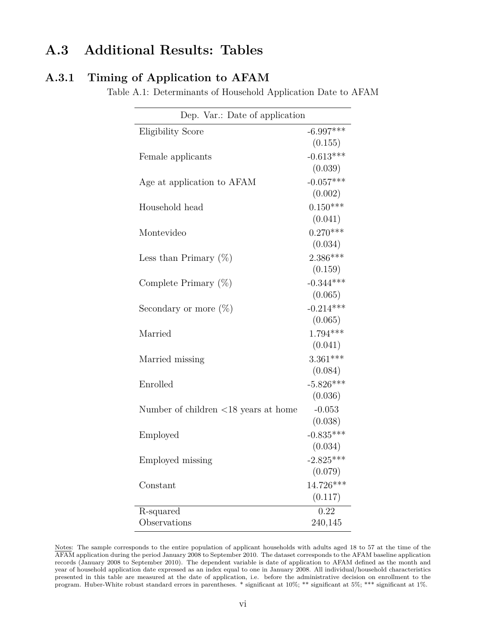# **A.3 Additional Results: Tables**

### **A.3.1 Timing of Application to AFAM**

Table A.1: Determinants of Household Application Date to AFAM

| Dep. Var.: Date of application                        |             |
|-------------------------------------------------------|-------------|
| <b>Eligibility Score</b>                              | $-6.997***$ |
|                                                       | (0.155)     |
| Female applicants                                     | $-0.613***$ |
|                                                       | (0.039)     |
| Age at application to AFAM                            | $-0.057***$ |
|                                                       | (0.002)     |
| Household head                                        | $0.150***$  |
|                                                       | (0.041)     |
| Montevideo                                            | $0.270***$  |
|                                                       | (0.034)     |
| Less than Primary $(\%)$                              | $2.386***$  |
|                                                       | (0.159)     |
| Complete Primary $(\%)$                               | $-0.344***$ |
|                                                       | (0.065)     |
| Secondary or more $(\%)$                              | $-0.214***$ |
|                                                       | (0.065)     |
| Married                                               | $1.794***$  |
|                                                       | (0.041)     |
| Married missing                                       | $3.361***$  |
|                                                       | (0.084)     |
| Enrolled                                              | $-5.826***$ |
|                                                       | (0.036)     |
| Number of children $\langle 18 \rangle$ years at home | $-0.053$    |
|                                                       | (0.038)     |
| Employed                                              | $-0.835***$ |
|                                                       | (0.034)     |
| Employed missing                                      | $-2.825***$ |
|                                                       | (0.079)     |
| Constant                                              | 14.726***   |
|                                                       | (0.117)     |
| R-squared                                             | 0.22        |
| Observations                                          | 240,145     |

Notes: The sample corresponds to the entire population of applicant households with adults aged 18 to 57 at the time of the AFAM application during the period January 2008 to September 2010. The dataset corresponds to the AFAM baseline application records (January 2008 to September 2010). The dependent variable is date of application to AFAM defined as the month and year of household application date expressed as an index equal to one in January 2008. All individual/household characteristics presented in this table are measured at the date of application, i.e. before the administrative decision on enrollment to the program. Huber-White robust standard errors in parentheses. \* significant at 10%; \*\* significant at 5%; \*\*\* significant at 1%.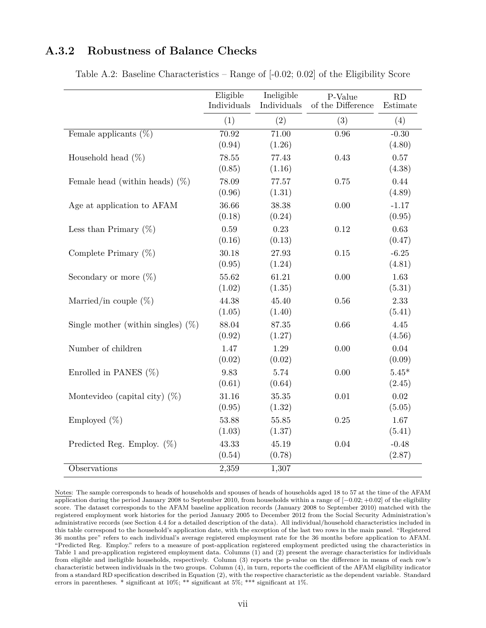### **A.3.2 Robustness of Balance Checks**

|                                       | Eligible<br>Individuals | Ineligible<br>Individuals    | P-Value<br>of the Difference | RD<br>Estimate    |
|---------------------------------------|-------------------------|------------------------------|------------------------------|-------------------|
|                                       | (1)                     | (2)                          | (3)                          | (4)               |
| Female applicants $(\%)$              | 70.92<br>(0.94)         | $\overline{71.00}$<br>(1.26) | $\overline{0.96}$            | $-0.30$<br>(4.80) |
| Household head $(\%)$                 | 78.55<br>(0.85)         | 77.43<br>(1.16)              | 0.43                         | 0.57<br>(4.38)    |
| Female head (within heads) $(\%)$     | 78.09<br>(0.96)         | 77.57<br>(1.31)              | 0.75                         | 0.44<br>(4.89)    |
| Age at application to AFAM            | 36.66<br>(0.18)         | 38.38<br>(0.24)              | 0.00                         | $-1.17$<br>(0.95) |
| Less than Primary $(\%)$              | 0.59<br>(0.16)          | 0.23<br>(0.13)               | 0.12                         | 0.63<br>(0.47)    |
| Complete Primary $(\%)$               | 30.18<br>(0.95)         | 27.93<br>(1.24)              | 0.15                         | $-6.25$<br>(4.81) |
| Secondary or more $(\%)$              | 55.62<br>(1.02)         | 61.21<br>(1.35)              | 0.00                         | 1.63<br>(5.31)    |
| Married/in couple $(\%)$              | 44.38<br>(1.05)         | 45.40<br>(1.40)              | 0.56                         | 2.33<br>(5.41)    |
| Single mother (within singles) $(\%)$ | 88.04<br>(0.92)         | 87.35<br>(1.27)              | 0.66                         | 4.45<br>(4.56)    |
| Number of children                    | 1.47<br>(0.02)          | 1.29<br>(0.02)               | 0.00                         | 0.04<br>(0.09)    |
| Enrolled in PANES $(\%)$              | 9.83<br>(0.61)          | 5.74<br>(0.64)               | 0.00                         | $5.45*$<br>(2.45) |
| Montevideo (capital city) $(\%)$      | 31.16<br>(0.95)         | $35.35\,$<br>(1.32)          | 0.01                         | 0.02<br>(5.05)    |
| Employed $(\%)$                       | 53.88<br>(1.03)         | 55.85<br>(1.37)              | 0.25                         | 1.67<br>(5.41)    |
| Predicted Reg. Employ. $(\%)$         | 43.33<br>(0.54)         | 45.19<br>(0.78)              | 0.04                         | $-0.48$<br>(2.87) |
| Observations                          | 2,359                   | 1,307                        |                              |                   |

Table A.2: Baseline Characteristics – Range of [-0.02; 0.02] of the Eligibility Score

Notes: The sample corresponds to heads of households and spouses of heads of households aged 18 to 57 at the time of the AFAM application during the period January 2008 to September 2010, from households within a range of [−0*.*02; +0*.*02] of the eligibility score. The dataset corresponds to the AFAM baseline application records (January 2008 to September 2010) matched with the registered employment work histories for the period January 2005 to December 2012 from the Social Security Administration's administrative records (see Section 4.4 for a detailed description of the data). All individual/household characteristics included in this table correspond to the household's application date, with the exception of the last two rows in the main panel. "Registered 36 months pre" refers to each individual's average registered employment rate for the 36 months before application to AFAM. "Predicted Reg. Employ." refers to a measure of post-application registered employment predicted using the characteristics in Table 1 and pre-application registered employment data. Columns (1) and (2) present the average characteristics for individuals from eligible and ineligible households, respectively. Column (3) reports the p-value on the difference in means of each row's characteristic between individuals in the two groups. Column (4), in turn, reports the coefficient of the AFAM eligibility indicator from a standard RD specification described in Equation (2), with the respective characteristic as the dependent variable. Standard errors in parentheses. \* significant at  $10\%$ ; \*\* significant at  $5\%$ ; \*\*\* significant at  $1\%$ .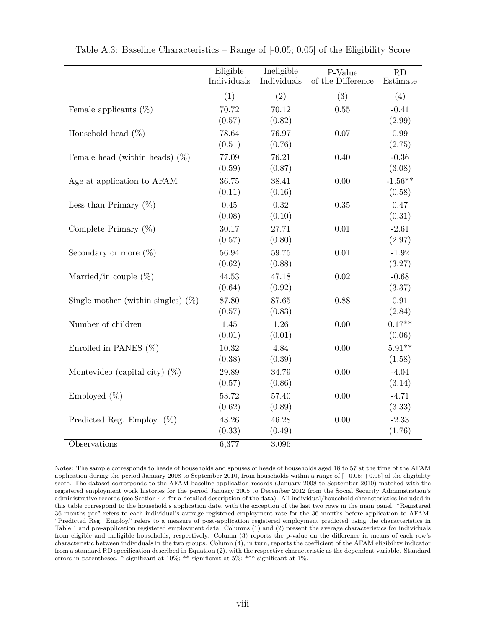|                                       | Eligible<br>Individuals | Ineligible<br>Individuals | P-Value<br>of the Difference | RD<br>Estimate      |
|---------------------------------------|-------------------------|---------------------------|------------------------------|---------------------|
|                                       | (1)                     | (2)                       | (3)                          | (4)                 |
| Female applicants $(\%)$              | 70.72<br>(0.57)         | 70.12<br>(0.82)           | 0.55                         | $-0.41$<br>(2.99)   |
| Household head $(\%)$                 | 78.64<br>(0.51)         | 76.97<br>(0.76)           | 0.07                         | 0.99<br>(2.75)      |
| Female head (within heads) $(\%)$     | 77.09<br>(0.59)         | 76.21<br>(0.87)           | 0.40                         | $-0.36$<br>(3.08)   |
| Age at application to AFAM            | 36.75<br>(0.11)         | 38.41<br>(0.16)           | 0.00                         | $-1.56**$<br>(0.58) |
| Less than Primary $(\%)$              | 0.45<br>(0.08)          | 0.32<br>(0.10)            | 0.35                         | 0.47<br>(0.31)      |
| Complete Primary $(\%)$               | 30.17<br>(0.57)         | 27.71<br>(0.80)           | $0.01\,$                     | $-2.61$<br>(2.97)   |
| Secondary or more $(\%)$              | 56.94<br>(0.62)         | 59.75<br>(0.88)           | $0.01\,$                     | $-1.92$<br>(3.27)   |
| Married/in couple $(\%)$              | 44.53<br>(0.64)         | 47.18<br>(0.92)           | 0.02                         | $-0.68$<br>(3.37)   |
| Single mother (within singles) $(\%)$ | 87.80<br>(0.57)         | 87.65<br>(0.83)           | 0.88                         | 0.91<br>(2.84)      |
| Number of children                    | 1.45<br>(0.01)          | 1.26<br>(0.01)            | 0.00                         | $0.17**$<br>(0.06)  |
| Enrolled in PANES $(\%)$              | 10.32<br>(0.38)         | 4.84<br>(0.39)            | 0.00                         | $5.91**$<br>(1.58)  |
| Montevideo (capital city) $(\%)$      | 29.89<br>(0.57)         | 34.79<br>(0.86)           | 0.00                         | $-4.04$<br>(3.14)   |
| Employed (%)                          | 53.72<br>(0.62)         | 57.40<br>(0.89)           | 0.00                         | $-4.71$<br>(3.33)   |
| Predicted Reg. Employ. $(\%)$         | 43.26<br>(0.33)         | 46.28<br>(0.49)           | 0.00                         | $-2.33$<br>(1.76)   |
| Observations                          | 6,377                   | 3,096                     |                              |                     |

Table A.3: Baseline Characteristics – Range of [-0.05; 0.05] of the Eligibility Score

Notes: The sample corresponds to heads of households and spouses of heads of households aged 18 to 57 at the time of the AFAM application during the period January 2008 to September 2010, from households within a range of [−0*.*05; +0*.*05] of the eligibility score. The dataset corresponds to the AFAM baseline application records (January 2008 to September 2010) matched with the registered employment work histories for the period January 2005 to December 2012 from the Social Security Administration's administrative records (see Section 4.4 for a detailed description of the data). All individual/household characteristics included in this table correspond to the household's application date, with the exception of the last two rows in the main panel. "Registered 36 months pre" refers to each individual's average registered employment rate for the 36 months before application to AFAM. "Predicted Reg. Employ." refers to a measure of post-application registered employment predicted using the characteristics in Table 1 and pre-application registered employment data. Columns (1) and (2) present the average characteristics for individuals from eligible and ineligible households, respectively. Column (3) reports the p-value on the difference in means of each row's characteristic between individuals in the two groups. Column (4), in turn, reports the coefficient of the AFAM eligibility indicator from a standard RD specification described in Equation (2), with the respective characteristic as the dependent variable. Standard errors in parentheses. \* significant at 10%; \*\* significant at 5%; \*\*\* significant at 1%.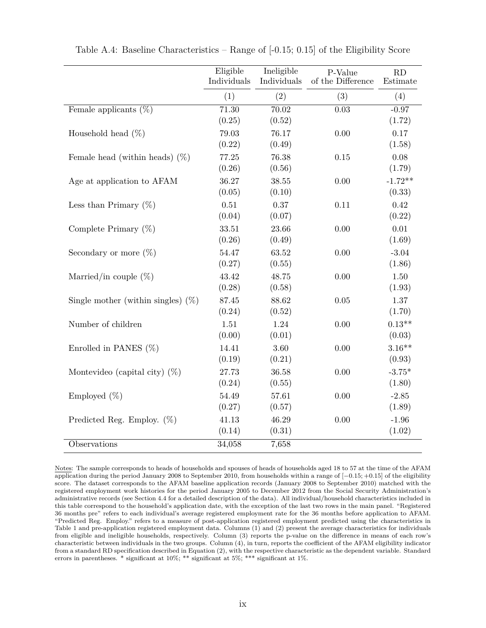|                                       | Eligible<br>Individuals | Ineligible<br>Individuals | P-Value<br>of the Difference | RD<br>Estimate |
|---------------------------------------|-------------------------|---------------------------|------------------------------|----------------|
|                                       | (1)                     | (2)                       | (3)                          | (4)            |
| Female applicants $(\%)$              | 71.30                   | 70.02                     | 0.03                         | $-0.97$        |
|                                       | (0.25)                  | (0.52)                    |                              | (1.72)         |
| Household head $(\%)$                 | 79.03                   | 76.17                     | 0.00                         | 0.17           |
|                                       | (0.22)                  | (0.49)                    |                              | (1.58)         |
| Female head (within heads) $(\%)$     | 77.25                   | 76.38                     | $0.15\,$                     | 0.08           |
|                                       | (0.26)                  | (0.56)                    |                              | (1.79)         |
| Age at application to AFAM            | 36.27                   | 38.55                     | 0.00                         | $-1.72**$      |
|                                       | (0.05)                  | (0.10)                    |                              | (0.33)         |
| Less than Primary $(\%)$              | 0.51                    | 0.37                      | 0.11                         | 0.42           |
|                                       | (0.04)                  | (0.07)                    |                              | (0.22)         |
| Complete Primary $(\%)$               | 33.51                   | 23.66                     | 0.00                         | 0.01           |
|                                       | (0.26)                  | (0.49)                    |                              | (1.69)         |
| Secondary or more $(\%)$              | 54.47                   | 63.52                     | 0.00                         | $-3.04$        |
|                                       | (0.27)                  | (0.55)                    |                              | (1.86)         |
| Married/in couple $(\%)$              | 43.42                   | 48.75                     | 0.00                         | $1.50\,$       |
|                                       | (0.28)                  | (0.58)                    |                              | (1.93)         |
| Single mother (within singles) $(\%)$ | 87.45                   | 88.62                     | 0.05                         | 1.37           |
|                                       | (0.24)                  | (0.52)                    |                              | (1.70)         |
| Number of children                    | 1.51                    | 1.24                      | 0.00                         | $0.13**$       |
|                                       | (0.00)                  | (0.01)                    |                              | (0.03)         |
| Enrolled in PANES $(\%)$              | 14.41                   | 3.60                      | 0.00                         | $3.16**$       |
|                                       | (0.19)                  | (0.21)                    |                              | (0.93)         |
| Montevideo (capital city) $(\%)$      | 27.73                   | 36.58                     | 0.00                         | $-3.75*$       |
|                                       | (0.24)                  | (0.55)                    |                              | (1.80)         |
| Employed (%)                          | 54.49                   | 57.61                     | 0.00                         | $-2.85$        |
|                                       | (0.27)                  | (0.57)                    |                              | (1.89)         |
| Predicted Reg. Employ. $(\%)$         | 41.13                   | 46.29                     | 0.00                         | $-1.96$        |
|                                       | (0.14)                  | (0.31)                    |                              | (1.02)         |
| Observations                          | 34,058                  | 7,658                     |                              |                |

Table A.4: Baseline Characteristics – Range of [-0.15; 0.15] of the Eligibility Score

Notes: The sample corresponds to heads of households and spouses of heads of households aged 18 to 57 at the time of the AFAM application during the period January 2008 to September 2010, from households within a range of [−0*.*15; +0*.*15] of the eligibility score. The dataset corresponds to the AFAM baseline application records (January 2008 to September 2010) matched with the registered employment work histories for the period January 2005 to December 2012 from the Social Security Administration's administrative records (see Section 4.4 for a detailed description of the data). All individual/household characteristics included in this table correspond to the household's application date, with the exception of the last two rows in the main panel. "Registered 36 months pre" refers to each individual's average registered employment rate for the 36 months before application to AFAM. "Predicted Reg. Employ." refers to a measure of post-application registered employment predicted using the characteristics in Table 1 and pre-application registered employment data. Columns (1) and (2) present the average characteristics for individuals from eligible and ineligible households, respectively. Column (3) reports the p-value on the difference in means of each row's characteristic between individuals in the two groups. Column (4), in turn, reports the coefficient of the AFAM eligibility indicator from a standard RD specification described in Equation (2), with the respective characteristic as the dependent variable. Standard errors in parentheses. \* significant at 10%; \*\* significant at 5%; \*\*\* significant at 1%.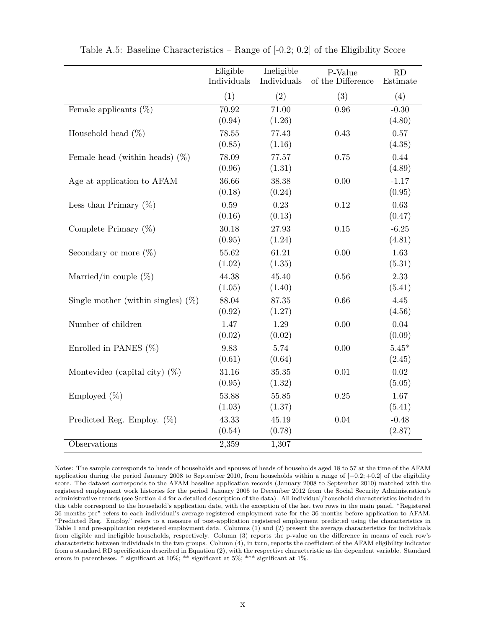|                                       | Eligible<br>Individuals | Ineligible<br>Individuals | P-Value<br>of the Difference | RD<br>Estimate          |
|---------------------------------------|-------------------------|---------------------------|------------------------------|-------------------------|
|                                       | (1)                     | (2)                       | (3)                          | (4)                     |
| Female applicants $(\%)$              | 70.92<br>(0.94)         | 71.00<br>(1.26)           | $\overline{0.96}$            | $-0.30$<br>(4.80)       |
| Household head $(\%)$                 | 78.55<br>(0.85)         | 77.43<br>(1.16)           | 0.43                         | 0.57<br>(4.38)          |
| Female head (within heads) $(\%)$     | 78.09<br>(0.96)         | 77.57<br>(1.31)           | 0.75                         | 0.44<br>(4.89)          |
| Age at application to AFAM            | 36.66<br>(0.18)         | 38.38<br>(0.24)           | 0.00                         | $-1.17$<br>(0.95)       |
| Less than Primary $(\%)$              | 0.59<br>(0.16)          | 0.23<br>(0.13)            | 0.12                         | 0.63<br>(0.47)          |
| Complete Primary $(\%)$               | 30.18<br>(0.95)         | 27.93<br>(1.24)           | 0.15                         | $-6.25$<br>(4.81)       |
| Secondary or more $(\%)$              | 55.62<br>(1.02)         | 61.21<br>(1.35)           | 0.00                         | 1.63<br>(5.31)          |
| Married/in couple $(\%)$              | 44.38<br>(1.05)         | 45.40<br>(1.40)           | 0.56                         | 2.33<br>(5.41)          |
| Single mother (within singles) $(\%)$ | 88.04<br>(0.92)         | 87.35<br>(1.27)           | 0.66                         | 4.45<br>(4.56)          |
| Number of children                    | 1.47<br>(0.02)          | 1.29<br>(0.02)            | 0.00                         | 0.04<br>(0.09)          |
| Enrolled in PANES $(\%)$              | 9.83<br>(0.61)          | 5.74<br>(0.64)            | 0.00                         | $5.45^{\ast}$<br>(2.45) |
| Montevideo (capital city) $(\%)$      | 31.16<br>(0.95)         | 35.35<br>(1.32)           | $0.01\,$                     | 0.02<br>(5.05)          |
| Employed $(\%)$                       | 53.88<br>(1.03)         | 55.85<br>(1.37)           | 0.25                         | 1.67<br>(5.41)          |
| Predicted Reg. Employ. $(\%)$         | 43.33<br>(0.54)         | 45.19<br>(0.78)           | 0.04                         | $-0.48$<br>(2.87)       |
| Observations                          | 2,359                   | 1,307                     |                              |                         |

Table A.5: Baseline Characteristics – Range of [-0.2; 0.2] of the Eligibility Score

Notes: The sample corresponds to heads of households and spouses of heads of households aged 18 to 57 at the time of the AFAM application during the period January 2008 to September 2010, from households within a range of [−0*.*2; +0*.*2] of the eligibility score. The dataset corresponds to the AFAM baseline application records (January 2008 to September 2010) matched with the registered employment work histories for the period January 2005 to December 2012 from the Social Security Administration's administrative records (see Section 4.4 for a detailed description of the data). All individual/household characteristics included in this table correspond to the household's application date, with the exception of the last two rows in the main panel. "Registered 36 months pre" refers to each individual's average registered employment rate for the 36 months before application to AFAM. "Predicted Reg. Employ." refers to a measure of post-application registered employment predicted using the characteristics in Table 1 and pre-application registered employment data. Columns (1) and (2) present the average characteristics for individuals from eligible and ineligible households, respectively. Column (3) reports the p-value on the difference in means of each row's characteristic between individuals in the two groups. Column (4), in turn, reports the coefficient of the AFAM eligibility indicator from a standard RD specification described in Equation (2), with the respective characteristic as the dependent variable. Standard errors in parentheses. \* significant at 10%; \*\* significant at 5%; \*\*\* significant at 1%.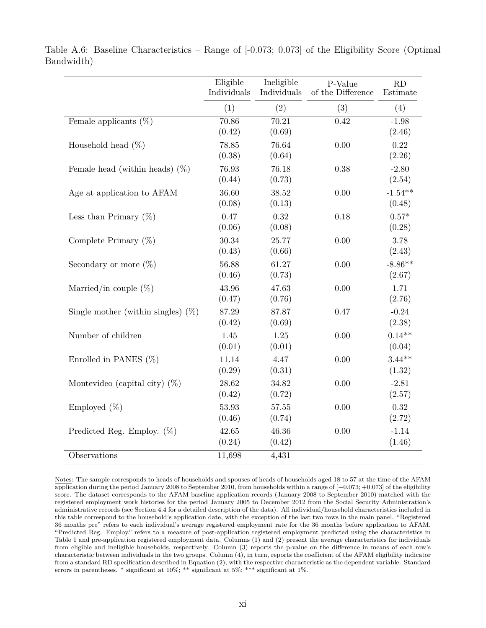|                                       | Eligible<br>Individuals | Ineligible<br>Individuals | P-Value<br>of the Difference | RD<br>Estimate      |
|---------------------------------------|-------------------------|---------------------------|------------------------------|---------------------|
|                                       | (1)                     | (2)                       | (3)                          | (4)                 |
| Female applicants $(\%)$              | 70.86<br>(0.42)         | 70.21<br>(0.69)           | 0.42                         | $-1.98$<br>(2.46)   |
| Household head $(\%)$                 | 78.85<br>(0.38)         | 76.64<br>(0.64)           | 0.00                         | 0.22<br>(2.26)      |
| Female head (within heads) $(\%)$     | 76.93<br>(0.44)         | 76.18<br>(0.73)           | 0.38                         | $-2.80$<br>(2.54)   |
| Age at application to AFAM            | 36.60<br>(0.08)         | 38.52<br>(0.13)           | 0.00                         | $-1.54**$<br>(0.48) |
| Less than Primary $(\%)$              | 0.47<br>(0.06)          | 0.32<br>(0.08)            | 0.18                         | $0.57*$<br>(0.28)   |
| Complete Primary $(\%)$               | 30.34<br>(0.43)         | 25.77<br>(0.66)           | 0.00                         | 3.78<br>(2.43)      |
| Secondary or more $(\%)$              | 56.88<br>(0.46)         | 61.27<br>(0.73)           | 0.00                         | $-8.86**$<br>(2.67) |
| Married/in couple $(\%)$              | 43.96<br>(0.47)         | 47.63<br>(0.76)           | 0.00                         | 1.71<br>(2.76)      |
| Single mother (within singles) $(\%)$ | 87.29<br>(0.42)         | 87.87<br>(0.69)           | 0.47                         | $-0.24$<br>(2.38)   |
| Number of children                    | 1.45<br>(0.01)          | 1.25<br>(0.01)            | 0.00                         | $0.14**$<br>(0.04)  |
| Enrolled in PANES $(\%)$              | 11.14<br>(0.29)         | 4.47<br>(0.31)            | 0.00                         | $3.44**$<br>(1.32)  |
| Montevideo (capital city) $(\%)$      | 28.62<br>(0.42)         | 34.82<br>(0.72)           | 0.00                         | $-2.81$<br>(2.57)   |
| Employed $(\%)$                       | 53.93<br>(0.46)         | 57.55<br>(0.74)           | 0.00                         | 0.32<br>(2.72)      |
| Predicted Reg. Employ. $(\%)$         | 42.65<br>(0.24)         | 46.36<br>(0.42)           | 0.00                         | $-1.14$<br>(1.46)   |
| Observations                          | 11,698                  | 4,431                     |                              |                     |

Table A.6: Baseline Characteristics – Range of [-0.073; 0.073] of the Eligibility Score (Optimal Bandwidth)

Notes: The sample corresponds to heads of households and spouses of heads of households aged 18 to 57 at the time of the AFAM application during the period January 2008 to September 2010, from households within a range of [−0*.*073; +0*.*073] of the eligibility score. The dataset corresponds to the AFAM baseline application records (January 2008 to September 2010) matched with the registered employment work histories for the period January 2005 to December 2012 from the Social Security Administration's administrative records (see Section 4.4 for a detailed description of the data). All individual/household characteristics included in this table correspond to the household's application date, with the exception of the last two rows in the main panel. "Registered 36 months pre" refers to each individual's average registered employment rate for the 36 months before application to AFAM. "Predicted Reg. Employ." refers to a measure of post-application registered employment predicted using the characteristics in Table 1 and pre-application registered employment data. Columns (1) and (2) present the average characteristics for individuals from eligible and ineligible households, respectively. Column (3) reports the p-value on the difference in means of each row's characteristic between individuals in the two groups. Column (4), in turn, reports the coefficient of the AFAM eligibility indicator from a standard RD specification described in Equation (2), with the respective characteristic as the dependent variable. Standard errors in parentheses. \* significant at 10%; \*\* significant at 5%; \*\*\* significant at 1%.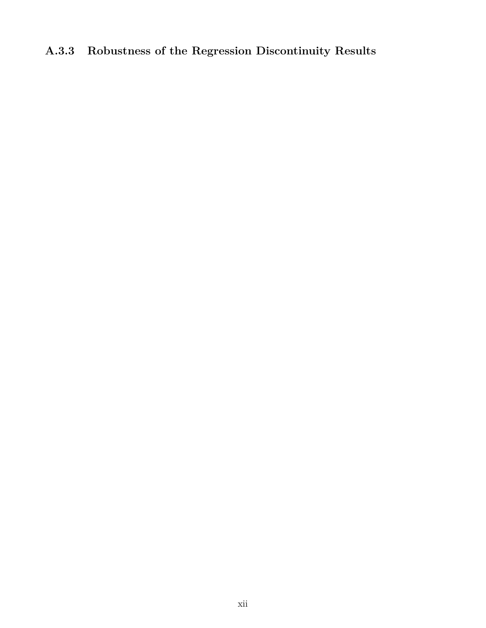# **A.3.3 Robustness of the Regression Discontinuity Results**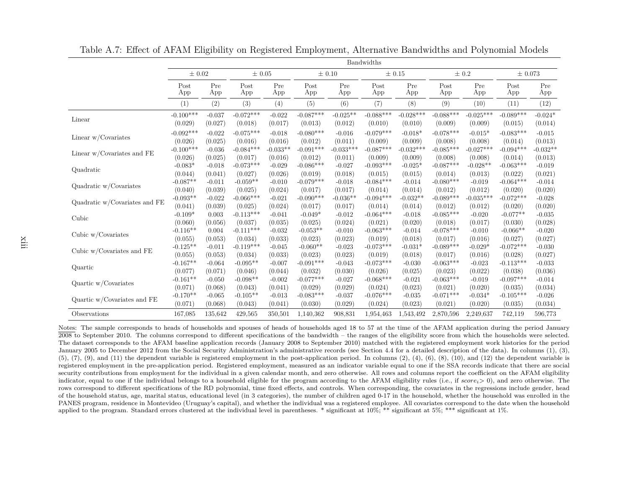|                               |                                    |                              |                                       |                                 |                                     |                                 | Bandwidths                            |                                  |                                       |                                  |                                      |                                 |
|-------------------------------|------------------------------------|------------------------------|---------------------------------------|---------------------------------|-------------------------------------|---------------------------------|---------------------------------------|----------------------------------|---------------------------------------|----------------------------------|--------------------------------------|---------------------------------|
|                               | $\pm 0.02$                         |                              | $\pm 0.05$                            |                                 |                                     | $\pm 0.10$                      |                                       | $\pm 0.15$                       |                                       | $\pm 0.2$                        | $\pm 0.073$                          |                                 |
|                               | Post                               | Pre                          | Post                                  | Pre                             | Post                                | Pre                             | Post                                  | Pre                              | Post                                  | Pre                              | Post                                 | Pre                             |
|                               | App                                | App                          | App                                   | App                             | App                                 | App                             | App                                   | App                              | App                                   | App                              | App                                  | App                             |
|                               | (1)                                | (2)                          | (3)                                   | (4)                             | (5)                                 | (6)                             | (7)                                   | (8)                              | (9)                                   | (10)                             | (11)                                 | (12)                            |
| Linear                        | $-0.100***$                        | $-0.037$                     | $-0.072***$                           | $-0.022$                        | $-0.087***$                         | $-0.025**$                      | $-0.088***$                           | $-0.028***$                      | $-0.088***$                           | $-0.025***$                      | $-0.089***$                          | $-0.024*$                       |
|                               | (0.029)                            | (0.027)                      | (0.018)                               | (0.017)                         | (0.013)                             | (0.012)                         | (0.010)                               | (0.010)                          | (0.009)                               | (0.009)                          | (0.015)                              | (0.014)                         |
| Linear $w/Covariates$         | $-0.092***$                        | $-0.022$                     | $-0.075***$                           | $-0.018$                        | $-0.080***$                         | $-0.016$                        | $-0.079***$                           | $-0.018*$                        | $-0.078***$                           | $-0.015*$                        | $-0.083***$                          | $-0.015$                        |
|                               | (0.026)                            | (0.025)                      | (0.016)                               | (0.016)                         | (0.012)                             | (0.011)                         | (0.009)                               | (0.009)                          | (0.008)                               | (0.008)                          | (0.014)                              | (0.013)                         |
| Linear $w$ /Covariates and FE | $-0.100***$                        | $-0.036$                     | $-0.084***$                           | $-0.033**$                      | $-0.091***$                         | $-0.033***$                     | $-0.087***$                           | $-0.032***$                      | $-0.085***$                           | $-0.027***$                      | $-0.094***$                          | $-0.032**$                      |
|                               | (0.026)                            | (0.025)                      | (0.017)                               | (0.016)                         | (0.012)                             | (0.011)                         | (0.009)                               | (0.009)                          | (0.008)                               | (0.008)                          | (0.014)                              | (0.013)                         |
| Quadratic                     | $-0.083*$                          | $-0.018$                     | $-0.073***$                           | $-0.029$                        | $-0.086***$                         | $-0.027$                        | $-0.093***$                           | $-0.025*$                        | $-0.087***$                           | $-0.028**$                       | $-0.063***$                          | $-0.019$                        |
|                               | (0.044)                            | (0.041)                      | (0.027)                               | (0.026)                         | (0.019)                             | (0.018)                         | (0.015)                               | (0.015)                          | (0.014)                               | (0.013)                          | (0.022)                              | (0.021)                         |
| Quadratic w/Covariates        | $-0.087**$                         | $-0.011$                     | $-0.059**$                            | $-0.010$                        | $-0.079***$                         | $-0.018$                        | $-0.084***$                           | $-0.014$                         | $-0.080***$                           | $-0.019$                         | $-0.064***$                          | $-0.014$                        |
|                               | (0.040)                            | (0.039)                      | (0.025)                               | (0.024)                         | (0.017)                             | (0.017)                         | (0.014)                               | (0.014)                          | (0.012)                               | (0.012)                          | (0.020)                              | (0.020)                         |
| Quadratic w/Covariates and FE | $-0.093**$                         | $-0.022$                     | $-0.066***$                           | $-0.021$                        | $-0.090***$                         | $-0.036**$                      | $-0.094***$                           | $-0.032**$                       | $-0.089***$                           | $-0.035***$                      | $-0.072***$                          | $-0.028$                        |
|                               | (0.041)                            | (0.039)                      | (0.025)                               | (0.024)                         | (0.017)                             | (0.017)                         | (0.014)                               | (0.014)                          | (0.012)                               | (0.012)                          | (0.020)                              | (0.020)                         |
| Cubic                         | $-0.109*$<br>(0.060)<br>$-0.116**$ | 0.003<br>(0.056)             | $-0.113***$<br>(0.037)                | $-0.041$<br>(0.035)             | $-0.049*$<br>(0.025)                | $-0.012$<br>(0.024)             | $-0.064***$<br>(0.021)                | $-0.018$<br>(0.020)              | $-0.085***$<br>(0.018)<br>$-0.078***$ | $-0.020$<br>(0.017)              | $-0.077**$<br>(0.030)                | $-0.035$<br>(0.028)             |
| Cubic w/Covariates            | (0.055)<br>$-0.125**$              | 0.004<br>(0.053)<br>$-0.011$ | $-0.111***$<br>(0.034)<br>$-0.119***$ | $-0.032$<br>(0.033)<br>$-0.045$ | $-0.053**$<br>(0.023)<br>$-0.060**$ | $-0.010$<br>(0.023)<br>$-0.023$ | $-0.063***$<br>(0.019)<br>$-0.073***$ | $-0.014$<br>(0.018)<br>$-0.031*$ | (0.017)<br>$-0.089***$                | $-0.010$<br>(0.016)<br>$-0.029*$ | $-0.066**$<br>(0.027)<br>$-0.072***$ | $-0.020$<br>(0.027)<br>$-0.030$ |
| Cubic $w$ /Covariates and FE  | (0.055)                            | (0.053)                      | (0.034)                               | (0.033)                         | (0.023)                             | (0.023)                         | (0.019)                               | (0.018)                          | (0.017)                               | (0.016)                          | (0.028)                              | (0.027)                         |
|                               | $-0.167**$                         | $-0.064$                     | $-0.095**$                            | $-0.007$                        | $-0.091***$                         | $-0.043$                        | $-0.073***$                           | $-0.030$                         | $-0.063***$                           | $-0.023$                         | $-0.113***$                          | $-0.033$                        |
| Quartic                       | (0.077)                            | (0.071)                      | (0.046)                               | (0.044)                         | (0.032)                             | (0.030)                         | (0.026)                               | (0.025)                          | (0.023)                               | (0.022)                          | (0.038)                              | (0.036)                         |
|                               | $-0.161**$                         | $-0.050$                     | $-0.098**$                            | $-0.002$                        | $-0.077***$                         | $-0.027$                        | $-0.068***$                           | $-0.021$                         | $-0.063***$                           | $-0.019$                         | $-0.097***$                          | $-0.014$                        |
| Quartic $w/Covariates$        | (0.071)<br>$-0.170**$              | (0.068)                      | (0.043)<br>$-0.105**$                 | (0.041)                         | (0.029)<br>$-0.083***$              | (0.029)                         | (0.024)<br>$-0.076***$                | (0.023)                          | (0.021)<br>$-0.071***$                | (0.020)                          | (0.035)<br>$-0.105***$               | (0.034)                         |
| Quartic w/Covariates and FE   | (0.071)                            | $-0.065$<br>(0.068)          | (0.043)                               | $-0.013$<br>(0.041)             | (0.030)                             | $-0.037$<br>(0.029)             | (0.024)                               | $-0.035$<br>(0.023)              | (0.021)                               | $-0.034*$<br>(0.020)             | (0.035)                              | $-0.026$<br>(0.034)             |
| Observations                  | 167,085                            | 135,642                      | 429,565                               | 350,501                         | 1,140,362                           | 908,831                         | 1,954,463                             | 1,543,492                        | 2,870,596                             | 2,249,637                        | 742,119                              | 596,773                         |

Table A.7: Effect of AFAM Eligibility on Registered Employment, Alternative Bandwidths and Polynomial Models

Notes: The sample corresponds to heads of households and spouses of heads of households aged 18 to 57 at the time of the AFAM application during the period January 2008 to September 2010. The columns correspond to different specifications of the bandwidth – the ranges of the eligibility score from which the households were selected. The dataset corresponds to the AFAM baseline application records (January <sup>2008</sup> to September 2010) matched with the registered employment work histories for the period January <sup>2005</sup> to December <sup>2012</sup> from the Social Security Administration's administrative records (see Section 4.4 for <sup>a</sup> detailed description of the data). In columns (1), (3), $(5)$ ,  $(7)$ ,  $(9)$ , and  $(11)$  the dependent variable is registered employment in the post-application period. In columns  $(2)$ ,  $(4)$ ,  $(6)$ ,  $(8)$ ,  $(10)$ , and  $(12)$  the dependent variable is registered employment in the pre-application period. Registered employment, measured as an indicator variable equal to one if the SSA records indicate that there are socialsecurity contributions from employment for the individual in a given calendar month, and zero otherwise. All rows and columns report the coefficient on the AFAM eligibility indicator, equal to one if the individual belongs to <sup>a</sup> household eligible for the program according to the AFAM eligibility rules (i.e., if *scorei*<sup>&</sup>gt; 0), and zero otherwise. The rows correspond to different specifications of the RD polynomial, time fixed effects, and controls. When corresponding, the covariates in the regressions include gender, head of the household status, age, marital status, educational level (in <sup>3</sup> categories), the number of children aged 0-17 in the household, whether the household was enrolled in the PANES program, residence in Montevideo (Uruguay's capital), and whether the individual was <sup>a</sup> registered employee. All covariates correspond to the date when the householdapplied to the program. Standard errors clustered at the individual level in parentheses. \* significant at 10%; \*\* significant at 5%; \*\*\* significant at 1%.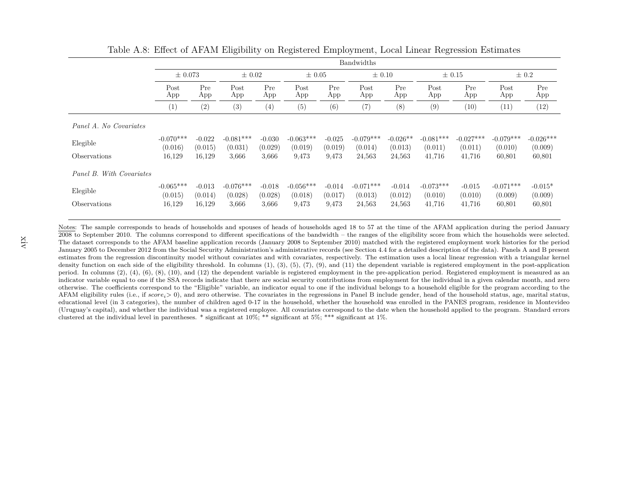|                          |                           | Bandwidths          |                        |                     |                        |                     |                        |                     |                        |                     |                        |                      |
|--------------------------|---------------------------|---------------------|------------------------|---------------------|------------------------|---------------------|------------------------|---------------------|------------------------|---------------------|------------------------|----------------------|
|                          | $\pm 0.073$               |                     | $\pm 0.02$             |                     | $\pm 0.05$             |                     | $\pm$ 0.10             |                     | $\pm$ 0.15             |                     | $\pm$ 0.2              |                      |
|                          | Pre<br>Post<br>App<br>App | Post<br>App         | Pre<br>App             | Post<br>App         | Pre<br>App             | Post<br>App         | Pre<br>App             | Post<br>App         | Pre<br>App             | Post<br>App         | Pre<br>App             |                      |
|                          | (1)                       | (2)                 | (3)                    | (4)                 | (5)                    | (6)                 | (7)                    | (8)                 | (9)                    | (10)                | (11)                   | (12)                 |
| Panel A. No Covariates   |                           |                     |                        |                     |                        |                     |                        |                     |                        |                     |                        |                      |
| Elegible                 | $-0.070***$<br>(0.016)    | $-0.022$            | $-0.081***$            | $-0.030$            | $-0.063***$            | $-0.025$<br>(0.019) | $-0.079***$            | $-0.026**$          | $-0.081***$            | $-0.027***$         | $-0.079***$            | $-0.026***$          |
| Observations             | 16,129                    | (0.015)<br>16,129   | (0.031)<br>3,666       | (0.029)<br>3,666    | (0.019)<br>9,473       | 9,473               | (0.014)<br>24,563      | (0.013)<br>24,563   | (0.011)<br>41,716      | (0.011)<br>41,716   | (0.010)<br>60,801      | (0.009)<br>60,801    |
| Panel B. With Covariates |                           |                     |                        |                     |                        |                     |                        |                     |                        |                     |                        |                      |
| Elegible                 | $-0.065***$<br>(0.015)    | $-0.013$<br>(0.014) | $-0.076***$<br>(0.028) | $-0.018$<br>(0.028) | $-0.056***$<br>(0.018) | $-0.014$<br>(0.017) | $-0.071***$<br>(0.013) | $-0.014$<br>(0.012) | $-0.073***$<br>(0.010) | $-0.015$<br>(0.010) | $-0.071***$<br>(0.009) | $-0.015*$<br>(0.009) |
| Observations             | 16,129                    | 16,129              | 3,666                  | 3,666               | 9,473                  | 9,473               | 24,563                 | 24,563              | 41,716                 | 41,716              | 60,801                 | 60,801               |

Table A.8: Effect of AFAM Eligibility on Registered Employment, Local Linear Regression Estimates

Notes: The sample corresponds to heads of households and spouses of heads of households aged 18 to 57 at the time of the AFAM application during the period January 2008 to September 2010. The columns correspond to different specifications of the bandwidth – the ranges of the eligibility score from which the households were selected. The dataset corresponds to the AFAM baseline application records (January <sup>2008</sup> to September 2010) matched with the registered employment work histories for the period January <sup>2005</sup> to December <sup>2012</sup> from the Social Security Administration's administrative records (see Section 4.4 for <sup>a</sup> detailed description of the data). Panels A and <sup>B</sup> present estimates from the regression discontinuity model without covariates and with covariates, respectively. The estimation uses <sup>a</sup> local linear regression with <sup>a</sup> triangular kerneldensity function on each side of the eligibility threshold. In columns (1), (3), (5), (7), (9), and (11) the dependent variable is registered employment in the post-application period. In columns (2), (4), (6), (8), (10), and (12) the dependent variable is registered employment in the pre-application period. Registered employment is measured as an indicator variable equal to one if the SSA records indicate that there are social security contributions from employment for the individual in <sup>a</sup> given calendar month, and zero otherwise. The coefficients correspond to the "Eligible" variable, an indicator equal to one if the individual belongs to <sup>a</sup> household eligible for the program according to the AFAM eligibility rules (i.e., if *scorei*<sup>&</sup>gt; 0), and zero otherwise. The covariates in the regressions in Panel <sup>B</sup> include gender, head of the household status, age, marital status, educational level (in <sup>3</sup> categories), the number of children aged 0-17 in the household, whether the household was enrolled in the PANES program, residence in Montevideo (Uruguay's capital), and whether the individual was <sup>a</sup> registered employee. All covariates correspond to the date when the household applied to the program. Standard errorsclustered at the individual level in parentheses. \* significant at 10%; \*\* significant at 5%; \*\*\* significant at 1%.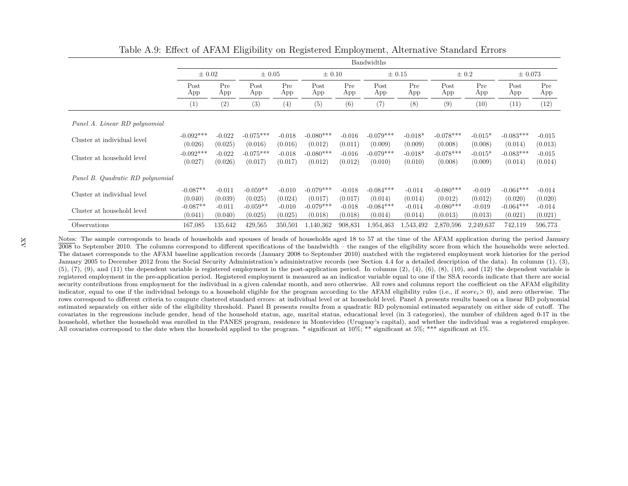|                                  |                        |                     |                        |                     |                        |                     | Bandwidths             |                      |                        |                      |                        |                     |
|----------------------------------|------------------------|---------------------|------------------------|---------------------|------------------------|---------------------|------------------------|----------------------|------------------------|----------------------|------------------------|---------------------|
|                                  | $\pm 0.02$             |                     |                        | $\pm 0.05$          |                        | $\pm$ 0.10          | $\pm$ 0.15             |                      | $\pm$ 0.2              |                      | $\pm 0.073$            |                     |
|                                  | Post<br>App            | Pre<br>App          | Post<br>App            | Pre<br>App          | Post<br>App            | Pre<br>App          | Post<br>App            | Pre<br>App           | Post<br>App            | Pre<br>App           | Post<br>App            | Pre<br>App          |
|                                  | (1)                    | (2)                 | (3)                    | (4)                 | (5)                    | (6)                 | (7)                    | (8)                  | (9)                    | (10)                 | (11)                   | (12)                |
| Panel A. Linear RD polynomial    |                        |                     |                        |                     |                        |                     |                        |                      |                        |                      |                        |                     |
| Cluster at individual level      | $-0.092***$<br>(0.026) | $-0.022$<br>(0.025) | $-0.075***$<br>(0.016) | $-0.018$<br>(0.016) | $-0.080***$<br>(0.012) | $-0.016$<br>(0.011) | $-0.079***$<br>(0.009) | $-0.018*$<br>(0.009) | $-0.078***$<br>(0.008) | $-0.015*$<br>(0.008) | $-0.083***$<br>(0.014) | $-0.015$<br>(0.013) |
| Cluster at household level       | $-0.092***$<br>(0.027) | $-0.022$<br>(0.026) | $-0.075***$<br>(0.017) | $-0.018$<br>(0.017) | $-0.080***$<br>(0.012) | $-0.016$<br>(0.012) | $-0.079***$<br>(0.010) | $-0.018*$<br>(0.010) | $-0.078***$<br>(0.008) | $-0.015*$<br>(0.009) | $-0.083***$<br>(0.014) | $-0.015$<br>(0.014) |
| Panel B. Quadratic RD polynomial |                        |                     |                        |                     |                        |                     |                        |                      |                        |                      |                        |                     |
| Cluster at individual level      | $-0.087**$<br>(0.040)  | $-0.011$<br>(0.039) | $-0.059**$<br>(0.025)  | $-0.010$<br>(0.024) | $-0.079***$<br>(0.017) | $-0.018$<br>(0.017) | $-0.084***$<br>(0.014) | $-0.014$<br>(0.014)  | $-0.080***$<br>(0.012) | $-0.019$<br>(0.012)  | $-0.064***$<br>(0.020) | $-0.014$<br>(0.020) |
| Cluster at household level       | $-0.087**$<br>(0.041)  | $-0.011$<br>(0.040) | $-0.059**$<br>(0.025)  | $-0.010$<br>(0.025) | $-0.079***$<br>(0.018) | $-0.018$<br>(0.018) | $-0.084***$<br>(0.014) | $-0.014$<br>(0.014)  | $-0.080***$<br>(0.013) | $-0.019$<br>(0.013)  | $-0.064***$<br>(0.021) | $-0.014$<br>(0.021) |
| Observations                     | 167,085                | 135,642             | 429,565                | 350,501             | 1,140,362              | 908,831             | 1,954,463              | .543.492             | 2,870,596              | 2,249,637            | 742,119                | 596,773             |

Table A.9: Effect of AFAM Eligibility on Registered Employment, Alternative Standard Errors

Notes: The sample corresponds to heads of households and spouses of heads of households aged 18 to 57 at the time of the AFAM application during the period January 2008 to September 2010. The columns correspond to different specifications of the bandwidth – the ranges of the eligibility score from which the households were selected. The dataset corresponds to the AFAM baseline application records (January <sup>2008</sup> to September 2010) matched with the registered employment work histories for the period January <sup>2005</sup> to December <sup>2012</sup> from the Social Security Administration's administrative records (see Section 4.4 for <sup>a</sup> detailed description of the data). In columns (1), (3), $(5)$ ,  $(7)$ ,  $(9)$ , and  $(11)$  the dependent variable is registered employment in the post-application period. In columns  $(2)$ ,  $(4)$ ,  $(6)$ ,  $(8)$ ,  $(10)$ , and  $(12)$  the dependent variable is registered employment in the pre-application period. Registered employment is measured as an indicator variable equal to one if the SSA records indicate that there are socialsecurity contributions from employment for the individual in a given calendar month, and zero otherwise. All rows and columns report the coefficient on the AFAM eligibility indicator, equal to one if the individual belongs to <sup>a</sup> household eligible for the program according to the AFAM eligibility rules (i.e., if *scorei*<sup>&</sup>gt; 0), and zero otherwise. Therows correspond to different criteria to compute clustered standard errors: at individual level or at household level. Panel A presents results based on a linear RD polynomial control and the state of cutoff. The control a estimated separately on either side of the eligibility threshold. Panel B presents results from <sup>a</sup> quadratic RD polynomial estimated separately on either side of cutoff. The covariates in the regressions include gender, head of the household status, age, marital status, educational level (in <sup>3</sup> categories), the number of children aged 0-17 in the household, whether the household was enrolled in the PANES program, residence in Montevideo (Uruguay's capital), and whether the individual was <sup>a</sup> registered employee.All covariates correspond to the date when the household applied to the program. \* significant at 10%; \*\* significant at 5%; \*\*\* significant at 1%.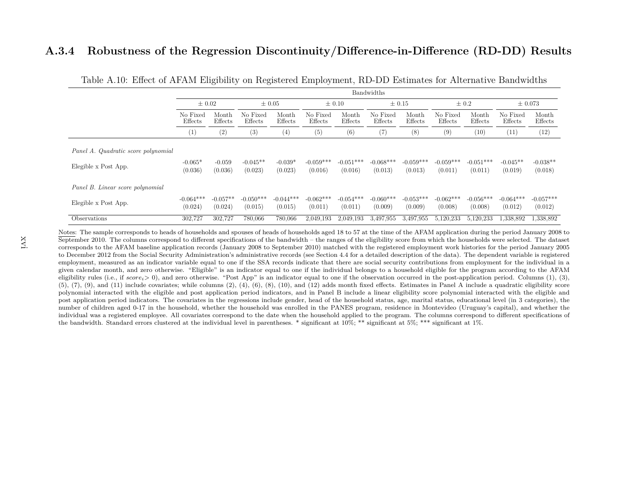#### **A.3.4 Robustness of the Regression Discontinuity/Difference-in-Difference (RD-DD) Results**

|                                                             | Bandwidths                   |                       |                        |                        |                        |                        |                        |                        |                        |                        |                        |                        |
|-------------------------------------------------------------|------------------------------|-----------------------|------------------------|------------------------|------------------------|------------------------|------------------------|------------------------|------------------------|------------------------|------------------------|------------------------|
|                                                             | $\pm 0.02$                   |                       | $\pm 0.05$             |                        | $\pm$ 0.10             |                        | $\pm$ 0.15             |                        | $\pm$ 0.2              |                        | $\pm 0.073$            |                        |
|                                                             | No Fixed<br>Month<br>Effects | Effects               | No Fixed<br>Effects    | Month<br>Effects       | No Fixed<br>Effects    | Month<br>Effects       | No Fixed<br>Effects    | Month<br>Effects       | No Fixed<br>Effects    | Month<br>Effects       | No Fixed<br>Effects    | Month<br>Effects       |
|                                                             | $\left(1\right)$             | (2)                   | (3)                    | (4)                    | (5)                    | (6)                    | (7)                    | (8)                    | (9)                    | (10)                   | (11)                   | (12)                   |
| Panel A. Quadratic score polynomial<br>Elegible x Post App. | $-0.065*$<br>(0.036)         | $-0.059$<br>(0.036)   | $-0.045**$<br>(0.023)  | $-0.039*$<br>(0.023)   | $-0.059***$<br>(0.016) | $-0.051***$<br>(0.016) | $-0.068***$<br>(0.013) | $-0.059***$<br>(0.013) | $-0.059***$<br>(0.011) | $-0.051***$<br>(0.011) | $-0.045**$<br>(0.019)  | $-0.038**$<br>(0.018)  |
| Panel B. Linear score polynomial                            |                              |                       |                        |                        |                        |                        |                        |                        |                        |                        |                        |                        |
| Elegible x Post App.                                        | $-0.064***$<br>(0.024)       | $-0.057**$<br>(0.024) | $-0.050***$<br>(0.015) | $-0.044***$<br>(0.015) | $-0.062***$<br>(0.011) | $-0.054***$<br>(0.011) | $-0.060***$<br>(0.009) | $-0.053***$<br>(0.009) | $-0.062***$<br>(0.008) | $-0.056***$<br>(0.008) | $-0.064***$<br>(0.012) | $-0.057***$<br>(0.012) |
| Observations                                                | 302,727                      | 302,727               | 780,066                | 780,066                | 2,049,193              | 2,049,193              | 3.497.955              | 3.497,955              | 5,120,233              | 5,120,233              | 1,338,892              | 1,338,892              |

Table A.10: Effect of AFAM Eligibility on Registered Employment, RD-DD Estimates for Alternative Bandwidths

Notes: The sample corresponds to heads of households and spouses of heads of households aged 18 to 57 at the time of the AFAM application during the period January 2008 to September 2010. The columns correspond to different specifications of the bandwidth – the ranges of the eligibility score from which the households were selected. The dataset corresponds to the AFAM baseline application records (January <sup>2008</sup> to September 2010) matched with the registered employment work histories for the period January <sup>2005</sup> to December <sup>2012</sup> from the Social Security Administration's administrative records (see Section 4.4 for <sup>a</sup> detailed description of the data). The dependent variable is registered employment, measured as an indicator variable equal to one if the SSA records indicate that there are social security contributions from employment for the individual in <sup>a</sup> given calendar month, and zero otherwise. "Eligible" is an indicator equal to one if the individual belongs to <sup>a</sup> household eligible for the program according to the AFAMeligibility rules (i.e., if *score*<sub>i</sub>> 0), and zero otherwise. "Post App" is an indicator equal to one if the observation occurred in the post-application period. Columns (1), (3),  $(5)$ ,  $(7)$ ,  $(9)$ , and  $(11)$  include covariates; while columns  $(2)$ ,  $(4)$ ,  $(6)$ ,  $(8)$ ,  $(10)$ , and  $(12)$  adds month fixed effects. Estimates in Panel A include a quadratic eligibility score<br>a locality score in the polynomial interacted with the eligible and post application period indicators, and in Panel B include <sup>a</sup> linear eligibility score polynomial interacted with the eligible and post application period indicators. The covariates in the regressions include gender, head of the household status, age, marital status, educational level (in <sup>3</sup> categories), the number of children aged 0-17 in the household, whether the household was enrolled in the PANES program, residence in Montevideo (Uruguay's capital), and whether the individual was <sup>a</sup> registered employee. All covariates correspond to the date when the household applied to the program. The columns correspond to different specifications ofthe bandwidth. Standard errors clustered at the individual level in parentheses. \* significant at 10%; \*\* significant at 5%; \*\*\* significant at 1%.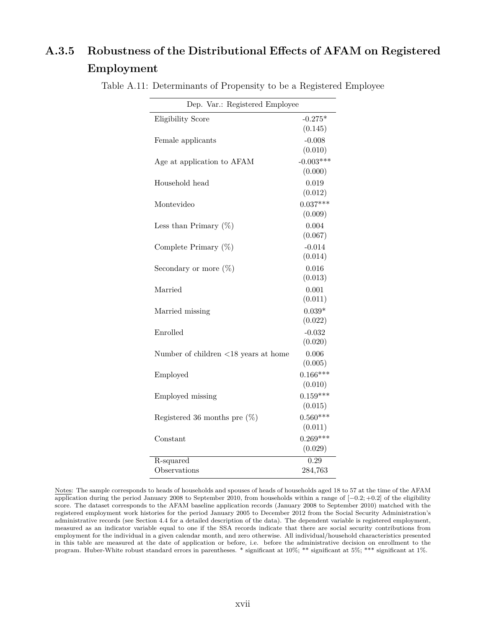## **A.3.5 Robustness of the Distributional Effects of AFAM on Registered Employment**

| Dep. Var.: Registered Employee                        |                        |
|-------------------------------------------------------|------------------------|
| Eligibility Score                                     | $-0.275*$<br>(0.145)   |
| Female applicants                                     | $-0.008$<br>(0.010)    |
| Age at application to AFAM                            | $-0.003***$<br>(0.000) |
| Household head                                        | 0.019<br>(0.012)       |
| Montevideo                                            | $0.037***$<br>(0.009)  |
| Less than Primary $(\%)$                              | 0.004<br>(0.067)       |
| Complete Primary $(\%)$                               | $-0.014$<br>(0.014)    |
| Secondary or more $(\%)$                              | 0.016<br>(0.013)       |
| Married                                               | 0.001<br>(0.011)       |
| Married missing                                       | $0.039*$<br>(0.022)    |
| Enrolled                                              | $-0.032$<br>(0.020)    |
| Number of children $\langle 18 \rangle$ years at home | 0.006<br>(0.005)       |
| Employed                                              | $0.166***$<br>(0.010)  |
| Employed missing                                      | $0.159***$<br>(0.015)  |
| Registered 36 months pre $(\%)$                       | $0.560***$<br>(0.011)  |
| Constant                                              | $0.269***$<br>(0.029)  |
| R-squared                                             | $\overline{0.29}$      |
| Observations                                          | 284,763                |

Table A.11: Determinants of Propensity to be a Registered Employee

Notes: The sample corresponds to heads of households and spouses of heads of households aged 18 to 57 at the time of the AFAM application during the period January 2008 to September 2010, from households within a range of [−0*.*2; +0*.*2] of the eligibility score. The dataset corresponds to the AFAM baseline application records (January 2008 to September 2010) matched with the registered employment work histories for the period January 2005 to December 2012 from the Social Security Administration's administrative records (see Section 4.4 for a detailed description of the data). The dependent variable is registered employment, measured as an indicator variable equal to one if the SSA records indicate that there are social security contributions from employment for the individual in a given calendar month, and zero otherwise. All individual/household characteristics presented in this table are measured at the date of application or before, i.e. before the administrative decision on enrollment to the program. Huber-White robust standard errors in parentheses. \* significant at 10%; \*\* significant at 5%; \*\*\* significant at 1%.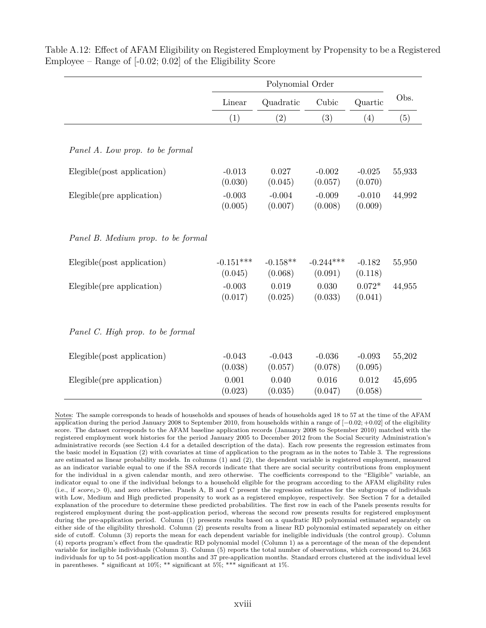|                                    |                        | Polynomial Order      |                        |                     |        |
|------------------------------------|------------------------|-----------------------|------------------------|---------------------|--------|
|                                    | Linear                 | Quadratic             | Cubic                  | Quartic             | Obs.   |
|                                    | (1)                    | (2)                   | (3)                    | (4)                 | (5)    |
| Panel A. Low prop. to be formal    |                        |                       |                        |                     |        |
| Elegible(post application)         | $-0.013$<br>(0.030)    | 0.027<br>(0.045)      | $-0.002$<br>(0.057)    | $-0.025$<br>(0.070) | 55,933 |
| Elegible(pre application)          | $-0.003$<br>(0.005)    | $-0.004$<br>(0.007)   | $-0.009$<br>(0.008)    | $-0.010$<br>(0.009) | 44,992 |
| Panel B. Medium prop. to be formal |                        |                       |                        |                     |        |
| Elegible(post application)         | $-0.151***$<br>(0.045) | $-0.158**$<br>(0.068) | $-0.244***$<br>(0.091) | $-0.182$<br>(0.118) | 55,950 |
| Elegible(pre application)          | $-0.003$<br>(0.017)    | 0.019<br>(0.025)      | 0.030<br>(0.033)       | $0.072*$<br>(0.041) | 44,955 |
| Panel C. High prop. to be formal   |                        |                       |                        |                     |        |
| Elegible(post application)         | $-0.043$<br>(0.038)    | $-0.043$<br>(0.057)   | $-0.036$<br>(0.078)    | $-0.093$<br>(0.095) | 55,202 |
| Elegible(pre application)          | 0.001<br>(0.023)       | 0.040<br>(0.035)      | 0.016<br>(0.047)       | 0.012<br>(0.058)    | 45,695 |

Table A.12: Effect of AFAM Eligibility on Registered Employment by Propensity to be a Registered Employee – Range of [-0.02; 0.02] of the Eligibility Score

Notes: The sample corresponds to heads of households and spouses of heads of households aged 18 to 57 at the time of the AFAM application during the period January 2008 to September 2010, from households within a range of [−0*.*02; +0*.*02] of the eligibility score. The dataset corresponds to the AFAM baseline application records (January 2008 to September 2010) matched with the registered employment work histories for the period January 2005 to December 2012 from the Social Security Administration's administrative records (see Section 4.4 for a detailed description of the data). Each row presents the regression estimates from the basic model in Equation (2) with covariates at time of application to the program as in the notes to Table 3. The regressions are estimated as linear probability models. In columns (1) and (2), the dependent variable is registered employment, measured as an indicator variable equal to one if the SSA records indicate that there are social security contributions from employment for the individual in a given calendar month, and zero otherwise. The coefficients correspond to the "Eligible" variable, an indicator equal to one if the individual belongs to a household eligible for the program according to the AFAM eligibility rules (i.e., if *scorei*> 0), and zero otherwise. Panels A, B and C present the regression estimates for the subgroups of individuals with Low, Medium and High predicted propensity to work as a registered employee, respectively. See Section 7 for a detailed explanation of the procedure to determine these predicted probabilities. The first row in each of the Panels presents results for registered employment during the post-application period, whereas the second row presents results for registered employment during the pre-application period. Column (1) presents results based on a quadratic RD polynomial estimated separately on either side of the eligibility threshold. Column (2) presents results from a linear RD polynomial estimated separately on either side of cutoff. Column (3) reports the mean for each dependent variable for ineligible individuals (the control group). Column (4) reports program's effect from the quadratic RD polynomial model (Column 1) as a percentage of the mean of the dependent variable for ineligible individuals (Column 3). Column (5) reports the total number of observations, which correspond to 24,563 individuals for up to 54 post-application months and 37 pre-application months. Standard errors clustered at the individual level in parentheses. \* significant at  $10\%$ ; \*\* significant at  $5\%$ ; \*\*\* significant at  $1\%$ .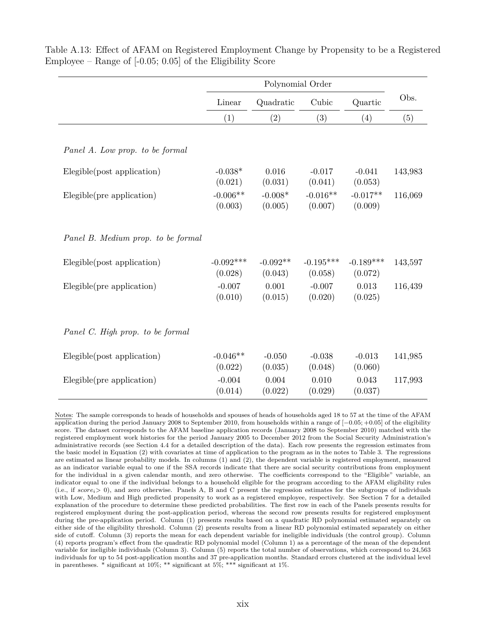|                                    |                        | Polynomial Order      |                        |                        |         |
|------------------------------------|------------------------|-----------------------|------------------------|------------------------|---------|
|                                    | Linear                 | Quadratic             | Cubic                  | Quartic                | Obs.    |
|                                    | (1)                    | (2)                   | (3)                    | (4)                    | (5)     |
| Panel A. Low prop. to be formal    |                        |                       |                        |                        |         |
| Elegible(post application)         | $-0.038*$<br>(0.021)   | 0.016<br>(0.031)      | $-0.017$<br>(0.041)    | $-0.041$<br>(0.053)    | 143,983 |
| Elegible(pre application)          | $-0.006**$<br>(0.003)  | $-0.008*$<br>(0.005)  | $-0.016**$<br>(0.007)  | $-0.017**$<br>(0.009)  | 116,069 |
| Panel B. Medium prop. to be formal |                        |                       |                        |                        |         |
| Elegible(post application)         | $-0.092***$<br>(0.028) | $-0.092**$<br>(0.043) | $-0.195***$<br>(0.058) | $-0.189***$<br>(0.072) | 143,597 |
| Elegible(pre application)          | $-0.007$<br>(0.010)    | 0.001<br>(0.015)      | $-0.007$<br>(0.020)    | 0.013<br>(0.025)       | 116,439 |
| Panel C. High prop. to be formal   |                        |                       |                        |                        |         |
| Elegible(post application)         | $-0.046**$<br>(0.022)  | $-0.050$<br>(0.035)   | $-0.038$<br>(0.048)    | $-0.013$<br>(0.060)    | 141,985 |
| Elegible(pre application)          | $-0.004$<br>(0.014)    | 0.004<br>(0.022)      | 0.010<br>(0.029)       | 0.043<br>(0.037)       | 117,993 |

Table A.13: Effect of AFAM on Registered Employment Change by Propensity to be a Registered Employee – Range of [-0.05; 0.05] of the Eligibility Score

Notes: The sample corresponds to heads of households and spouses of heads of households aged 18 to 57 at the time of the AFAM application during the period January 2008 to September 2010, from households within a range of [−0*.*05; +0*.*05] of the eligibility score. The dataset corresponds to the AFAM baseline application records (January 2008 to September 2010) matched with the registered employment work histories for the period January 2005 to December 2012 from the Social Security Administration's administrative records (see Section 4.4 for a detailed description of the data). Each row presents the regression estimates from the basic model in Equation (2) with covariates at time of application to the program as in the notes to Table 3. The regressions are estimated as linear probability models. In columns (1) and (2), the dependent variable is registered employment, measured as an indicator variable equal to one if the SSA records indicate that there are social security contributions from employment for the individual in a given calendar month, and zero otherwise. The coefficients correspond to the "Eligible" variable, an indicator equal to one if the individual belongs to a household eligible for the program according to the AFAM eligibility rules (i.e., if *scorei*> 0), and zero otherwise. Panels A, B and C present the regression estimates for the subgroups of individuals with Low, Medium and High predicted propensity to work as a registered employee, respectively. See Section 7 for a detailed explanation of the procedure to determine these predicted probabilities. The first row in each of the Panels presents results for registered employment during the post-application period, whereas the second row presents results for registered employment during the pre-application period. Column (1) presents results based on a quadratic RD polynomial estimated separately on either side of the eligibility threshold. Column (2) presents results from a linear RD polynomial estimated separately on either side of cutoff. Column (3) reports the mean for each dependent variable for ineligible individuals (the control group). Column (4) reports program's effect from the quadratic RD polynomial model (Column 1) as a percentage of the mean of the dependent variable for ineligible individuals (Column 3). Column (5) reports the total number of observations, which correspond to 24,563 individuals for up to 54 post-application months and 37 pre-application months. Standard errors clustered at the individual level in parentheses. \* significant at  $10\%$ ; \*\* significant at  $5\%$ ; \*\*\* significant at  $1\%$ .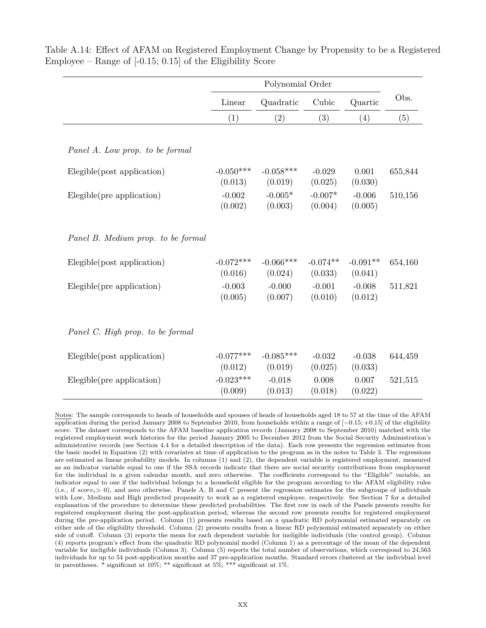|                                    | Linear              | Quadratic            | Cubic                | Quartic             | Obs.    |
|------------------------------------|---------------------|----------------------|----------------------|---------------------|---------|
|                                    | (1)                 | (2)                  | (3)                  | (4)                 | (5)     |
|                                    |                     |                      |                      |                     |         |
| Panel A. Low prop. to be formal    |                     |                      |                      |                     |         |
| Elegible(post application)         | $-0.050***$         | $-0.058***$          | $-0.029$             | 0.001               | 655,844 |
| Elegible(pre application)          | (0.013)<br>$-0.002$ | (0.019)<br>$-0.005*$ | (0.025)<br>$-0.007*$ | (0.030)<br>$-0.006$ | 510,156 |
|                                    | (0.002)             | (0.003)              | (0.004)              | (0.005)             |         |
|                                    |                     |                      |                      |                     |         |
| Panel B. Medium prop. to be formal |                     |                      |                      |                     |         |
| Elegible(post application)         | $-0.072***$         | $-0.066***$          | $-0.074**$           | $-0.091**$          | 654,160 |
|                                    | (0.016)             | (0.024)              | (0.033)              | (0.041)             |         |
| Elegible(pre application)          | $-0.003$            | $-0.000$             | $-0.001$             | $-0.008$            | 511,821 |
|                                    | (0.005)             | (0.007)              | (0.010)              | (0.012)             |         |
|                                    |                     |                      |                      |                     |         |
| Panel C. High prop. to be formal   |                     |                      |                      |                     |         |
| Elegible(post application)         | $-0.077***$         | $-0.085***$          | $-0.032$             | $-0.038$            | 644,459 |
|                                    | (0.012)             | (0.019)              | (0.025)              | (0.033)             |         |
| Elegible(pre application)          | $-0.023***$         | $-0.018$             | 0.008                | 0.007               | 521,515 |
|                                    | (0.009)             | (0.013)              | (0.018)              | (0.022)             |         |

Table A.14: Effect of AFAM on Registered Employment Change by Propensity to be a Registered Employee – Range of  $[-0.15; 0.15]$  of the Eligibility Score

Notes: The sample corresponds to heads of households and spouses of heads of households aged 18 to 57 at the time of the AFAM application during the period January 2008 to September 2010, from households within a range of [−0*.*15; +0*.*15] of the eligibility score. The dataset corresponds to the AFAM baseline application records (January 2008 to September 2010) matched with the registered employment work histories for the period January 2005 to December 2012 from the Social Security Administration's administrative records (see Section 4.4 for a detailed description of the data). Each row presents the regression estimates from the basic model in Equation (2) with covariates at time of application to the program as in the notes to Table 3. The regressions are estimated as linear probability models. In columns (1) and (2), the dependent variable is registered employment, measured as an indicator variable equal to one if the SSA records indicate that there are social security contributions from employment for the individual in a given calendar month, and zero otherwise. The coefficients correspond to the "Eligible" variable, an indicator equal to one if the individual belongs to a household eligible for the program according to the AFAM eligibility rules (i.e., if  $score_i > 0$ ), and zero otherwise. Panels A, B and C present the regression estimates for the subgroups of individuals with Low, Medium and High predicted propensity to work as a registered employee, respectively. See Section 7 for a detailed explanation of the procedure to determine these predicted probabilities. The first row in each of the Panels presents results for registered employment during the post-application period, whereas the second row presents results for registered employment during the pre-application period. Column (1) presents results based on a quadratic RD polynomial estimated separately on either side of the eligibility threshold. Column (2) presents results from a linear RD polynomial estimated separately on either side of cutoff. Column (3) reports the mean for each dependent variable for ineligible individuals (the control group). Column (4) reports program's effect from the quadratic RD polynomial model (Column 1) as a percentage of the mean of the dependent variable for ineligible individuals (Column 3). Column (5) reports the total number of observations, which correspond to 24,563 individuals for up to 54 post-application months and 37 pre-application months. Standard errors clustered at the individual level in parentheses. \* significant at 10%; \*\* significant at 5%; \*\*\* significant at 1%.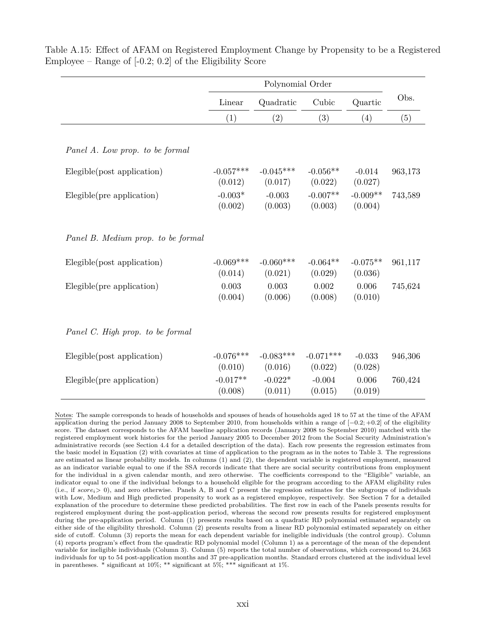|                                    | Polynomial Order       |                        |                        |                       |         |
|------------------------------------|------------------------|------------------------|------------------------|-----------------------|---------|
|                                    | Linear                 | Quadratic              | Cubic                  | Quartic               | Obs.    |
|                                    | (1)                    | (2)                    | (3)                    | (4)                   | (5)     |
| Panel A. Low prop. to be formal    |                        |                        |                        |                       |         |
| Elegible(post application)         | $-0.057***$<br>(0.012) | $-0.045***$<br>(0.017) | $-0.056**$<br>(0.022)  | $-0.014$<br>(0.027)   | 963,173 |
| Elegible(pre application)          | $-0.003*$<br>(0.002)   | $-0.003$<br>(0.003)    | $-0.007**$<br>(0.003)  | $-0.009**$<br>(0.004) | 743,589 |
| Panel B. Medium prop. to be formal |                        |                        |                        |                       |         |
| Elegible(post application)         | $-0.069***$<br>(0.014) | $-0.060***$<br>(0.021) | $-0.064**$<br>(0.029)  | $-0.075**$<br>(0.036) | 961,117 |
| Elegible(pre application)          | 0.003<br>(0.004)       | 0.003<br>(0.006)       | 0.002<br>(0.008)       | 0.006<br>(0.010)      | 745,624 |
| Panel C. High prop. to be formal   |                        |                        |                        |                       |         |
| Elegible(post application)         | $-0.076***$<br>(0.010) | $-0.083***$<br>(0.016) | $-0.071***$<br>(0.022) | $-0.033$<br>(0.028)   | 946,306 |
| Elegible(pre application)          | $-0.017**$<br>(0.008)  | $-0.022*$<br>(0.011)   | $-0.004$<br>(0.015)    | 0.006<br>(0.019)      | 760,424 |

Table A.15: Effect of AFAM on Registered Employment Change by Propensity to be a Registered Employee – Range of  $[-0.2; 0.2]$  of the Eligibility Score

Notes: The sample corresponds to heads of households and spouses of heads of households aged 18 to 57 at the time of the AFAM application during the period January 2008 to September 2010, from households within a range of [−0*.*2; +0*.*2] of the eligibility score. The dataset corresponds to the AFAM baseline application records (January 2008 to September 2010) matched with the registered employment work histories for the period January 2005 to December 2012 from the Social Security Administration's administrative records (see Section 4.4 for a detailed description of the data). Each row presents the regression estimates from the basic model in Equation (2) with covariates at time of application to the program as in the notes to Table 3. The regressions are estimated as linear probability models. In columns (1) and (2), the dependent variable is registered employment, measured as an indicator variable equal to one if the SSA records indicate that there are social security contributions from employment for the individual in a given calendar month, and zero otherwise. The coefficients correspond to the "Eligible" variable, an indicator equal to one if the individual belongs to a household eligible for the program according to the AFAM eligibility rules (i.e., if *scorei*> 0), and zero otherwise. Panels A, B and C present the regression estimates for the subgroups of individuals with Low, Medium and High predicted propensity to work as a registered employee, respectively. See Section 7 for a detailed explanation of the procedure to determine these predicted probabilities. The first row in each of the Panels presents results for registered employment during the post-application period, whereas the second row presents results for registered employment during the pre-application period. Column (1) presents results based on a quadratic RD polynomial estimated separately on either side of the eligibility threshold. Column (2) presents results from a linear RD polynomial estimated separately on either side of cutoff. Column (3) reports the mean for each dependent variable for ineligible individuals (the control group). Column (4) reports program's effect from the quadratic RD polynomial model (Column 1) as a percentage of the mean of the dependent variable for ineligible individuals (Column 3). Column (5) reports the total number of observations, which correspond to 24,563 individuals for up to 54 post-application months and 37 pre-application months. Standard errors clustered at the individual level in parentheses. \* significant at 10%; \*\* significant at 5%; \*\*\* significant at 1%.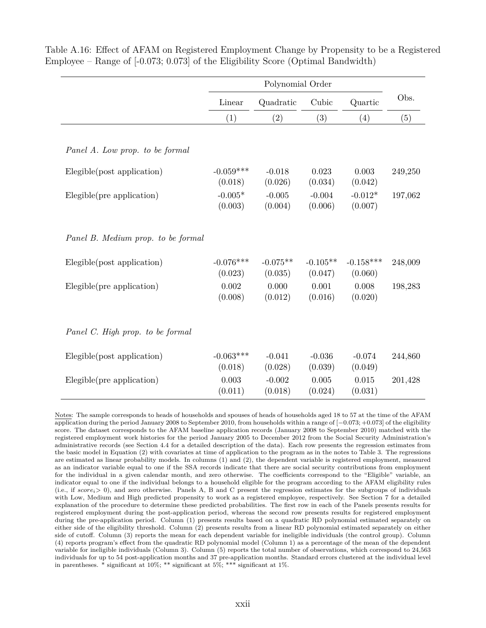|                                    | Linear                 | Quadratic             | Cubic                 | Quartic                | Obs.    |
|------------------------------------|------------------------|-----------------------|-----------------------|------------------------|---------|
|                                    | (1)                    | (2)                   | (3)                   | (4)                    | (5)     |
| Panel A. Low prop. to be formal    |                        |                       |                       |                        |         |
| Elegible(post application)         | $-0.059***$<br>(0.018) | $-0.018$<br>(0.026)   | 0.023<br>(0.034)      | 0.003<br>(0.042)       | 249,250 |
| Elegible(pre application)          | $-0.005*$<br>(0.003)   | $-0.005$<br>(0.004)   | $-0.004$<br>(0.006)   | $-0.012*$<br>(0.007)   | 197,062 |
| Panel B. Medium prop. to be formal |                        |                       |                       |                        |         |
| Elegible(post application)         | $-0.076***$<br>(0.023) | $-0.075**$<br>(0.035) | $-0.105**$<br>(0.047) | $-0.158***$<br>(0.060) | 248,009 |
| Elegible(pre application)          | 0.002<br>(0.008)       | 0.000<br>(0.012)      | 0.001<br>(0.016)      | 0.008<br>(0.020)       | 198,283 |
| Panel C. High prop. to be formal   |                        |                       |                       |                        |         |
| Elegible(post application)         | $-0.063***$<br>(0.018) | $-0.041$<br>(0.028)   | $-0.036$<br>(0.039)   | $-0.074$<br>(0.049)    | 244,860 |
| Elegible(pre application)          | 0.003<br>(0.011)       | $-0.002$<br>(0.018)   | 0.005<br>(0.024)      | 0.015<br>(0.031)       | 201,428 |

Table A.16: Effect of AFAM on Registered Employment Change by Propensity to be a Registered Employee – Range of [-0.073; 0.073] of the Eligibility Score (Optimal Bandwidth)

Notes: The sample corresponds to heads of households and spouses of heads of households aged 18 to 57 at the time of the AFAM application during the period January 2008 to September 2010, from households within a range of [−0*.*073; +0*.*073] of the eligibility score. The dataset corresponds to the AFAM baseline application records (January 2008 to September 2010) matched with the registered employment work histories for the period January 2005 to December 2012 from the Social Security Administration's administrative records (see Section 4.4 for a detailed description of the data). Each row presents the regression estimates from the basic model in Equation (2) with covariates at time of application to the program as in the notes to Table 3. The regressions are estimated as linear probability models. In columns (1) and (2), the dependent variable is registered employment, measured as an indicator variable equal to one if the SSA records indicate that there are social security contributions from employment for the individual in a given calendar month, and zero otherwise. The coefficients correspond to the "Eligible" variable, an indicator equal to one if the individual belongs to a household eligible for the program according to the AFAM eligibility rules (i.e., if *scorei*> 0), and zero otherwise. Panels A, B and C present the regression estimates for the subgroups of individuals with Low, Medium and High predicted propensity to work as a registered employee, respectively. See Section 7 for a detailed explanation of the procedure to determine these predicted probabilities. The first row in each of the Panels presents results for registered employment during the post-application period, whereas the second row presents results for registered employment during the pre-application period. Column (1) presents results based on a quadratic RD polynomial estimated separately on either side of the eligibility threshold. Column (2) presents results from a linear RD polynomial estimated separately on either side of cutoff. Column (3) reports the mean for each dependent variable for ineligible individuals (the control group). Column (4) reports program's effect from the quadratic RD polynomial model (Column 1) as a percentage of the mean of the dependent variable for ineligible individuals (Column 3). Column (5) reports the total number of observations, which correspond to 24,563 individuals for up to 54 post-application months and 37 pre-application months. Standard errors clustered at the individual level in parentheses. \* significant at 10%; \*\* significant at 5%; \*\*\* significant at 1%.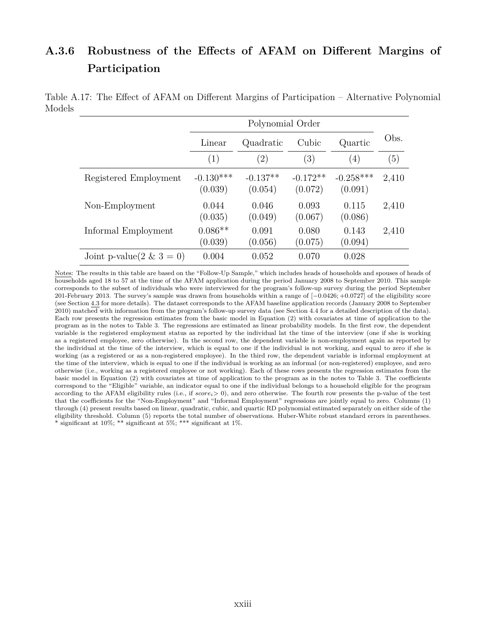## **A.3.6 Robustness of the Effects of AFAM on Different Margins of Participation**

|                          | Linear                 | Quadratic             | Cubic                 | Quartic                | Obs.  |
|--------------------------|------------------------|-----------------------|-----------------------|------------------------|-------|
|                          | (1)                    | $\left( 2\right)$     | (3)                   | (4)                    | (5)   |
| Registered Employment    | $-0.130***$<br>(0.039) | $-0.137**$<br>(0.054) | $-0.172**$<br>(0.072) | $-0.258***$<br>(0.091) | 2,410 |
| Non-Employment           | 0.044<br>(0.035)       | 0.046<br>(0.049)      | 0.093<br>(0.067)      | 0.115<br>(0.086)       | 2,410 |
| Informal Employment      | $0.086**$<br>(0.039)   | 0.091<br>(0.056)      | 0.080<br>(0.075)      | 0.143<br>(0.094)       | 2,410 |
| Joint p-value(2 & 3 = 0) | 0.004                  | 0.052                 | 0.070                 | 0.028                  |       |

Table A.17: The Effect of AFAM on Different Margins of Participation – Alternative Polynomial Models

Notes: The results in this table are based on the "Follow-Up Sample," which includes heads of households and spouses of heads of households aged 18 to 57 at the time of the AFAM application during the period January 2008 to September 2010. This sample corresponds to the subset of individuals who were interviewed for the program's follow-up survey during the period September 201-February 2013. The survey's sample was drawn from households within a range of [−0*.*0426; +0*.*0727] of the eligibility score (see Section 4.3 for more details). The dataset corresponds to the AFAM baseline application records (January 2008 to September 2010) matched with information from the program's follow-up survey data (see Section 4.4 for a detailed description of the data). Each row presents the regression estimates from the basic model in Equation (2) with covariates at time of application to the program as in the notes to Table 3. The regressions are estimated as linear probability models. In the first row, the dependent variable is the registered employment status as reported by the individual lat the time of the interview (one if she is working as a registered employee, zero otherwise). In the second row, the dependent variable is non-employment again as reported by the individual at the time of the interview, which is equal to one if the individual is not working, and equal to zero if she is working (as a registered or as a non-registered employee). In the third row, the dependent variable is informal employment at the time of the interview, which is equal to one if the individual is working as an informal (or non-registered) employee, and zero otherwise (i.e., working as a registered employee or not working). Each of these rows presents the regression estimates from the basic model in Equation (2) with covariates at time of application to the program as in the notes to Table 3. The coefficients correspond to the "Eligible" variable, an indicator equal to one if the individual belongs to a household eligible for the program according to the AFAM eligibility rules (i.e., if *scorei*> 0), and zero otherwise. The fourth row presents the p-value of the test that the coefficients for the "Non-Employment" and "Informal Employment" regressions are jointly equal to zero. Columns (1) through (4) present results based on linear, quadratic, cubic, and quartic RD polynomial estimated separately on either side of the eligibility threshold. Column (5) reports the total number of observations. Huber-White robust standard errors in parentheses. \* significant at 10%; \*\* significant at 5%; \*\*\* significant at 1%.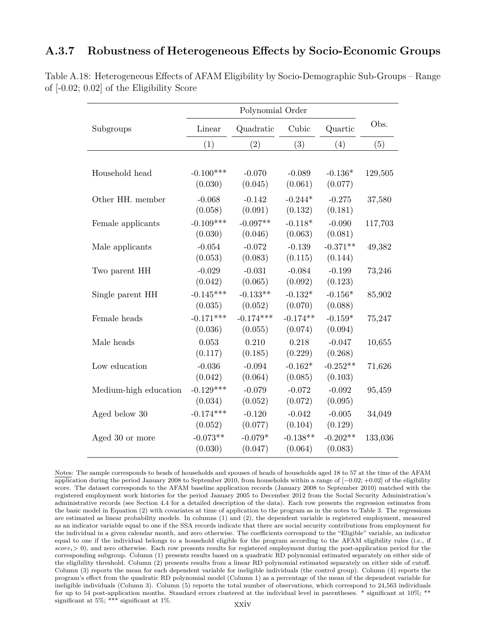#### **A.3.7 Robustness of Heterogeneous Effects by Socio-Economic Groups**

|                       | Polynomial Order |             |            |            |         |  |
|-----------------------|------------------|-------------|------------|------------|---------|--|
| Subgroups             | Linear           | Quadratic   | Cubic      | Quartic    | Obs.    |  |
|                       | (1)              | (2)         | (3)        | (4)        | (5)     |  |
|                       |                  |             |            |            |         |  |
| Household head        | $-0.100***$      | $-0.070$    | $-0.089$   | $-0.136*$  | 129,505 |  |
|                       | (0.030)          | (0.045)     | (0.061)    | (0.077)    |         |  |
| Other HH. member      | $-0.068$         | $-0.142$    | $-0.244*$  | $-0.275$   | 37,580  |  |
|                       | (0.058)          | (0.091)     | (0.132)    | (0.181)    |         |  |
| Female applicants     | $-0.109***$      | $-0.097**$  | $-0.118*$  | $-0.090$   | 117,703 |  |
|                       | (0.030)          | (0.046)     | (0.063)    | (0.081)    |         |  |
| Male applicants       | $-0.054$         | $-0.072$    | $-0.139$   | $-0.371**$ | 49,382  |  |
|                       | (0.053)          | (0.083)     | (0.115)    | (0.144)    |         |  |
| Two parent HH         | $-0.029$         | $-0.031$    | $-0.084$   | $-0.199$   | 73,246  |  |
|                       | (0.042)          | (0.065)     | (0.092)    | (0.123)    |         |  |
| Single parent HH      | $-0.145***$      | $-0.133**$  | $-0.132*$  | $-0.156*$  | 85,902  |  |
|                       | (0.035)          | (0.052)     | (0.070)    | (0.088)    |         |  |
| Female heads          | $-0.171***$      | $-0.174***$ | $-0.174**$ | $-0.159*$  | 75,247  |  |
|                       | (0.036)          | (0.055)     | (0.074)    | (0.094)    |         |  |
| Male heads            | 0.053            | 0.210       | 0.218      | $-0.047$   | 10,655  |  |
|                       | (0.117)          | (0.185)     | (0.229)    | (0.268)    |         |  |
| Low education         | $-0.036$         | $-0.094$    | $-0.162*$  | $-0.252**$ | 71,626  |  |
|                       | (0.042)          | (0.064)     | (0.085)    | (0.103)    |         |  |
| Medium-high education | $-0.129***$      | $-0.079$    | $-0.072$   | $-0.092$   | 95,459  |  |
|                       | (0.034)          | (0.052)     | (0.072)    | (0.095)    |         |  |
| Aged below 30         | $-0.174***$      | $-0.120$    | $-0.042$   | $-0.005$   | 34,049  |  |
|                       | (0.052)          | (0.077)     | (0.104)    | (0.129)    |         |  |
| Aged 30 or more       | $-0.073**$       | $-0.079*$   | $-0.138**$ | $-0.202**$ | 133,036 |  |
|                       | (0.030)          | (0.047)     | (0.064)    | (0.083)    |         |  |

Table A.18: Heterogeneous Effects of AFAM Eligibility by Socio-Demographic Sub-Groups – Range of [-0.02; 0.02] of the Eligibility Score

Notes: The sample corresponds to heads of households and spouses of heads of households aged 18 to 57 at the time of the AFAM application during the period January 2008 to September 2010, from households within a range of [−0*.*02; +0*.*02] of the eligibility score. The dataset corresponds to the AFAM baseline application records (January 2008 to September 2010) matched with the registered employment work histories for the period January 2005 to December 2012 from the Social Security Administration's administrative records (see Section 4.4 for a detailed description of the data). Each row presents the regression estimates from the basic model in Equation (2) with covariates at time of application to the program as in the notes to Table 3. The regressions are estimated as linear probability models. In columns (1) and (2), the dependent variable is registered employment, measured as an indicator variable equal to one if the SSA records indicate that there are social security contributions from employment for the individual in a given calendar month, and zero otherwise. The coefficients correspond to the "Eligible" variable, an indicator equal to one if the individual belongs to a household eligible for the program according to the AFAM eligibility rules (i.e., if *scorei*> 0), and zero otherwise. Each row presents results for registered employment during the post-application period for the corresponding subgroup. Column (1) presents results based on a quadratic RD polynomial estimated separately on either side of the eligibility threshold. Column (2) presents results from a linear RD polynomial estimated separately on either side of cutoff. Column (3) reports the mean for each dependent variable for ineligible individuals (the control group). Column (4) reports the program's effect from the quadratic RD polynomial model (Column 1) as a percentage of the mean of the dependent variable for ineligible individuals (Column 3). Column (5) reports the total number of observations, which correspond to 24,563 individuals for up to 54 post-application months. Standard errors clustered at the individual level in parentheses. \* significant at 10%; \*\* significant at 5%; \*\*\* significant at 1%.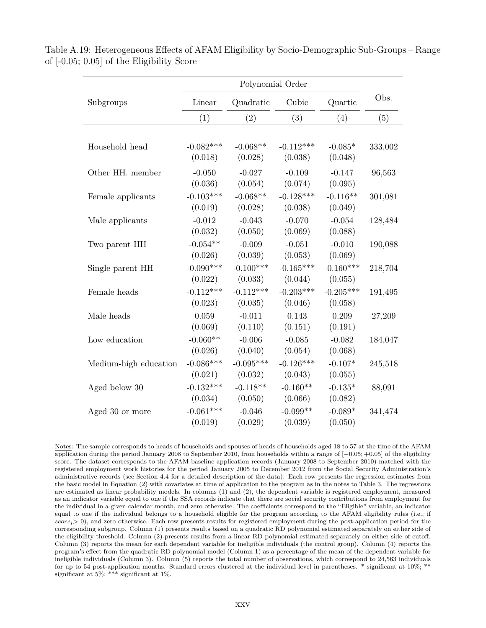|                       | Polynomial Order       |                        |                        |                        |         |
|-----------------------|------------------------|------------------------|------------------------|------------------------|---------|
| Subgroups             | Linear                 | Quadratic              | Cubic                  | Quartic                | Obs.    |
|                       | (1)                    | (2)                    | (3)                    | (4)                    | (5)     |
| Household head        | $-0.082***$<br>(0.018) | $-0.068**$<br>(0.028)  | $-0.112***$<br>(0.038) | $-0.085*$<br>(0.048)   | 333,002 |
| Other HH. member      | $-0.050$<br>(0.036)    | $-0.027$<br>(0.054)    | $-0.109$<br>(0.074)    | $-0.147$<br>(0.095)    | 96,563  |
| Female applicants     | $-0.103***$<br>(0.019) | $-0.068**$<br>(0.028)  | $-0.128***$<br>(0.038) | $-0.116**$<br>(0.049)  | 301,081 |
| Male applicants       | $-0.012$<br>(0.032)    | $-0.043$<br>(0.050)    | $-0.070$<br>(0.069)    | $-0.054$<br>(0.088)    | 128,484 |
| Two parent HH         | $-0.054**$<br>(0.026)  | $-0.009$<br>(0.039)    | $-0.051$<br>(0.053)    | $-0.010$<br>(0.069)    | 190,088 |
| Single parent HH      | $-0.090***$<br>(0.022) | $-0.100***$<br>(0.033) | $-0.165***$<br>(0.044) | $-0.160***$<br>(0.055) | 218,704 |
| Female heads          | $-0.112***$<br>(0.023) | $-0.112***$<br>(0.035) | $-0.203***$<br>(0.046) | $-0.205***$<br>(0.058) | 191,495 |
| Male heads            | 0.059<br>(0.069)       | $-0.011$<br>(0.110)    | 0.143<br>(0.151)       | 0.209<br>(0.191)       | 27,209  |
| Low education         | $-0.060**$<br>(0.026)  | $-0.006$<br>(0.040)    | $-0.085$<br>(0.054)    | $-0.082$<br>(0.068)    | 184,047 |
| Medium-high education | $-0.086***$<br>(0.021) | $-0.095***$<br>(0.032) | $-0.126***$<br>(0.043) | $-0.107*$<br>(0.055)   | 245,518 |
| Aged below 30         | $-0.132***$<br>(0.034) | $-0.118**$<br>(0.050)  | $-0.160**$<br>(0.066)  | $-0.135*$<br>(0.082)   | 88,091  |
| Aged 30 or more       | $-0.061***$<br>(0.019) | $-0.046$<br>(0.029)    | $-0.099**$<br>(0.039)  | $-0.089*$<br>(0.050)   | 341,474 |

Table A.19: Heterogeneous Effects of AFAM Eligibility by Socio-Demographic Sub-Groups – Range of [-0.05; 0.05] of the Eligibility Score

Notes: The sample corresponds to heads of households and spouses of heads of households aged 18 to 57 at the time of the AFAM application during the period January 2008 to September 2010, from households within a range of [−0*.*05; +0*.*05] of the eligibility score. The dataset corresponds to the AFAM baseline application records (January 2008 to September 2010) matched with the registered employment work histories for the period January 2005 to December 2012 from the Social Security Administration's administrative records (see Section 4.4 for a detailed description of the data). Each row presents the regression estimates from the basic model in Equation (2) with covariates at time of application to the program as in the notes to Table 3. The regressions are estimated as linear probability models. In columns (1) and (2), the dependent variable is registered employment, measured as an indicator variable equal to one if the SSA records indicate that there are social security contributions from employment for the individual in a given calendar month, and zero otherwise. The coefficients correspond to the "Eligible" variable, an indicator equal to one if the individual belongs to a household eligible for the program according to the AFAM eligibility rules (i.e., if *scorei*> 0), and zero otherwise. Each row presents results for registered employment during the post-application period for the corresponding subgroup. Column (1) presents results based on a quadratic RD polynomial estimated separately on either side of the eligibility threshold. Column (2) presents results from a linear RD polynomial estimated separately on either side of cutoff. Column (3) reports the mean for each dependent variable for ineligible individuals (the control group). Column (4) reports the program's effect from the quadratic RD polynomial model (Column 1) as a percentage of the mean of the dependent variable for ineligible individuals (Column 3). Column (5) reports the total number of observations, which correspond to 24,563 individuals for up to 54 post-application months. Standard errors clustered at the individual level in parentheses. \* significant at 10%; \*\* significant at 5%; \*\*\* significant at 1%.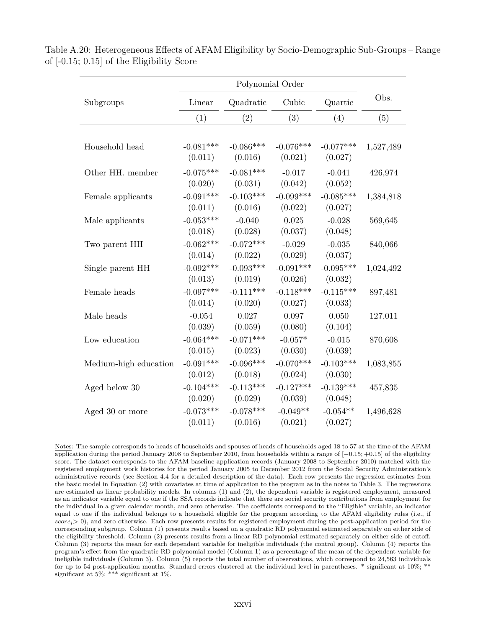|                       | Polynomial Order       |                        |                        |                        |           |
|-----------------------|------------------------|------------------------|------------------------|------------------------|-----------|
| Subgroups             | Linear                 | Quadratic              | Cubic                  | Quartic                | Obs.      |
|                       | (1)                    | (2)                    | (3)                    | (4)                    | (5)       |
| Household head        | $-0.081***$<br>(0.011) | $-0.086***$<br>(0.016) | $-0.076***$<br>(0.021) | $-0.077***$<br>(0.027) | 1,527,489 |
| Other HH. member      | $-0.075***$<br>(0.020) | $-0.081***$<br>(0.031) | $-0.017$<br>(0.042)    | $-0.041$<br>(0.052)    | 426,974   |
| Female applicants     | $-0.091***$<br>(0.011) | $-0.103***$<br>(0.016) | $-0.099***$<br>(0.022) | $-0.085***$<br>(0.027) | 1,384,818 |
| Male applicants       | $-0.053***$<br>(0.018) | $-0.040$<br>(0.028)    | 0.025<br>(0.037)       | $-0.028$<br>(0.048)    | 569,645   |
| Two parent HH         | $-0.062***$<br>(0.014) | $-0.072***$<br>(0.022) | $-0.029$<br>(0.029)    | $-0.035$<br>(0.037)    | 840,066   |
| Single parent HH      | $-0.092***$<br>(0.013) | $-0.093***$<br>(0.019) | $-0.091***$<br>(0.026) | $-0.095***$<br>(0.032) | 1,024,492 |
| Female heads          | $-0.097***$<br>(0.014) | $-0.111***$<br>(0.020) | $-0.118***$<br>(0.027) | $-0.115***$<br>(0.033) | 897,481   |
| Male heads            | $-0.054$<br>(0.039)    | 0.027<br>(0.059)       | 0.097<br>(0.080)       | 0.050<br>(0.104)       | 127,011   |
| Low education         | $-0.064***$<br>(0.015) | $-0.071***$<br>(0.023) | $-0.057*$<br>(0.030)   | $-0.015$<br>(0.039)    | 870,608   |
| Medium-high education | $-0.091***$<br>(0.012) | $-0.096***$<br>(0.018) | $-0.070***$<br>(0.024) | $-0.103***$<br>(0.030) | 1,083,855 |
| Aged below 30         | $-0.104***$<br>(0.020) | $-0.113***$<br>(0.029) | $-0.127***$<br>(0.039) | $-0.139***$<br>(0.048) | 457,835   |
| Aged 30 or more       | $-0.073***$<br>(0.011) | $-0.078***$<br>(0.016) | $-0.049**$<br>(0.021)  | $-0.054**$<br>(0.027)  | 1,496,628 |

Table A.20: Heterogeneous Effects of AFAM Eligibility by Socio-Demographic Sub-Groups – Range of [-0.15; 0.15] of the Eligibility Score

Notes: The sample corresponds to heads of households and spouses of heads of households aged 18 to 57 at the time of the AFAM application during the period January 2008 to September 2010, from households within a range of [−0*.*15; +0*.*15] of the eligibility score. The dataset corresponds to the AFAM baseline application records (January 2008 to September 2010) matched with the registered employment work histories for the period January 2005 to December 2012 from the Social Security Administration's administrative records (see Section 4.4 for a detailed description of the data). Each row presents the regression estimates from the basic model in Equation (2) with covariates at time of application to the program as in the notes to Table 3. The regressions are estimated as linear probability models. In columns (1) and (2), the dependent variable is registered employment, measured as an indicator variable equal to one if the SSA records indicate that there are social security contributions from employment for the individual in a given calendar month, and zero otherwise. The coefficients correspond to the "Eligible" variable, an indicator equal to one if the individual belongs to a household eligible for the program according to the AFAM eligibility rules (i.e., if *scorei*> 0), and zero otherwise. Each row presents results for registered employment during the post-application period for the corresponding subgroup. Column (1) presents results based on a quadratic RD polynomial estimated separately on either side of the eligibility threshold. Column (2) presents results from a linear RD polynomial estimated separately on either side of cutoff. Column (3) reports the mean for each dependent variable for ineligible individuals (the control group). Column (4) reports the program's effect from the quadratic RD polynomial model (Column 1) as a percentage of the mean of the dependent variable for ineligible individuals (Column 3). Column (5) reports the total number of observations, which correspond to 24,563 individuals for up to 54 post-application months. Standard errors clustered at the individual level in parentheses. \* significant at 10%; \*\* significant at 5%; \*\*\* significant at 1%.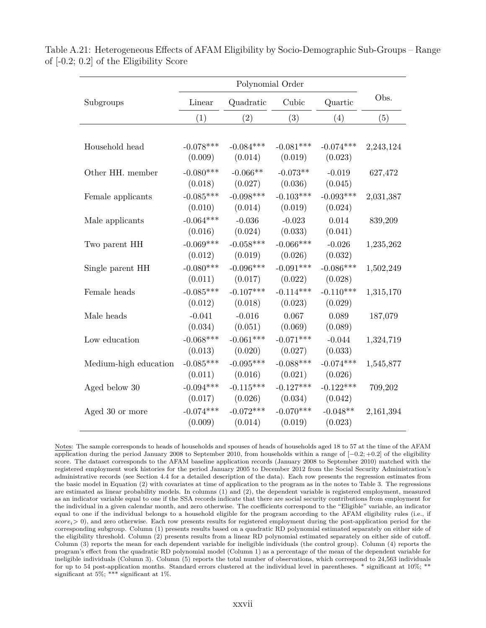|                       | Polynomial Order       |                        |                        |                        |           |
|-----------------------|------------------------|------------------------|------------------------|------------------------|-----------|
| Subgroups             | Linear                 | Quadratic              | Cubic                  | Quartic                | Obs.      |
|                       | (1)                    | (2)                    | (3)                    | (4)                    | (5)       |
| Household head        | $-0.078***$<br>(0.009) | $-0.084***$<br>(0.014) | $-0.081***$<br>(0.019) | $-0.074***$<br>(0.023) | 2,243,124 |
| Other HH. member      | $-0.080***$<br>(0.018) | $-0.066**$<br>(0.027)  | $-0.073**$<br>(0.036)  | $-0.019$<br>(0.045)    | 627,472   |
| Female applicants     | $-0.085***$<br>(0.010) | $-0.098***$<br>(0.014) | $-0.103***$<br>(0.019) | $-0.093***$<br>(0.024) | 2,031,387 |
| Male applicants       | $-0.064***$<br>(0.016) | $-0.036$<br>(0.024)    | $-0.023$<br>(0.033)    | 0.014<br>(0.041)       | 839,209   |
| Two parent HH         | $-0.069***$<br>(0.012) | $-0.058***$<br>(0.019) | $-0.066***$<br>(0.026) | $-0.026$<br>(0.032)    | 1,235,262 |
| Single parent HH      | $-0.080***$<br>(0.011) | $-0.096***$<br>(0.017) | $-0.091***$<br>(0.022) | $-0.086***$<br>(0.028) | 1,502,249 |
| Female heads          | $-0.085***$<br>(0.012) | $-0.107***$<br>(0.018) | $-0.114***$<br>(0.023) | $-0.110***$<br>(0.029) | 1,315,170 |
| Male heads            | $-0.041$<br>(0.034)    | $-0.016$<br>(0.051)    | 0.067<br>(0.069)       | 0.089<br>(0.089)       | 187,079   |
| Low education         | $-0.068***$<br>(0.013) | $-0.061***$<br>(0.020) | $-0.071***$<br>(0.027) | $-0.044$<br>(0.033)    | 1,324,719 |
| Medium-high education | $-0.085***$<br>(0.011) | $-0.095***$<br>(0.016) | $-0.088***$<br>(0.021) | $-0.074***$<br>(0.026) | 1,545,877 |
| Aged below 30         | $-0.094***$<br>(0.017) | $-0.115***$<br>(0.026) | $-0.127***$<br>(0.034) | $-0.122***$<br>(0.042) | 709,202   |
| Aged 30 or more       | $-0.074***$<br>(0.009) | $-0.072***$<br>(0.014) | $-0.070***$<br>(0.019) | $-0.048**$<br>(0.023)  | 2,161,394 |

Table A.21: Heterogeneous Effects of AFAM Eligibility by Socio-Demographic Sub-Groups – Range of [-0.2; 0.2] of the Eligibility Score

Notes: The sample corresponds to heads of households and spouses of heads of households aged 18 to 57 at the time of the AFAM application during the period January 2008 to September 2010, from households within a range of [−0*.*2; +0*.*2] of the eligibility score. The dataset corresponds to the AFAM baseline application records (January 2008 to September 2010) matched with the registered employment work histories for the period January 2005 to December 2012 from the Social Security Administration's administrative records (see Section 4.4 for a detailed description of the data). Each row presents the regression estimates from the basic model in Equation (2) with covariates at time of application to the program as in the notes to Table 3. The regressions are estimated as linear probability models. In columns (1) and (2), the dependent variable is registered employment, measured as an indicator variable equal to one if the SSA records indicate that there are social security contributions from employment for the individual in a given calendar month, and zero otherwise. The coefficients correspond to the "Eligible" variable, an indicator equal to one if the individual belongs to a household eligible for the program according to the AFAM eligibility rules (i.e., if *scorei*> 0), and zero otherwise. Each row presents results for registered employment during the post-application period for the corresponding subgroup. Column (1) presents results based on a quadratic RD polynomial estimated separately on either side of the eligibility threshold. Column (2) presents results from a linear RD polynomial estimated separately on either side of cutoff. Column (3) reports the mean for each dependent variable for ineligible individuals (the control group). Column (4) reports the program's effect from the quadratic RD polynomial model (Column 1) as a percentage of the mean of the dependent variable for ineligible individuals (Column 3). Column (5) reports the total number of observations, which correspond to 24,563 individuals for up to 54 post-application months. Standard errors clustered at the individual level in parentheses. \* significant at 10%; \*\* significant at 5%; \*\*\* significant at 1%.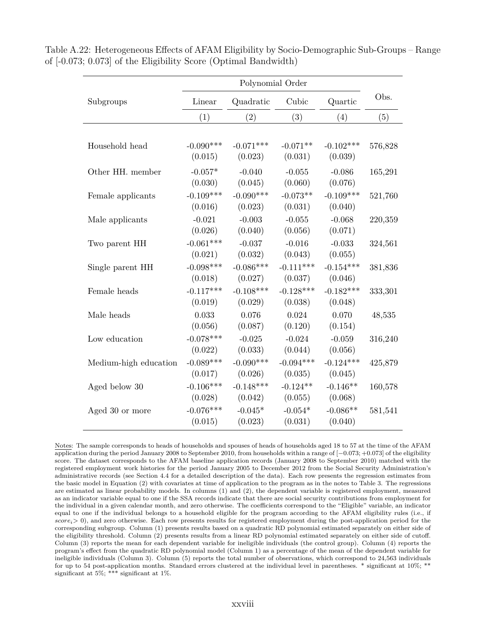|                       | Polynomial Order |             |             |             |         |
|-----------------------|------------------|-------------|-------------|-------------|---------|
| Subgroups             | Linear           | Quadratic   | Cubic       | Quartic     | Obs.    |
|                       | (1)              | (2)         | (3)         | (4)         | (5)     |
|                       |                  |             |             |             |         |
| Household head        | $-0.090***$      | $-0.071***$ | $-0.071**$  | $-0.102***$ | 576,828 |
|                       | (0.015)          | (0.023)     | (0.031)     | (0.039)     |         |
| Other HH. member      | $-0.057*$        | $-0.040$    | $-0.055$    | $-0.086$    | 165,291 |
|                       | (0.030)          | (0.045)     | (0.060)     | (0.076)     |         |
| Female applicants     | $-0.109***$      | $-0.090***$ | $-0.073**$  | $-0.109***$ | 521,760 |
|                       | (0.016)          | (0.023)     | (0.031)     | (0.040)     |         |
| Male applicants       | $-0.021$         | $-0.003$    | $-0.055$    | $-0.068$    | 220,359 |
|                       | (0.026)          | (0.040)     | (0.056)     | (0.071)     |         |
| Two parent HH         | $-0.061***$      | $-0.037$    | $-0.016$    | $-0.033$    | 324,561 |
|                       | (0.021)          | (0.032)     | (0.043)     | (0.055)     |         |
| Single parent HH      | $-0.098***$      | $-0.086***$ | $-0.111***$ | $-0.154***$ | 381,836 |
|                       | (0.018)          | (0.027)     | (0.037)     | (0.046)     |         |
| Female heads          | $-0.117***$      | $-0.108***$ | $-0.128***$ | $-0.182***$ | 333,301 |
|                       | (0.019)          | (0.029)     | (0.038)     | (0.048)     |         |
| Male heads            | 0.033            | 0.076       | 0.024       | 0.070       | 48,535  |
|                       | (0.056)          | (0.087)     | (0.120)     | (0.154)     |         |
| Low education         | $-0.078***$      | $-0.025$    | $-0.024$    | $-0.059$    | 316,240 |
|                       | (0.022)          | (0.033)     | (0.044)     | (0.056)     |         |
| Medium-high education | $-0.089***$      | $-0.090***$ | $-0.094***$ | $-0.124***$ | 425,879 |
|                       | (0.017)          | (0.026)     | (0.035)     | (0.045)     |         |
| Aged below 30         | $-0.106***$      | $-0.148***$ | $-0.124**$  | $-0.146**$  | 160,578 |
|                       | (0.028)          | (0.042)     | (0.055)     | (0.068)     |         |
| Aged 30 or more       | $-0.076***$      | $-0.045*$   | $-0.054*$   | $-0.086**$  | 581,541 |
|                       | (0.015)          | (0.023)     | (0.031)     | (0.040)     |         |

Table A.22: Heterogeneous Effects of AFAM Eligibility by Socio-Demographic Sub-Groups – Range of [-0.073; 0.073] of the Eligibility Score (Optimal Bandwidth)

Notes: The sample corresponds to heads of households and spouses of heads of households aged 18 to 57 at the time of the AFAM application during the period January 2008 to September 2010, from households within a range of [−0*.*073; +0*.*073] of the eligibility score. The dataset corresponds to the AFAM baseline application records (January 2008 to September 2010) matched with the registered employment work histories for the period January 2005 to December 2012 from the Social Security Administration's administrative records (see Section 4.4 for a detailed description of the data). Each row presents the regression estimates from the basic model in Equation (2) with covariates at time of application to the program as in the notes to Table 3. The regressions are estimated as linear probability models. In columns (1) and (2), the dependent variable is registered employment, measured as an indicator variable equal to one if the SSA records indicate that there are social security contributions from employment for the individual in a given calendar month, and zero otherwise. The coefficients correspond to the "Eligible" variable, an indicator equal to one if the individual belongs to a household eligible for the program according to the AFAM eligibility rules (i.e., if *scorei*> 0), and zero otherwise. Each row presents results for registered employment during the post-application period for the corresponding subgroup. Column (1) presents results based on a quadratic RD polynomial estimated separately on either side of the eligibility threshold. Column (2) presents results from a linear RD polynomial estimated separately on either side of cutoff. Column (3) reports the mean for each dependent variable for ineligible individuals (the control group). Column (4) reports the program's effect from the quadratic RD polynomial model (Column 1) as a percentage of the mean of the dependent variable for ineligible individuals (Column 3). Column (5) reports the total number of observations, which correspond to 24,563 individuals for up to 54 post-application months. Standard errors clustered at the individual level in parentheses. \* significant at 10%; \*\* significant at 5%; \*\*\* significant at 1%.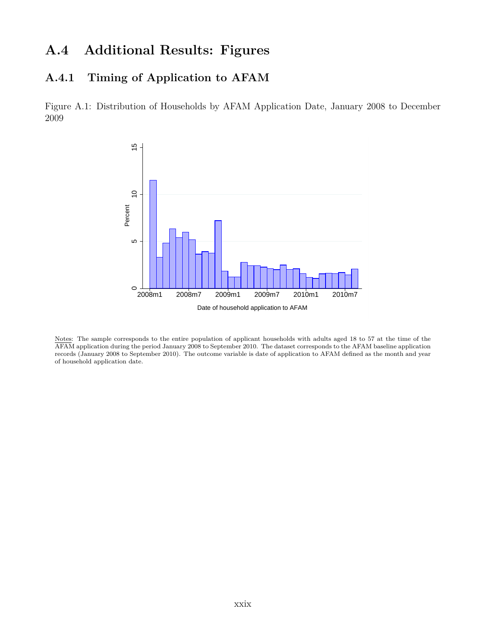# **A.4 Additional Results: Figures**

### **A.4.1 Timing of Application to AFAM**

Figure A.1: Distribution of Households by AFAM Application Date, January 2008 to December 2009



Notes: The sample corresponds to the entire population of applicant households with adults aged 18 to 57 at the time of the AFAM application during the period January 2008 to September 2010. The dataset corresponds to the AFAM baseline application records (January 2008 to September 2010). The outcome variable is date of application to AFAM defined as the month and year of household application date.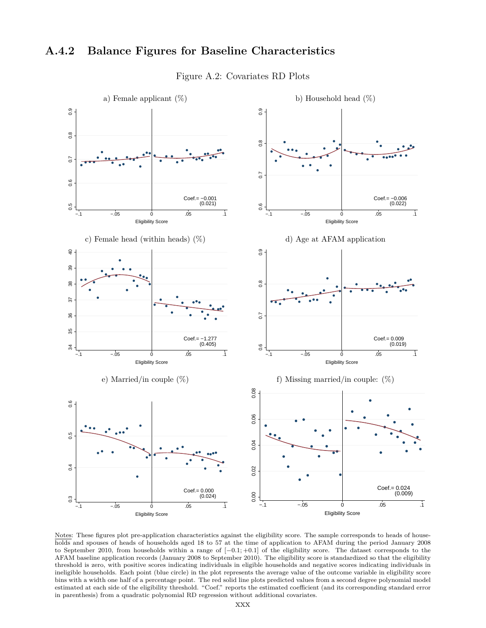#### **A.4.2 Balance Figures for Baseline Characteristics**



Figure A.2: Covariates RD Plots

Notes: These figures plot pre-application characteristics against the eligibility score. The sample corresponds to heads of households and spouses of heads of households aged 18 to 57 at the time of application to AFAM during the period January 2008 to September 2010, from households within a range of [−0*.*1; +0*.*1] of the eligibility score. The dataset corresponds to the AFAM baseline application records (January 2008 to September 2010). The eligibility score is standardized so that the eligibility threshold is zero, with positive scores indicating individuals in eligible households and negative scores indicating individuals in ineligible households. Each point (blue circle) in the plot represents the average value of the outcome variable in eligibility score bins with a width one half of a percentage point. The red solid line plots predicted values from a second degree polynomial model estimated at each side of the eligibility threshold. "Coef." reports the estimated coefficient (and its corresponding standard error in parenthesis) from a quadratic polynomial RD regression without additional covariates.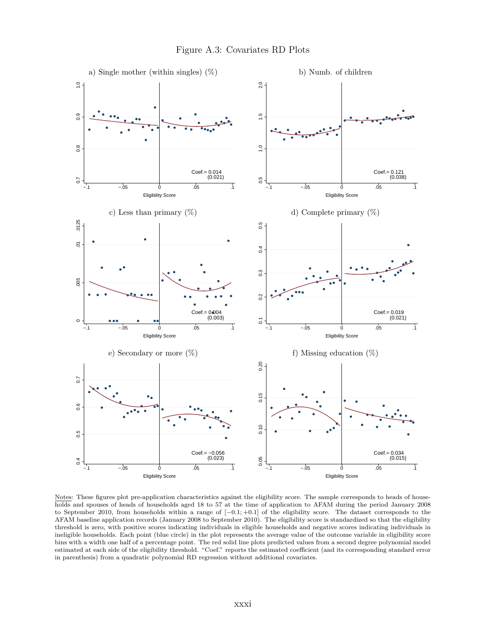

Notes: These figures plot pre-application characteristics against the eligibility score. The sample corresponds to heads of households and spouses of heads of households aged 18 to 57 at the time of application to AFAM during the period January 2008 to September 2010, from households within a range of [−0*.*1; +0*.*1] of the eligibility score. The dataset corresponds to the AFAM baseline application records (January 2008 to September 2010). The eligibility score is standardized so that the eligibility threshold is zero, with positive scores indicating individuals in eligible households and negative scores indicating individuals in ineligible households. Each point (blue circle) in the plot represents the average value of the outcome variable in eligibility score bins with a width one half of a percentage point. The red solid line plots predicted values from a second degree polynomial model estimated at each side of the eligibility threshold. "Coef." reports the estimated coefficient (and its corresponding standard error in parenthesis) from a quadratic polynomial RD regression without additional covariates.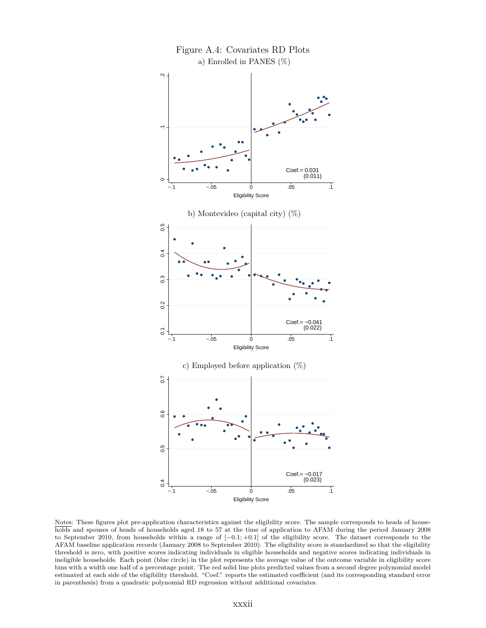

Notes: These figures plot pre-application characteristics against the eligibility score. The sample corresponds to heads of households and spouses of heads of households aged 18 to 57 at the time of application to AFAM during the period January 2008 to September 2010, from households within a range of [−0*.*1; +0*.*1] of the eligibility score. The dataset corresponds to the AFAM baseline application records (January 2008 to September 2010). The eligibility score is standardized so that the eligibility threshold is zero, with positive scores indicating individuals in eligible households and negative scores indicating individuals in ineligible households. Each point (blue circle) in the plot represents the average value of the outcome variable in eligibility score bins with a width one half of a percentage point. The red solid line plots predicted values from a second degree polynomial model estimated at each side of the eligibility threshold. "Coef." reports the estimated coefficient (and its corresponding standard error in parenthesis) from a quadratic polynomial RD regression without additional covariates.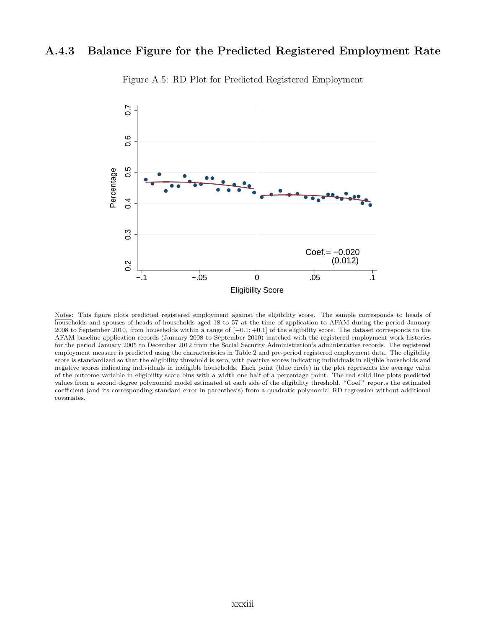#### **A.4.3 Balance Figure for the Predicted Registered Employment Rate**



Figure A.5: RD Plot for Predicted Registered Employment

Notes: This figure plots predicted registered employment against the eligibility score. The sample corresponds to heads of households and spouses of heads of households aged 18 to 57 at the time of application to AFAM during the period January 2008 to September 2010, from households within a range of [−0*.*1; +0*.*1] of the eligibility score. The dataset corresponds to the AFAM baseline application records (January 2008 to September 2010) matched with the registered employment work histories for the period January 2005 to December 2012 from the Social Security Administration's administrative records. The registered employment measure is predicted using the characteristics in Table 2 and pre-period registered employment data. The eligibility score is standardized so that the eligibility threshold is zero, with positive scores indicating individuals in eligible households and negative scores indicating individuals in ineligible households. Each point (blue circle) in the plot represents the average value of the outcome variable in eligibility score bins with a width one half of a percentage point. The red solid line plots predicted values from a second degree polynomial model estimated at each side of the eligibility threshold. "Coef." reports the estimated coefficient (and its corresponding standard error in parenthesis) from a quadratic polynomial RD regression without additional covariates.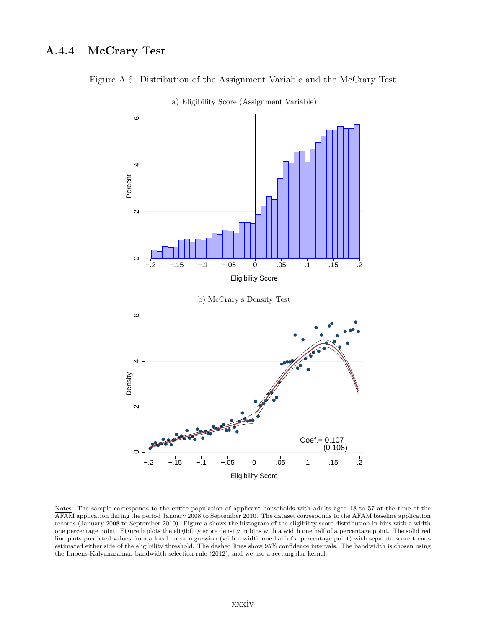### **A.4.4 McCrary Test**



a) Eligibility Score (Assignment Variable)

Figure A.6: Distribution of the Assignment Variable and the McCrary Test

Notes: The sample corresponds to the entire population of applicant households with adults aged 18 to 57 at the time of the AFAM application during the period January 2008 to September 2010. The dataset corresponds to the AFAM baseline application records (January 2008 to September 2010). Figure a shows the histogram of the eligibility score distribution in bins with a width one percentage point. Figure b plots the eligibility score density in bins with a width one half of a percentage point. The solid red line plots predicted values from a local linear regression (with a width one half of a percentage point) with separate score trends estimated either side of the eligibility threshold. The dashed lines show 95% confidence intervals. The bandwidth is chosen using the Imbens-Kalyanaraman bandwidth selection rule (2012), and we use a rectangular kernel.